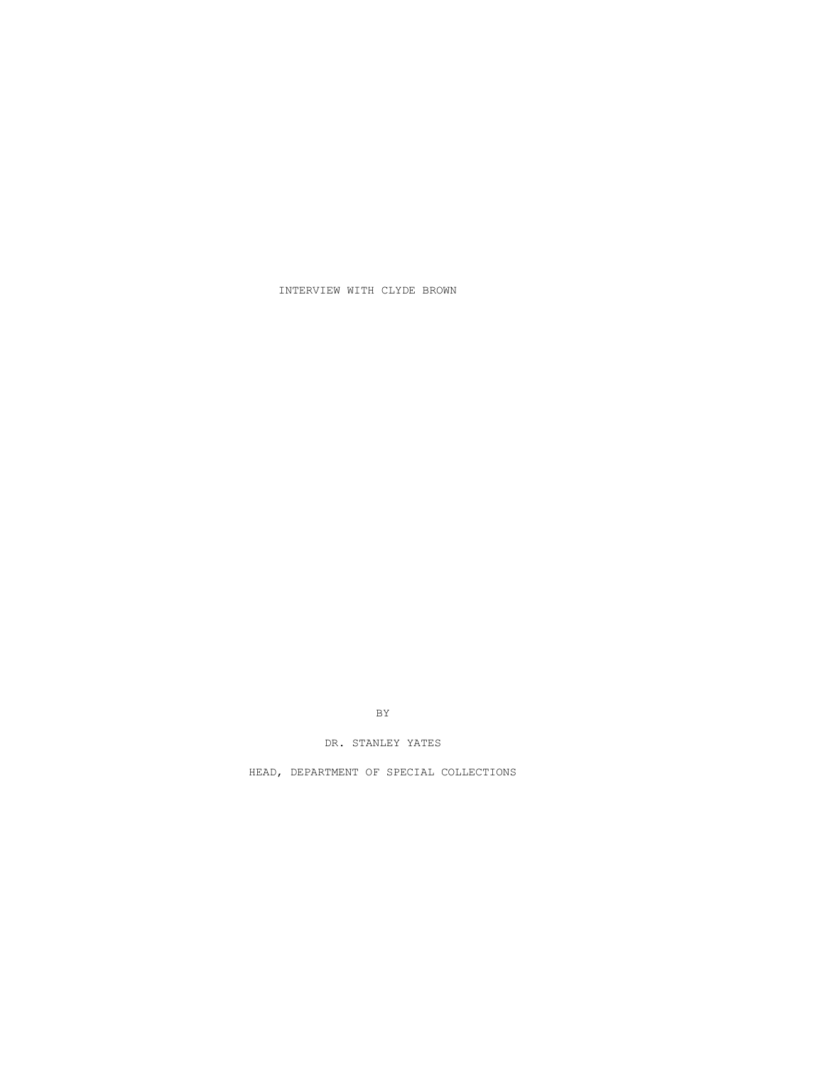INTERVIEW WITH CLYDE BROWN

BY

DR. STANLEY YATES

HEAD, DEPARTMENT OF SPECIAL COLLECTIONS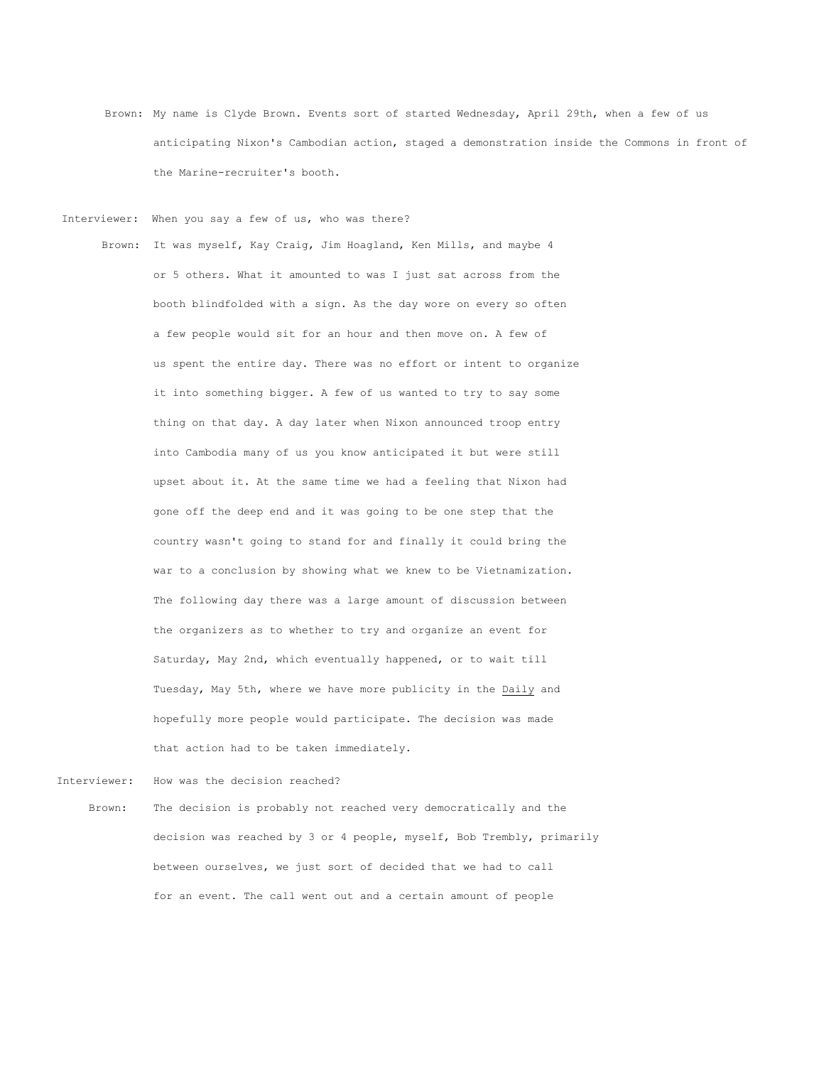Brown: My name is Clyde Brown. Events sort of started Wednesday, April 29th, when a few of us anticipating Nixon's Cambodian action, staged a demonstration inside the Commons in front of the Marine-recruiter's booth.

Interviewer: When you say a few of us, who was there?

 Brown: It was myself, Kay Craig, Jim Hoagland, Ken Mills, and maybe 4 or 5 others. What it amounted to was I just sat across from the booth blindfolded with a sign. As the day wore on every so often a few people would sit for an hour and then move on. A few of us spent the entire day. There was no effort or intent to organize it into something bigger. A few of us wanted to try to say some thing on that day. A day later when Nixon announced troop entry into Cambodia many of us you know anticipated it but were still upset about it. At the same time we had a feeling that Nixon had gone off the deep end and it was going to be one step that the country wasn't going to stand for and finally it could bring the war to a conclusion by showing what we knew to be Vietnamization. The following day there was a large amount of discussion between the organizers as to whether to try and organize an event for Saturday, May 2nd, which eventually happened, or to wait till Tuesday, May 5th, where we have more publicity in the Daily and hopefully more people would participate. The decision was made that action had to be taken immediately.

Interviewer: How was the decision reached? Brown: The decision is probably not reached very democratically and the decision was reached by 3 or 4 people, myself, Bob Trembly, primarily between ourselves, we just sort of decided that we had to call for an event. The call went out and a certain amount of people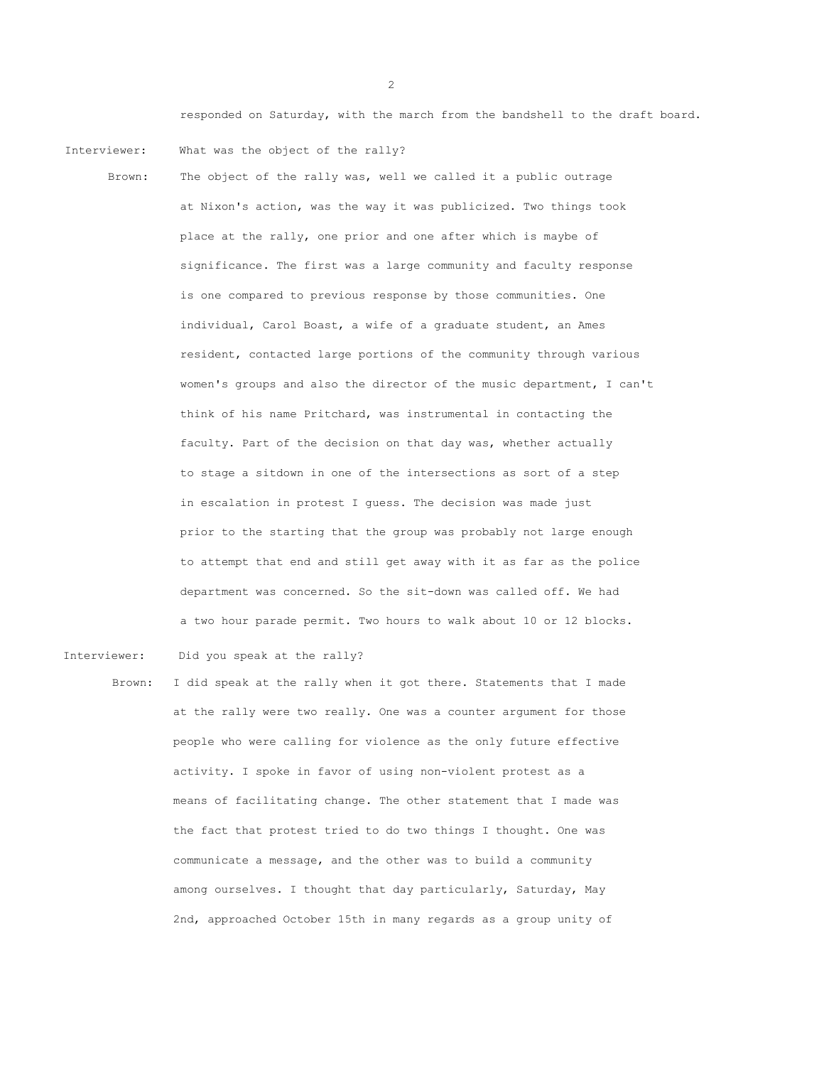responded on Saturday, with the march from the bandshell to the draft board.

Interviewer: What was the object of the rally?

 Brown: The object of the rally was, well we called it a public outrage at Nixon's action, was the way it was publicized. Two things took place at the rally, one prior and one after which is maybe of significance. The first was a large community and faculty response is one compared to previous response by those communities. One individual, Carol Boast, a wife of a graduate student, an Ames resident, contacted large portions of the community through various women's groups and also the director of the music department, I can't think of his name Pritchard, was instrumental in contacting the faculty. Part of the decision on that day was, whether actually to stage a sitdown in one of the intersections as sort of a step in escalation in protest I guess. The decision was made just prior to the starting that the group was probably not large enough to attempt that end and still get away with it as far as the police department was concerned. So the sit-down was called off. We had a two hour parade permit. Two hours to walk about 10 or 12 blocks.

Interviewer: Did you speak at the rally?

Brown: I did speak at the rally when it got there. Statements that I made at the rally were two really. One was a counter argument for those people who were calling for violence as the only future effective activity. I spoke in favor of using non-violent protest as a means of facilitating change. The other statement that I made was the fact that protest tried to do two things I thought. One was communicate a message, and the other was to build a community among ourselves. I thought that day particularly, Saturday, May 2nd, approached October 15th in many regards as a group unity of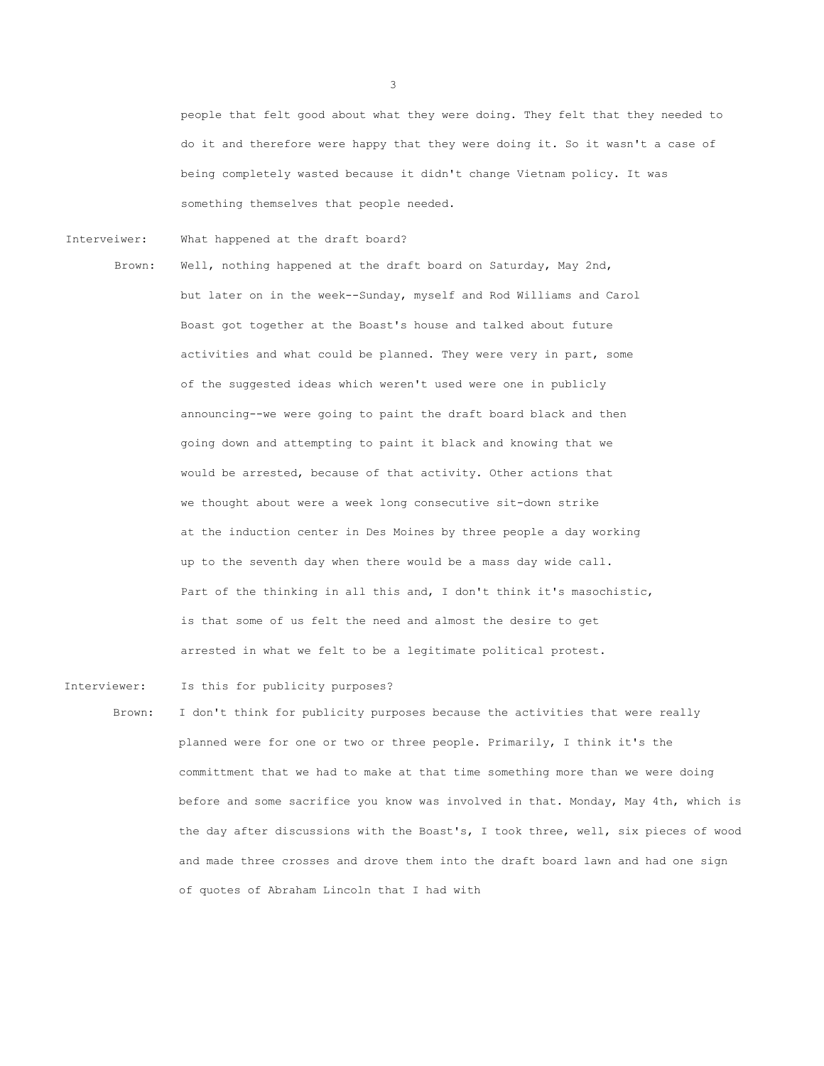people that felt good about what they were doing. They felt that they needed to do it and therefore were happy that they were doing it. So it wasn't a case of being completely wasted because it didn't change Vietnam policy. It was something themselves that people needed.

Interveiwer: What happened at the draft board?

Brown: Well, nothing happened at the draft board on Saturday, May 2nd, but later on in the week--Sunday, myself and Rod Williams and Carol Boast got together at the Boast's house and talked about future activities and what could be planned. They were very in part, some of the suggested ideas which weren't used were one in publicly announcing--we were going to paint the draft board black and then going down and attempting to paint it black and knowing that we would be arrested, because of that activity. Other actions that we thought about were a week long consecutive sit-down strike at the induction center in Des Moines by three people a day working up to the seventh day when there would be a mass day wide call. Part of the thinking in all this and, I don't think it's masochistic, is that some of us felt the need and almost the desire to get arrested in what we felt to be a legitimate political protest.

- Interviewer: Is this for publicity purposes?
	- Brown: I don't think for publicity purposes because the activities that were really planned were for one or two or three people. Primarily, I think it's the committment that we had to make at that time something more than we were doing before and some sacrifice you know was involved in that. Monday, May 4th, which is the day after discussions with the Boast's, I took three, well, six pieces of wood and made three crosses and drove them into the draft board lawn and had one sign of quotes of Abraham Lincoln that I had with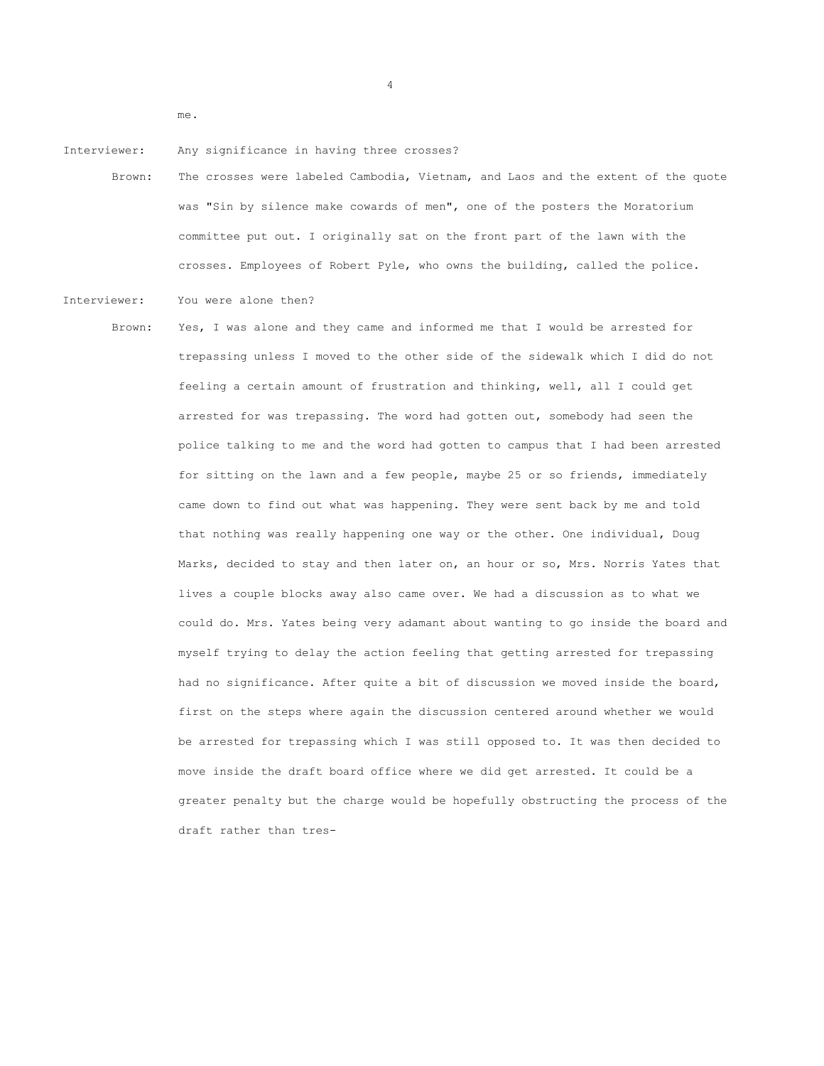me.

Interviewer: Any significance in having three crosses?

Brown: The crosses were labeled Cambodia, Vietnam, and Laos and the extent of the quote was "Sin by silence make cowards of men", one of the posters the Moratorium committee put out. I originally sat on the front part of the lawn with the crosses. Employees of Robert Pyle, who owns the building, called the police.

4

Interviewer: You were alone then?

Brown: Yes, I was alone and they came and informed me that I would be arrested for trepassing unless I moved to the other side of the sidewalk which I did do not feeling a certain amount of frustration and thinking, well, all I could get arrested for was trepassing. The word had gotten out, somebody had seen the police talking to me and the word had gotten to campus that I had been arrested for sitting on the lawn and a few people, maybe 25 or so friends, immediately came down to find out what was happening. They were sent back by me and told that nothing was really happening one way or the other. One individual, Doug Marks, decided to stay and then later on, an hour or so, Mrs. Norris Yates that lives a couple blocks away also came over. We had a discussion as to what we could do. Mrs. Yates being very adamant about wanting to go inside the board and myself trying to delay the action feeling that getting arrested for trepassing had no significance. After quite a bit of discussion we moved inside the board, first on the steps where again the discussion centered around whether we would be arrested for trepassing which I was still opposed to. It was then decided to move inside the draft board office where we did get arrested. It could be a greater penalty but the charge would be hopefully obstructing the process of the draft rather than tres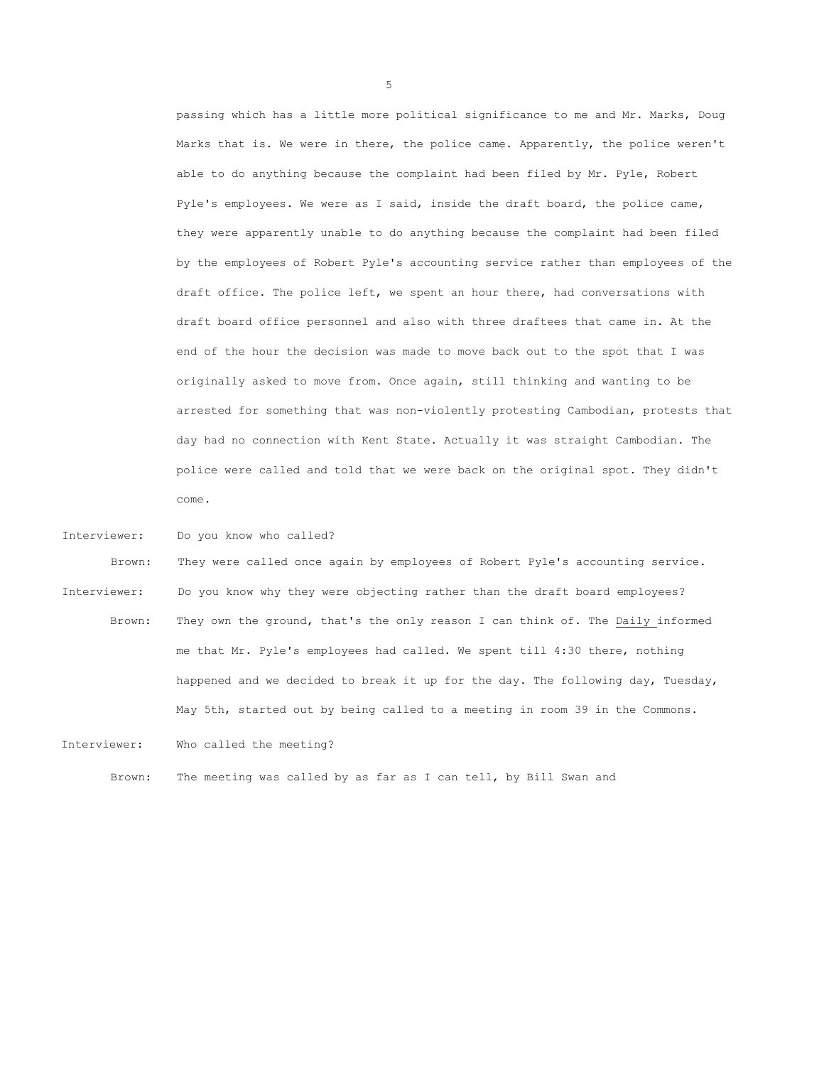passing which has a little more political significance to me and Mr. Marks, Doug Marks that is. We were in there, the police came. Apparently, the police weren't able to do anything because the complaint had been filed by Mr. Pyle, Robert Pyle's employees. We were as I said, inside the draft board, the police came, they were apparently unable to do anything because the complaint had been filed by the employees of Robert Pyle's accounting service rather than employees of the draft office. The police left, we spent an hour there, had conversations with draft board office personnel and also with three draftees that came in. At the end of the hour the decision was made to move back out to the spot that I was originally asked to move from. Once again, still thinking and wanting to be arrested for something that was non-violently protesting Cambodian, protests that day had no connection with Kent State. Actually it was straight Cambodian. The police were called and told that we were back on the original spot. They didn't come.

Interviewer: Do you know who called?

Brown: They were called once again by employees of Robert Pyle's accounting service. Interviewer: Do you know why they were objecting rather than the draft board employees? Brown: They own the ground, that's the only reason I can think of. The Daily informed me that Mr. Pyle's employees had called. We spent till 4:30 there, nothing happened and we decided to break it up for the day. The following day, Tuesday, May 5th, started out by being called to a meeting in room 39 in the Commons.

Interviewer: Who called the meeting?

Brown: The meeting was called by as far as I can tell, by Bill Swan and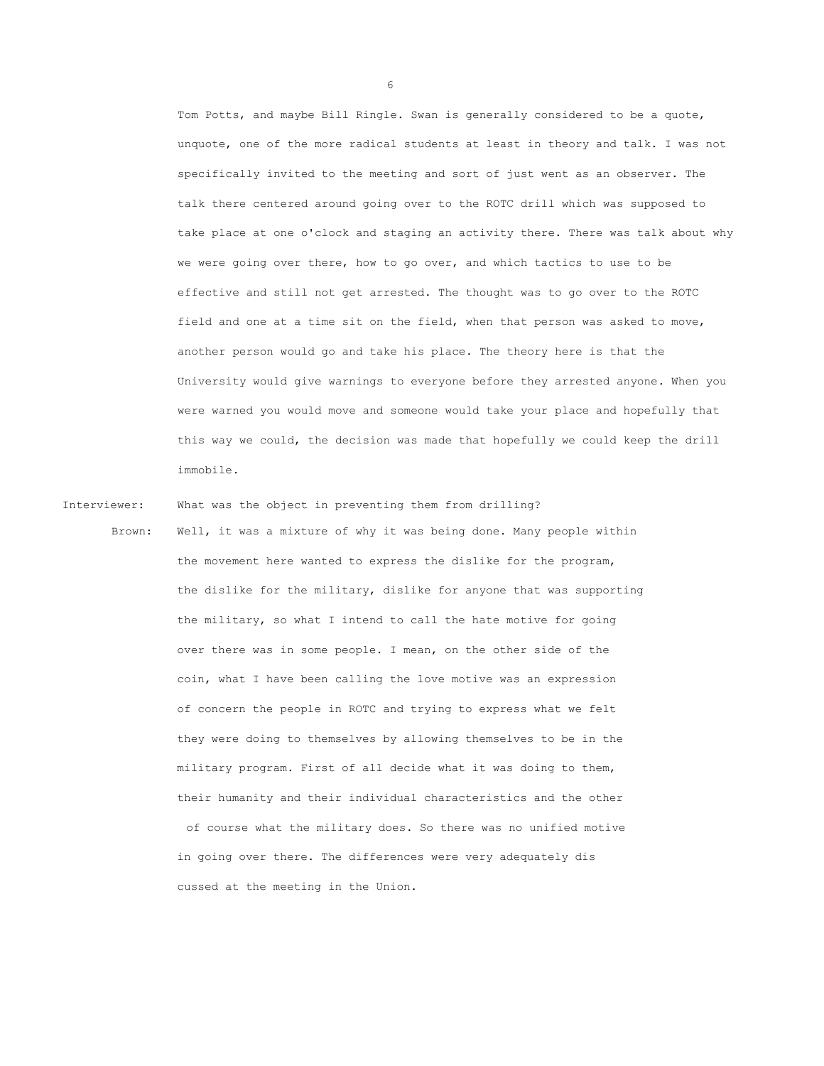Tom Potts, and maybe Bill Ringle. Swan is generally considered to be a quote, unquote, one of the more radical students at least in theory and talk. I was not specifically invited to the meeting and sort of just went as an observer. The talk there centered around going over to the ROTC drill which was supposed to take place at one o'clock and staging an activity there. There was talk about why we were going over there, how to go over, and which tactics to use to be effective and still not get arrested. The thought was to go over to the ROTC field and one at a time sit on the field, when that person was asked to move, another person would go and take his place. The theory here is that the University would give warnings to everyone before they arrested anyone. When you were warned you would move and someone would take your place and hopefully that this way we could, the decision was made that hopefully we could keep the drill immobile.

Interviewer: What was the object in preventing them from drilling?

Brown: Well, it was a mixture of why it was being done. Many people within the movement here wanted to express the dislike for the program, the dislike for the military, dislike for anyone that was supporting the military, so what I intend to call the hate motive for going over there was in some people. I mean, on the other side of the coin, what I have been calling the love motive was an expression of concern the people in ROTC and trying to express what we felt they were doing to themselves by allowing themselves to be in the military program. First of all decide what it was doing to them, their humanity and their individual characteristics and the other of course what the military does. So there was no unified motive in going over there. The differences were very adequately dis cussed at the meeting in the Union.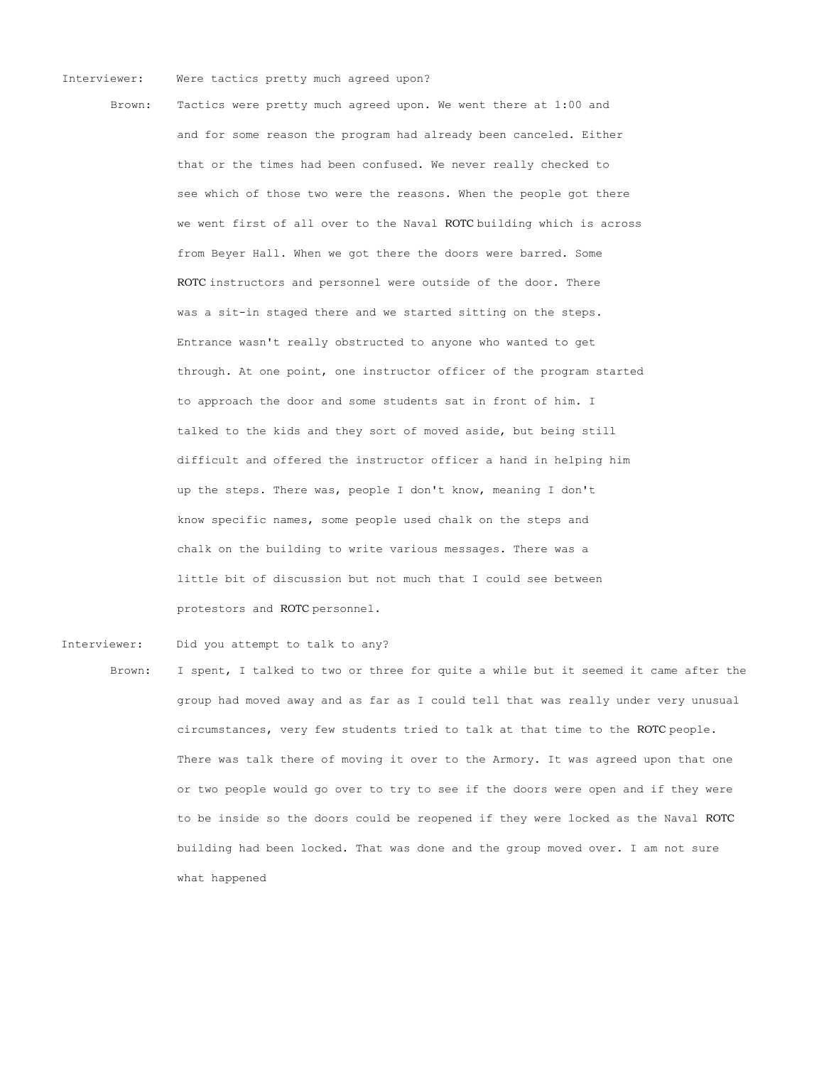## Interviewer: Were tactics pretty much agreed upon?

Brown: Tactics were pretty much agreed upon. We went there at 1:00 and and for some reason the program had already been canceled. Either that or the times had been confused. We never really checked to see which of those two were the reasons. When the people got there we went first of all over to the Naval ROTC building which is across from Beyer Hall. When we got there the doors were barred. Some ROTC instructors and personnel were outside of the door. There was a sit-in staged there and we started sitting on the steps. Entrance wasn't really obstructed to anyone who wanted to get through. At one point, one instructor officer of the program started to approach the door and some students sat in front of him. I talked to the kids and they sort of moved aside, but being still difficult and offered the instructor officer a hand in helping him up the steps. There was, people I don't know, meaning I don't know specific names, some people used chalk on the steps and chalk on the building to write various messages. There was a little bit of discussion but not much that I could see between protestors and ROTC personnel.

Interviewer: Did you attempt to talk to any?

Brown: I spent, I talked to two or three for quite a while but it seemed it came after the group had moved away and as far as I could tell that was really under very unusual circumstances, very few students tried to talk at that time to the ROTC people. There was talk there of moving it over to the Armory. It was agreed upon that one or two people would go over to try to see if the doors were open and if they were to be inside so the doors could be reopened if they were locked as the Naval ROTC building had been locked. That was done and the group moved over. I am not sure what happened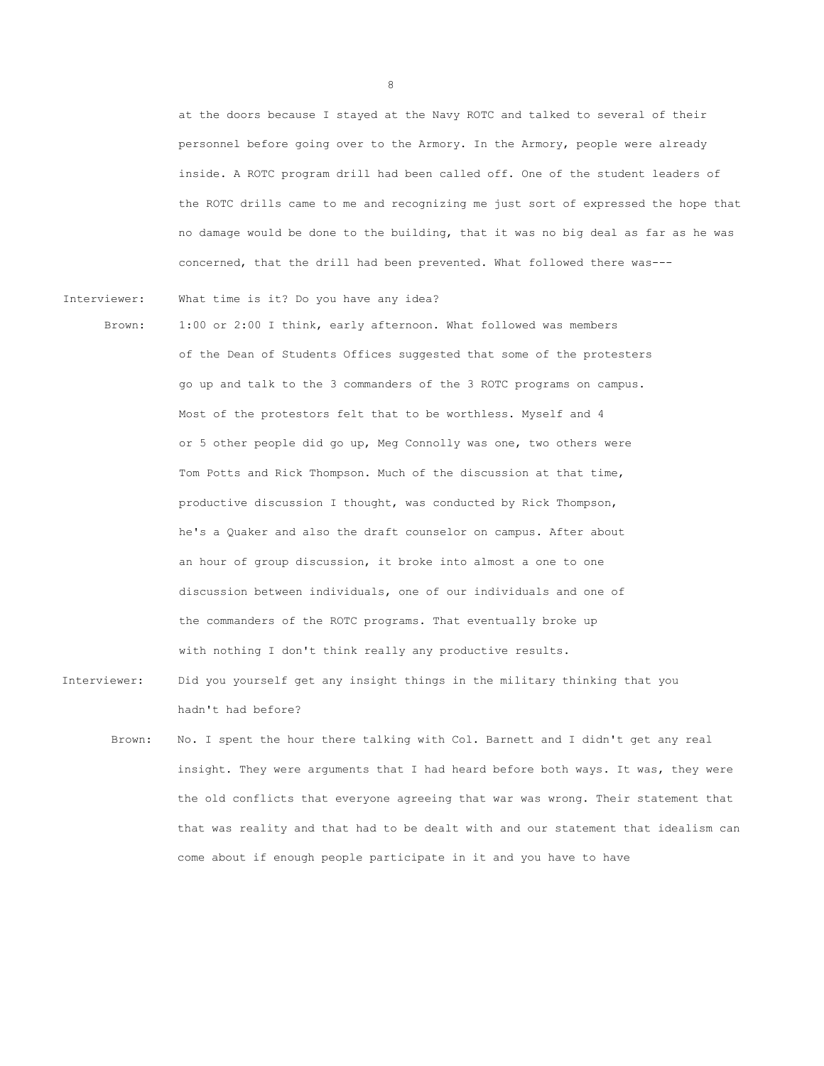at the doors because I stayed at the Navy ROTC and talked to several of their personnel before going over to the Armory. In the Armory, people were already inside. A ROTC program drill had been called off. One of the student leaders of the ROTC drills came to me and recognizing me just sort of expressed the hope that no damage would be done to the building, that it was no big deal as far as he was concerned, that the drill had been prevented. What followed there was---

Interviewer: What time is it? Do you have any idea?

- Brown: 1:00 or 2:00 I think, early afternoon. What followed was members of the Dean of Students Offices suggested that some of the protesters go up and talk to the 3 commanders of the 3 ROTC programs on campus. Most of the protestors felt that to be worthless. Myself and 4 or 5 other people did go up, Meg Connolly was one, two others were Tom Potts and Rick Thompson. Much of the discussion at that time, productive discussion I thought, was conducted by Rick Thompson, he's a Quaker and also the draft counselor on campus. After about an hour of group discussion, it broke into almost a one to one discussion between individuals, one of our individuals and one of the commanders of the ROTC programs. That eventually broke up with nothing I don't think really any productive results.
- Interviewer: Did you yourself get any insight things in the military thinking that you hadn't had before?
	- Brown: No. I spent the hour there talking with Col. Barnett and I didn't get any real insight. They were arguments that I had heard before both ways. It was, they were the old conflicts that everyone agreeing that war was wrong. Their statement that that was reality and that had to be dealt with and our statement that idealism can come about if enough people participate in it and you have to have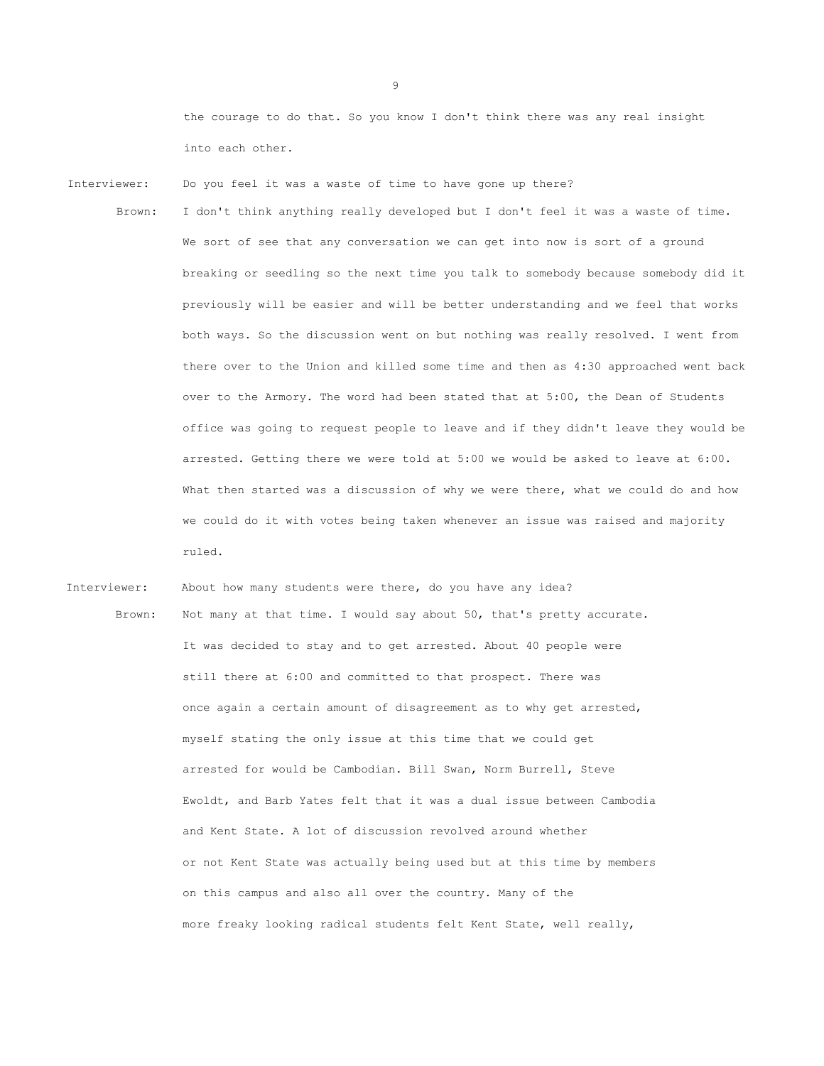the courage to do that. So you know I don't think there was any real insight into each other.

- Interviewer: Do you feel it was a waste of time to have gone up there?
	- Brown: I don't think anything really developed but I don't feel it was a waste of time. We sort of see that any conversation we can get into now is sort of a ground breaking or seedling so the next time you talk to somebody because somebody did it previously will be easier and will be better understanding and we feel that works both ways. So the discussion went on but nothing was really resolved. I went from there over to the Union and killed some time and then as 4:30 approached went back over to the Armory. The word had been stated that at 5:00, the Dean of Students office was going to request people to leave and if they didn't leave they would be arrested. Getting there we were told at 5:00 we would be asked to leave at 6:00. What then started was a discussion of why we were there, what we could do and how we could do it with votes being taken whenever an issue was raised and majority ruled.

Interviewer: About how many students were there, do you have any idea? Brown: Not many at that time. I would say about 50, that's pretty accurate. It was decided to stay and to get arrested. About 40 people were still there at 6:00 and committed to that prospect. There was once again a certain amount of disagreement as to why get arrested, myself stating the only issue at this time that we could get arrested for would be Cambodian. Bill Swan, Norm Burrell, Steve Ewoldt, and Barb Yates felt that it was a dual issue between Cambodia and Kent State. A lot of discussion revolved around whether or not Kent State was actually being used but at this time by members on this campus and also all over the country. Many of the more freaky looking radical students felt Kent State, well really,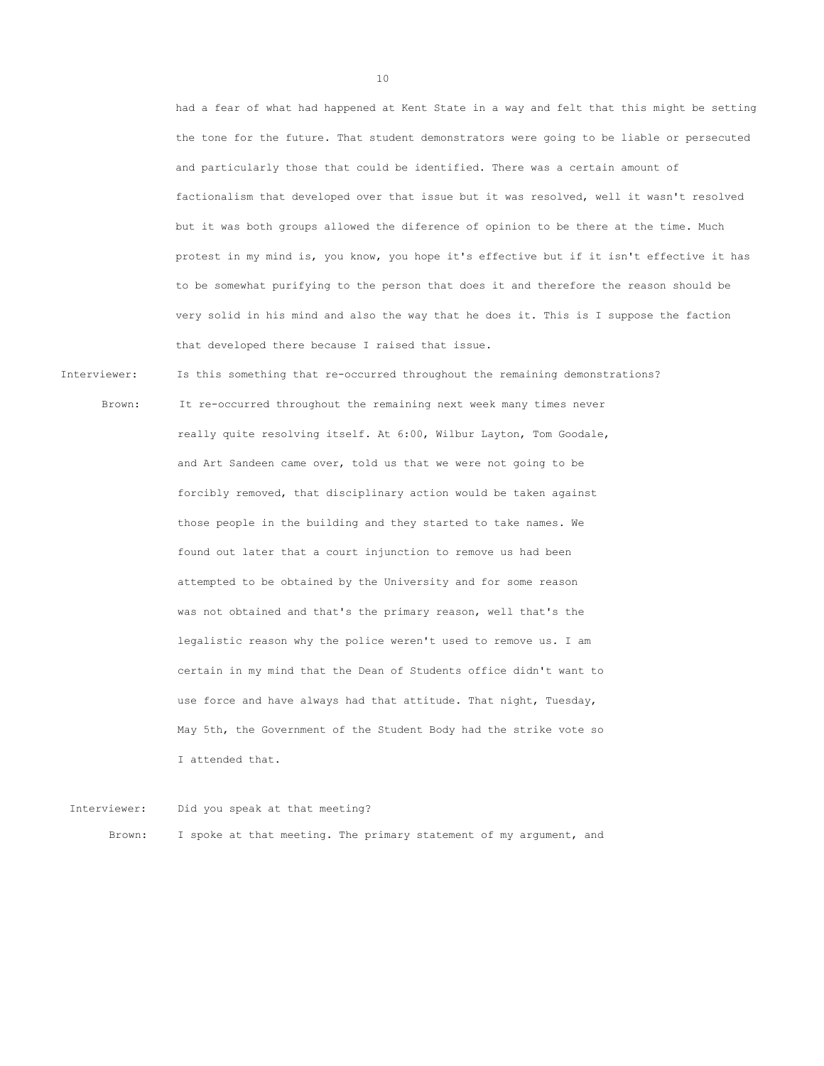had a fear of what had happened at Kent State in a way and felt that this might be setting the tone for the future. That student demonstrators were going to be liable or persecuted and particularly those that could be identified. There was a certain amount of factionalism that developed over that issue but it was resolved, well it wasn't resolved but it was both groups allowed the diference of opinion to be there at the time. Much protest in my mind is, you know, you hope it's effective but if it isn't effective it has to be somewhat purifying to the person that does it and therefore the reason should be very solid in his mind and also the way that he does it. This is I suppose the faction that developed there because I raised that issue.

Interviewer: Is this something that re-occurred throughout the remaining demonstrations?

 Brown: It re-occurred throughout the remaining next week many times never really quite resolving itself. At 6:00, Wilbur Layton, Tom Goodale, and Art Sandeen came over, told us that we were not going to be forcibly removed, that disciplinary action would be taken against those people in the building and they started to take names. We found out later that a court injunction to remove us had been attempted to be obtained by the University and for some reason was not obtained and that's the primary reason, well that's the legalistic reason why the police weren't used to remove us. I am certain in my mind that the Dean of Students office didn't want to use force and have always had that attitude. That night, Tuesday, May 5th, the Government of the Student Body had the strike vote so I attended that.

Interviewer: Did you speak at that meeting?

Brown: I spoke at that meeting. The primary statement of my argument, and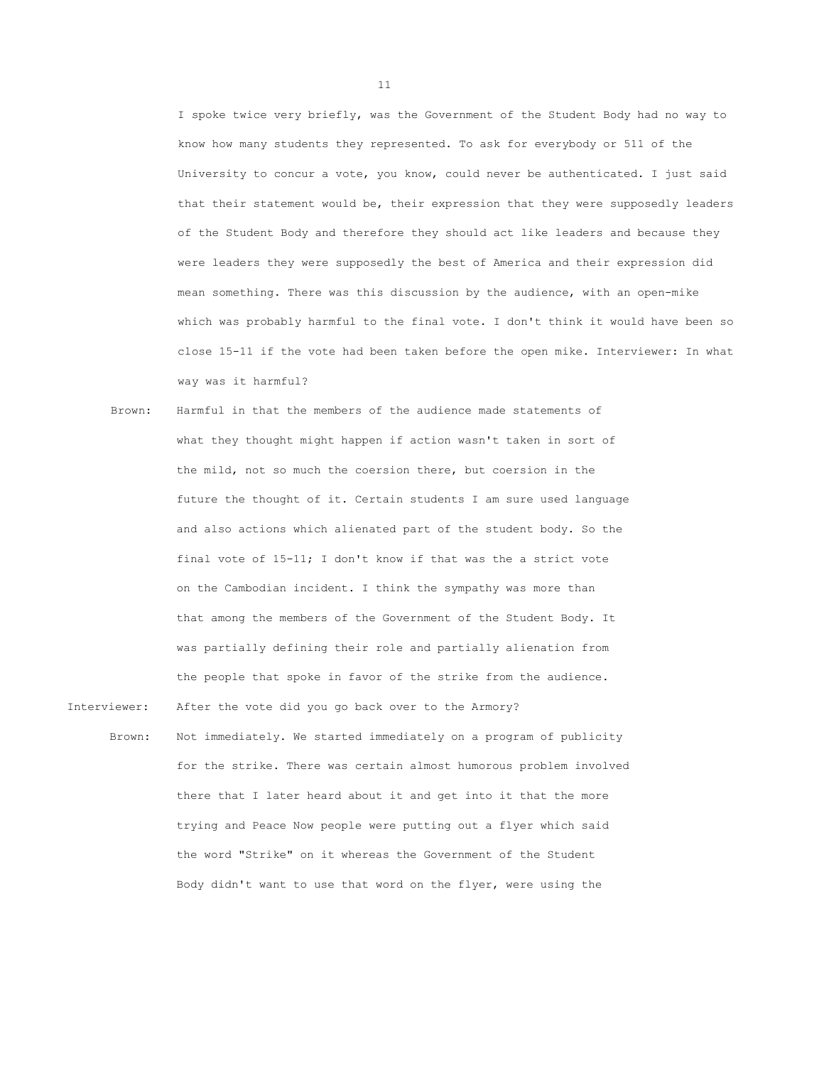I spoke twice very briefly, was the Government of the Student Body had no way to know how many students they represented. To ask for everybody or 511 of the University to concur a vote, you know, could never be authenticated. I just said that their statement would be, their expression that they were supposedly leaders of the Student Body and therefore they should act like leaders and because they were leaders they were supposedly the best of America and their expression did mean something. There was this discussion by the audience, with an open-mike which was probably harmful to the final vote. I don't think it would have been so close 15-11 if the vote had been taken before the open mike. Interviewer: In what way was it harmful?

- Brown: Harmful in that the members of the audience made statements of what they thought might happen if action wasn't taken in sort of the mild, not so much the coersion there, but coersion in the future the thought of it. Certain students I am sure used language and also actions which alienated part of the student body. So the final vote of 15-11; I don't know if that was the a strict vote on the Cambodian incident. I think the sympathy was more than that among the members of the Government of the Student Body. It was partially defining their role and partially alienation from the people that spoke in favor of the strike from the audience.
- Interviewer: After the vote did you go back over to the Armory?
	- Brown: Not immediately. We started immediately on a program of publicity for the strike. There was certain almost humorous problem involved there that I later heard about it and get into it that the more trying and Peace Now people were putting out a flyer which said the word "Strike" on it whereas the Government of the Student Body didn't want to use that word on the flyer, were using the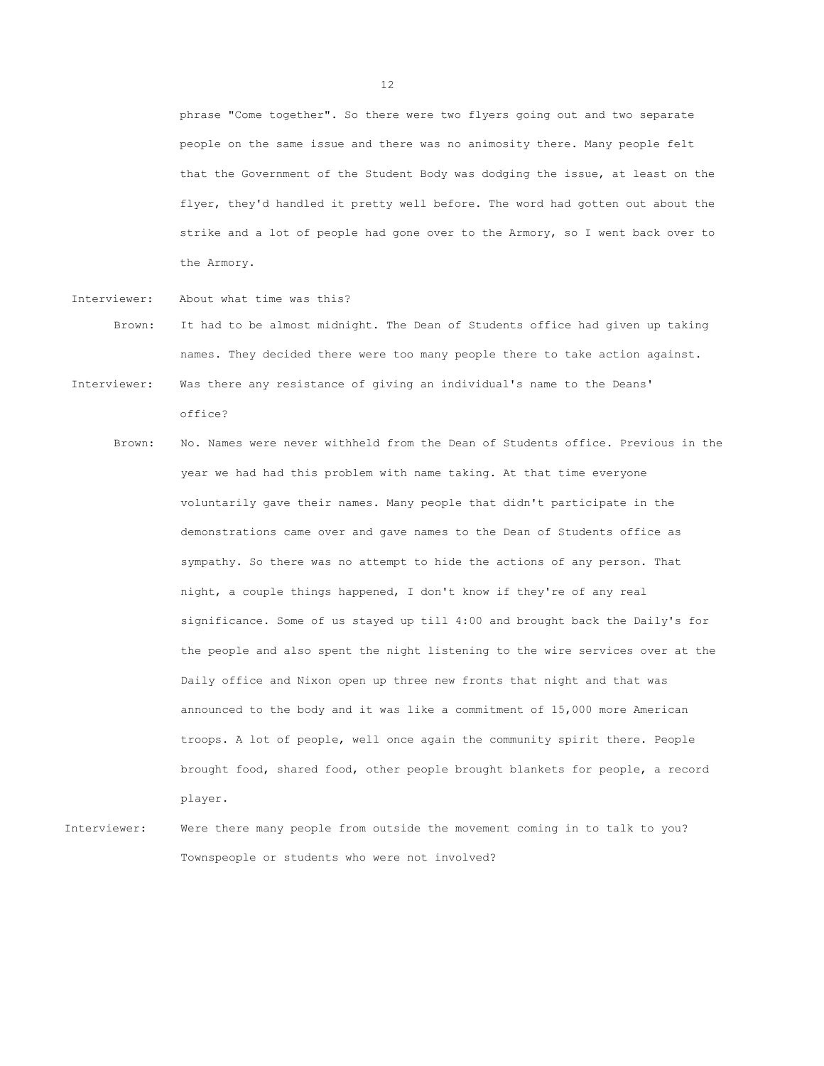phrase "Come together". So there were two flyers going out and two separate people on the same issue and there was no animosity there. Many people felt that the Government of the Student Body was dodging the issue, at least on the flyer, they'd handled it pretty well before. The word had gotten out about the strike and a lot of people had gone over to the Armory, so I went back over to the Armory.

- Interviewer: About what time was this?
- Brown: It had to be almost midnight. The Dean of Students office had given up taking names. They decided there were too many people there to take action against.
- Interviewer: Was there any resistance of giving an individual's name to the Deans' office?
	- Brown: No. Names were never withheld from the Dean of Students office. Previous in the year we had had this problem with name taking. At that time everyone voluntarily gave their names. Many people that didn't participate in the demonstrations came over and gave names to the Dean of Students office as sympathy. So there was no attempt to hide the actions of any person. That night, a couple things happened, I don't know if they're of any real significance. Some of us stayed up till 4:00 and brought back the Daily's for the people and also spent the night listening to the wire services over at the Daily office and Nixon open up three new fronts that night and that was announced to the body and it was like a commitment of 15,000 more American troops. A lot of people, well once again the community spirit there. People brought food, shared food, other people brought blankets for people, a record player.
- Interviewer: Were there many people from outside the movement coming in to talk to you? Townspeople or students who were not involved?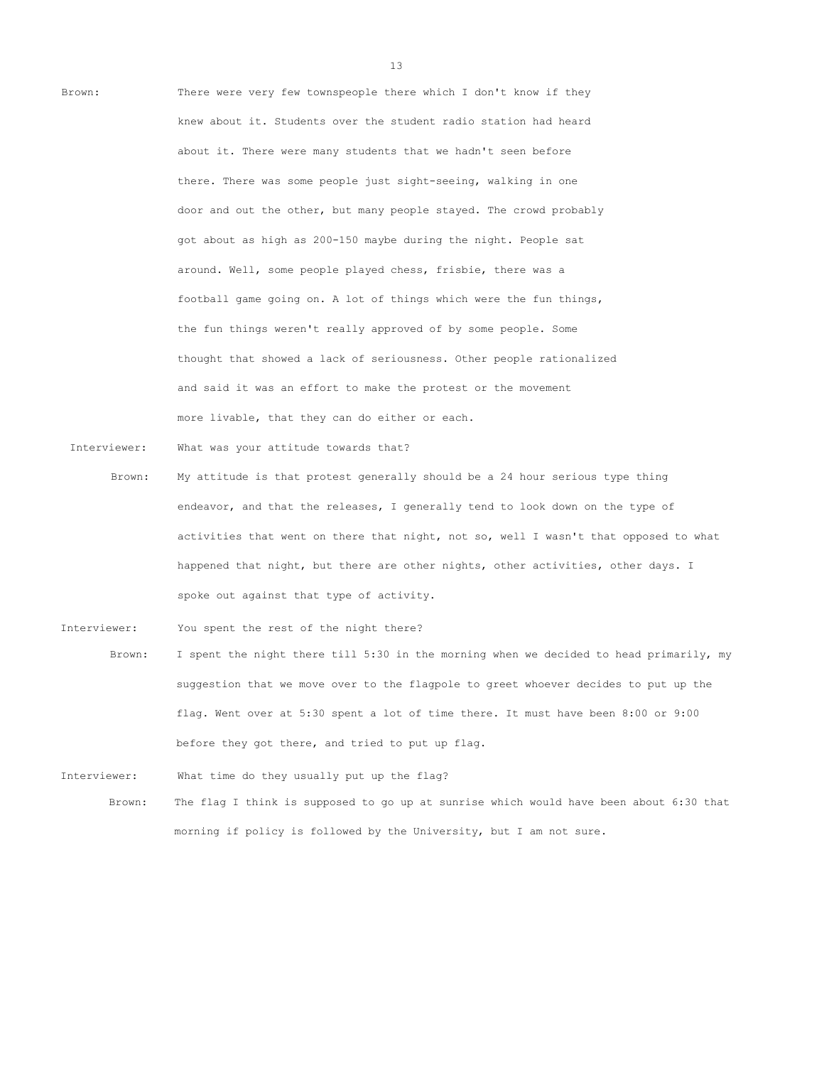

Interviewer: What was your attitude towards that?

- Brown: My attitude is that protest generally should be a 24 hour serious type thing endeavor, and that the releases, I generally tend to look down on the type of activities that went on there that night, not so, well I wasn't that opposed to what happened that night, but there are other nights, other activities, other days. I spoke out against that type of activity.
- Interviewer: You spent the rest of the night there?
	- Brown: I spent the night there till 5:30 in the morning when we decided to head primarily, my suggestion that we move over to the flagpole to greet whoever decides to put up the flag. Went over at 5:30 spent a lot of time there. It must have been 8:00 or 9:00 before they got there, and tried to put up flag.

Interviewer: What time do they usually put up the flag? Brown: The flag I think is supposed to go up at sunrise which would have been about 6:30 that morning if policy is followed by the University, but I am not sure.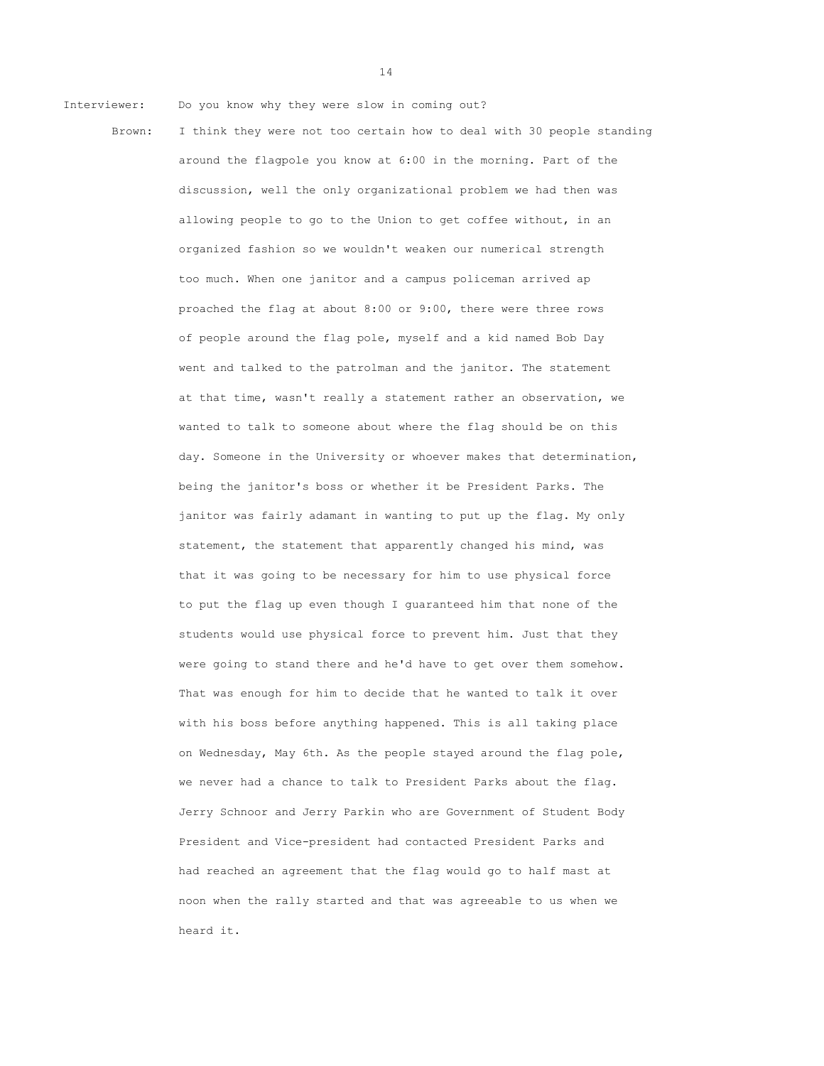Interviewer: Do you know why they were slow in coming out?

Brown: I think they were not too certain how to deal with 30 people standing around the flagpole you know at 6:00 in the morning. Part of the discussion, well the only organizational problem we had then was allowing people to go to the Union to get coffee without, in an organized fashion so we wouldn't weaken our numerical strength too much. When one janitor and a campus policeman arrived ap proached the flag at about 8:00 or 9:00, there were three rows of people around the flag pole, myself and a kid named Bob Day went and talked to the patrolman and the janitor. The statement at that time, wasn't really a statement rather an observation, we wanted to talk to someone about where the flag should be on this day. Someone in the University or whoever makes that determination, being the janitor's boss or whether it be President Parks. The janitor was fairly adamant in wanting to put up the flag. My only statement, the statement that apparently changed his mind, was that it was going to be necessary for him to use physical force to put the flag up even though I guaranteed him that none of the students would use physical force to prevent him. Just that they were going to stand there and he'd have to get over them somehow. That was enough for him to decide that he wanted to talk it over with his boss before anything happened. This is all taking place on Wednesday, May 6th. As the people stayed around the flag pole, we never had a chance to talk to President Parks about the flag. Jerry Schnoor and Jerry Parkin who are Government of Student Body President and Vice-president had contacted President Parks and had reached an agreement that the flag would go to half mast at noon when the rally started and that was agreeable to us when we heard it.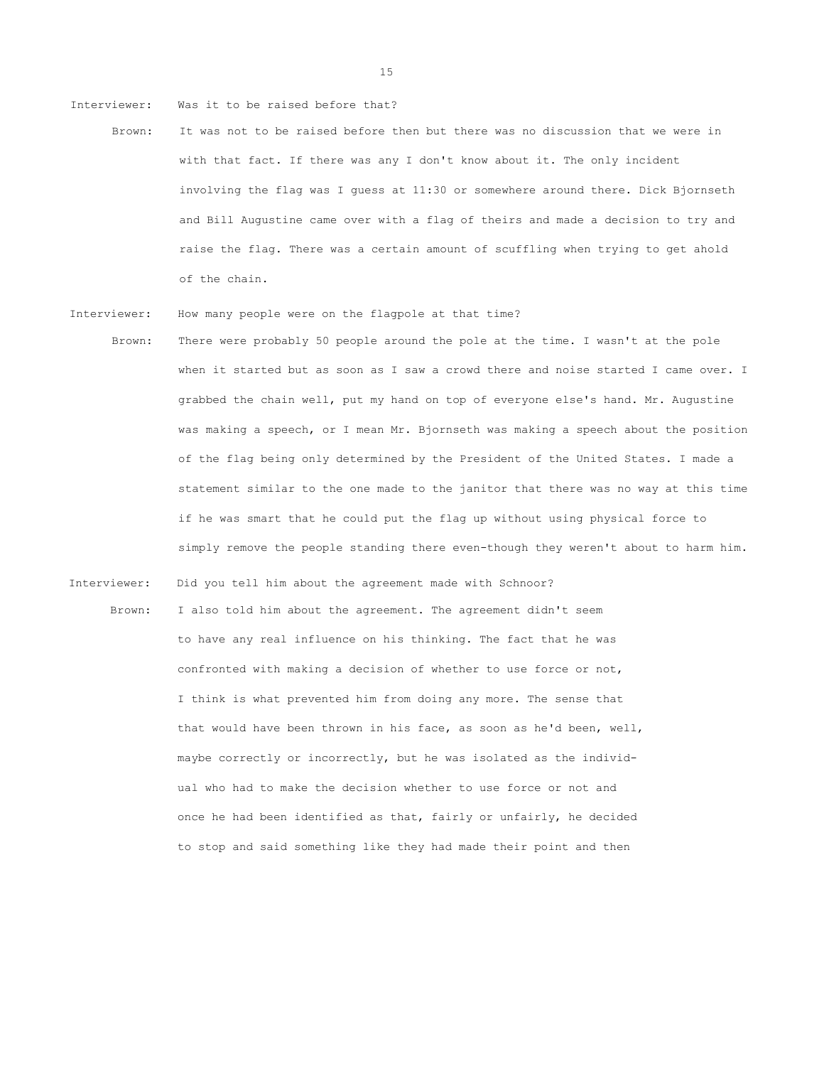Interviewer: Was it to be raised before that?

- Brown: It was not to be raised before then but there was no discussion that we were in with that fact. If there was any I don't know about it. The only incident involving the flag was I guess at 11:30 or somewhere around there. Dick Bjornseth and Bill Augustine came over with a flag of theirs and made a decision to try and raise the flag. There was a certain amount of scuffling when trying to get ahold of the chain.
- Interviewer: How many people were on the flagpole at that time?
- Brown: There were probably 50 people around the pole at the time. I wasn't at the pole when it started but as soon as I saw a crowd there and noise started I came over. I grabbed the chain well, put my hand on top of everyone else's hand. Mr. Augustine was making a speech, or I mean Mr. Bjornseth was making a speech about the position of the flag being only determined by the President of the United States. I made a statement similar to the one made to the janitor that there was no way at this time if he was smart that he could put the flag up without using physical force to simply remove the people standing there even-though they weren't about to harm him.
- Interviewer: Did you tell him about the agreement made with Schnoor? Brown: I also told him about the agreement. The agreement didn't seem to have any real influence on his thinking. The fact that he was confronted with making a decision of whether to use force or not, I think is what prevented him from doing any more. The sense that that would have been thrown in his face, as soon as he'd been, well, maybe correctly or incorrectly, but he was isolated as the individual who had to make the decision whether to use force or not and once he had been identified as that, fairly or unfairly, he decided to stop and said something like they had made their point and then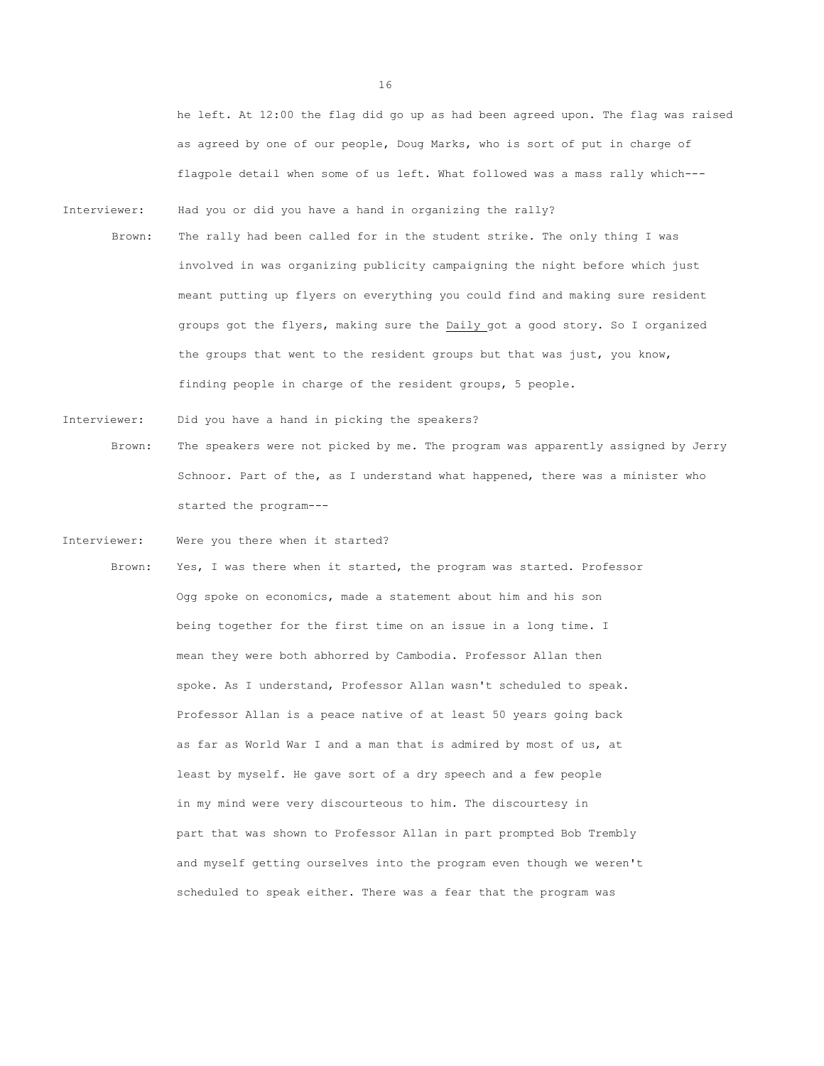he left. At 12:00 the flag did go up as had been agreed upon. The flag was raised as agreed by one of our people, Doug Marks, who is sort of put in charge of flagpole detail when some of us left. What followed was a mass rally which---

- Interviewer: Had you or did you have a hand in organizing the rally?
- Brown: The rally had been called for in the student strike. The only thing I was involved in was organizing publicity campaigning the night before which just meant putting up flyers on everything you could find and making sure resident groups got the flyers, making sure the Daily got a good story. So I organized the groups that went to the resident groups but that was just, you know, finding people in charge of the resident groups, 5 people.
- Interviewer: Did you have a hand in picking the speakers? Brown: The speakers were not picked by me. The program was apparently assigned by Jerry Schnoor. Part of the, as I understand what happened, there was a minister who started the program---
- Interviewer: Were you there when it started?
	- Brown: Yes, I was there when it started, the program was started. Professor Ogg spoke on economics, made a statement about him and his son being together for the first time on an issue in a long time. I mean they were both abhorred by Cambodia. Professor Allan then spoke. As I understand, Professor Allan wasn't scheduled to speak. Professor Allan is a peace native of at least 50 years going back as far as World War I and a man that is admired by most of us, at least by myself. He gave sort of a dry speech and a few people in my mind were very discourteous to him. The discourtesy in part that was shown to Professor Allan in part prompted Bob Trembly and myself getting ourselves into the program even though we weren't scheduled to speak either. There was a fear that the program was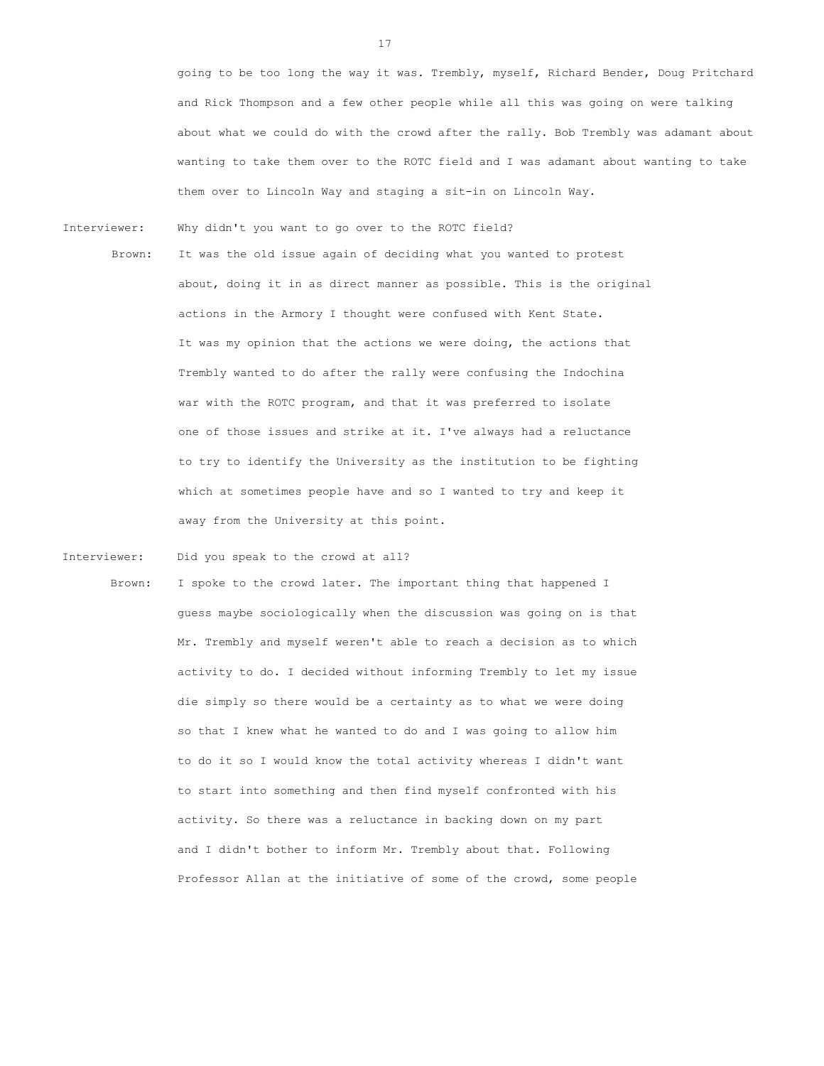going to be too long the way it was. Trembly, myself, Richard Bender, Doug Pritchard and Rick Thompson and a few other people while all this was going on were talking about what we could do with the crowd after the rally. Bob Trembly was adamant about wanting to take them over to the ROTC field and I was adamant about wanting to take them over to Lincoln Way and staging a sit-in on Lincoln Way.

Interviewer: Why didn't you want to go over to the ROTC field?

Brown: It was the old issue again of deciding what you wanted to protest about, doing it in as direct manner as possible. This is the original actions in the Armory I thought were confused with Kent State. It was my opinion that the actions we were doing, the actions that Trembly wanted to do after the rally were confusing the Indochina war with the ROTC program, and that it was preferred to isolate one of those issues and strike at it. I've always had a reluctance to try to identify the University as the institution to be fighting which at sometimes people have and so I wanted to try and keep it away from the University at this point.

Interviewer: Did you speak to the crowd at all?

Brown: I spoke to the crowd later. The important thing that happened I guess maybe sociologically when the discussion was going on is that Mr. Trembly and myself weren't able to reach a decision as to which activity to do. I decided without informing Trembly to let my issue die simply so there would be a certainty as to what we were doing so that I knew what he wanted to do and I was going to allow him to do it so I would know the total activity whereas I didn't want to start into something and then find myself confronted with his activity. So there was a reluctance in backing down on my part and I didn't bother to inform Mr. Trembly about that. Following Professor Allan at the initiative of some of the crowd, some people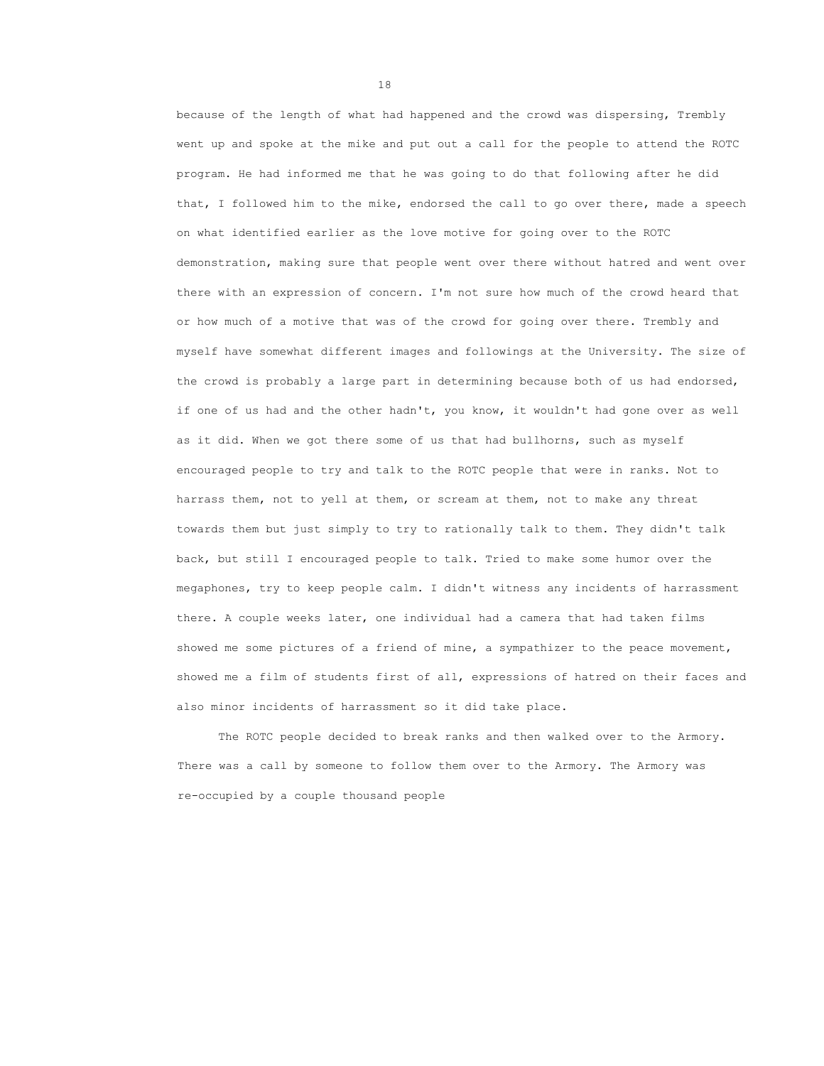because of the length of what had happened and the crowd was dispersing, Trembly went up and spoke at the mike and put out a call for the people to attend the ROTC program. He had informed me that he was going to do that following after he did that, I followed him to the mike, endorsed the call to go over there, made a speech on what identified earlier as the love motive for going over to the ROTC demonstration, making sure that people went over there without hatred and went over there with an expression of concern. I'm not sure how much of the crowd heard that or how much of a motive that was of the crowd for going over there. Trembly and myself have somewhat different images and followings at the University. The size of the crowd is probably a large part in determining because both of us had endorsed, if one of us had and the other hadn't, you know, it wouldn't had gone over as well as it did. When we got there some of us that had bullhorns, such as myself encouraged people to try and talk to the ROTC people that were in ranks. Not to harrass them, not to yell at them, or scream at them, not to make any threat towards them but just simply to try to rationally talk to them. They didn't talk back, but still I encouraged people to talk. Tried to make some humor over the megaphones, try to keep people calm. I didn't witness any incidents of harrassment there. A couple weeks later, one individual had a camera that had taken films showed me some pictures of a friend of mine, a sympathizer to the peace movement, showed me a film of students first of all, expressions of hatred on their faces and also minor incidents of harrassment so it did take place.

The ROTC people decided to break ranks and then walked over to the Armory. There was a call by someone to follow them over to the Armory. The Armory was re-occupied by a couple thousand people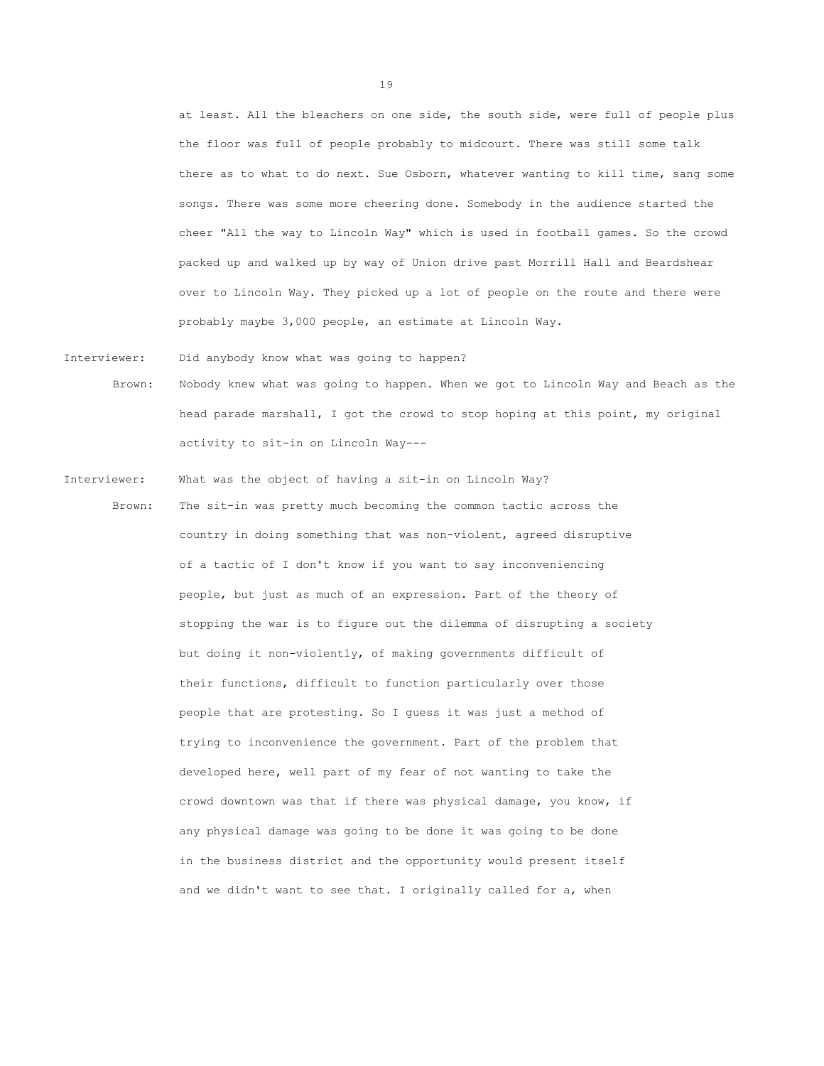at least. All the bleachers on one side, the south side, were full of people plus the floor was full of people probably to midcourt. There was still some talk there as to what to do next. Sue Osborn, whatever wanting to kill time, sang some songs. There was some more cheering done. Somebody in the audience started the cheer "All the way to Lincoln Way" which is used in football games. So the crowd packed up and walked up by way of Union drive past Morrill Hall and Beardshear over to Lincoln Way. They picked up a lot of people on the route and there were probably maybe 3,000 people, an estimate at Lincoln Way.

Interviewer: Did anybody know what was going to happen? Brown: Nobody knew what was going to happen. When we got to Lincoln Way and Beach as the head parade marshall, I got the crowd to stop hoping at this point, my original

activity to sit-in on Lincoln Way---

Interviewer: What was the object of having a sit-in on Lincoln Way? Brown: The sit-in was pretty much becoming the common tactic across the country in doing something that was non-violent, agreed disruptive of a tactic of I don't know if you want to say inconveniencing people, but just as much of an expression. Part of the theory of stopping the war is to figure out the dilemma of disrupting a society but doing it non-violently, of making governments difficult of their functions, difficult to function particularly over those people that are protesting. So I guess it was just a method of trying to inconvenience the government. Part of the problem that developed here, well part of my fear of not wanting to take the crowd downtown was that if there was physical damage, you know, if any physical damage was going to be done it was going to be done in the business district and the opportunity would present itself and we didn't want to see that. I originally called for a, when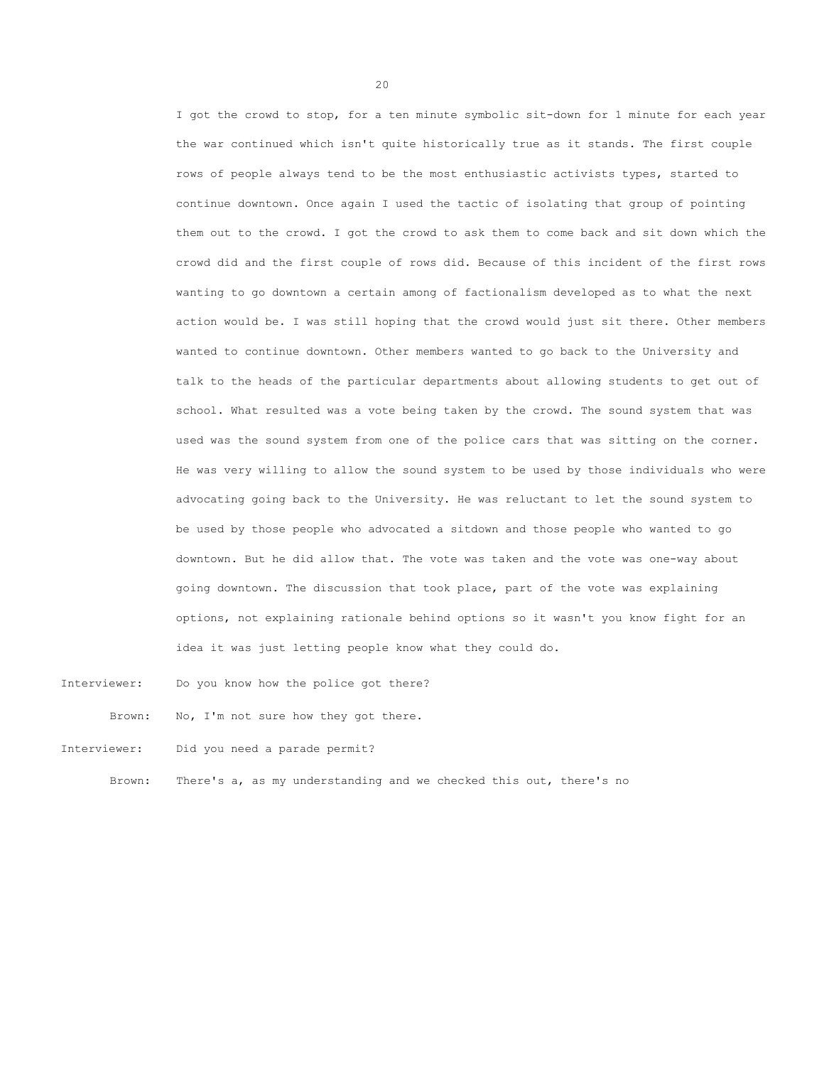I got the crowd to stop, for a ten minute symbolic sit-down for 1 minute for each year the war continued which isn't quite historically true as it stands. The first couple rows of people always tend to be the most enthusiastic activists types, started to continue downtown. Once again I used the tactic of isolating that group of pointing them out to the crowd. I got the crowd to ask them to come back and sit down which the crowd did and the first couple of rows did. Because of this incident of the first rows wanting to go downtown a certain among of factionalism developed as to what the next action would be. I was still hoping that the crowd would just sit there. Other members wanted to continue downtown. Other members wanted to go back to the University and talk to the heads of the particular departments about allowing students to get out of school. What resulted was a vote being taken by the crowd. The sound system that was used was the sound system from one of the police cars that was sitting on the corner. He was very willing to allow the sound system to be used by those individuals who were advocating going back to the University. He was reluctant to let the sound system to be used by those people who advocated a sitdown and those people who wanted to go downtown. But he did allow that. The vote was taken and the vote was one-way about going downtown. The discussion that took place, part of the vote was explaining options, not explaining rationale behind options so it wasn't you know fight for an idea it was just letting people know what they could do.

Interviewer: Do you know how the police got there?

Brown: No, I'm not sure how they got there.

Interviewer: Did you need a parade permit?

Brown: There's a, as my understanding and we checked this out, there's no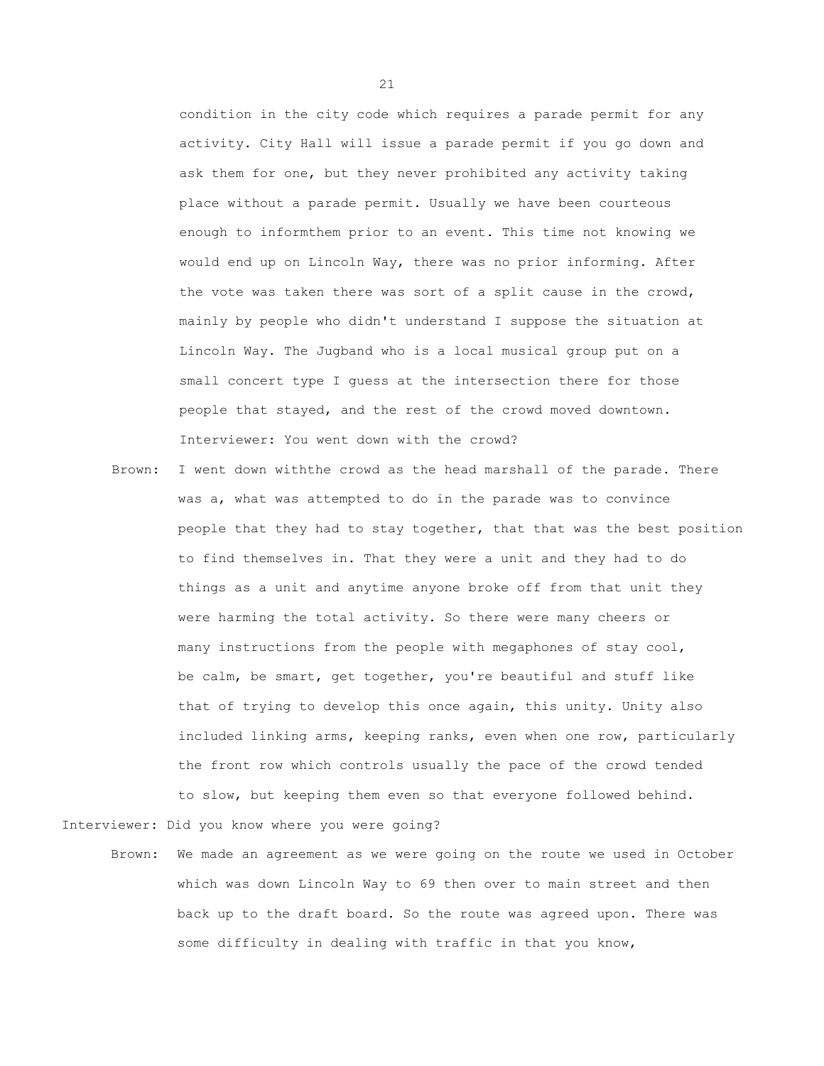condition in the city code which requires a parade permit for any activity. City Hall will issue a parade permit if you go down and ask them for one, but they never prohibited any activity taking place without a parade permit. Usually we have been courteous enough to informthem prior to an event. This time not knowing we would end up on Lincoln Way, there was no prior informing. After the vote was taken there was sort of a split cause in the crowd, mainly by people who didn't understand I suppose the situation at Lincoln Way. The Jugband who is a local musical group put on a small concert type I guess at the intersection there for those people that stayed, and the rest of the crowd moved downtown. Interviewer: You went down with the crowd?

Brown: I went down withthe crowd as the head marshall of the parade. There was a, what was attempted to do in the parade was to convince people that they had to stay together, that that was the best position to find themselves in. That they were a unit and they had to do things as a unit and anytime anyone broke off from that unit they were harming the total activity. So there were many cheers or many instructions from the people with megaphones of stay cool, be calm, be smart, get together, you're beautiful and stuff like that of trying to develop this once again, this unity. Unity also included linking arms, keeping ranks, even when one row, particularly the front row which controls usually the pace of the crowd tended to slow, but keeping them even so that everyone followed behind.

Interviewer: Did you know where you were going?

Brown: We made an agreement as we were going on the route we used in October which was down Lincoln Way to 69 then over to main street and then back up to the draft board. So the route was agreed upon. There was some difficulty in dealing with traffic in that you know,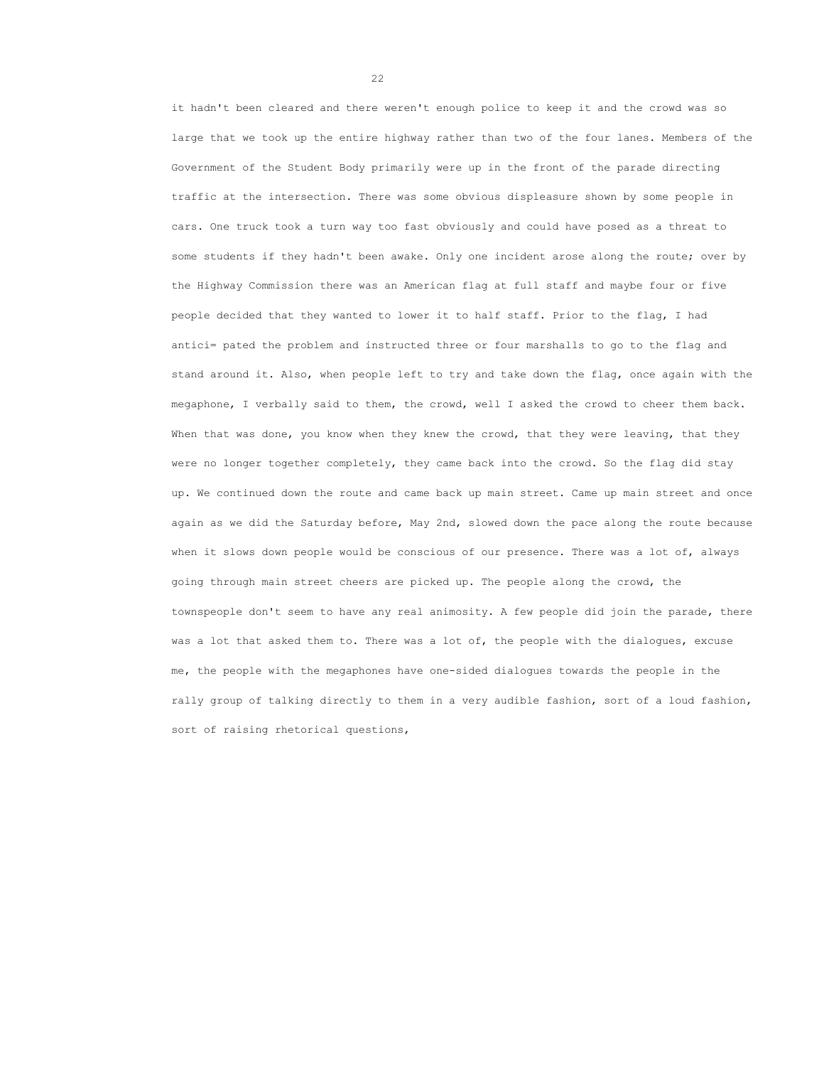it hadn't been cleared and there weren't enough police to keep it and the crowd was so large that we took up the entire highway rather than two of the four lanes. Members of the Government of the Student Body primarily were up in the front of the parade directing traffic at the intersection. There was some obvious displeasure shown by some people in cars. One truck took a turn way too fast obviously and could have posed as a threat to some students if they hadn't been awake. Only one incident arose along the route; over by the Highway Commission there was an American flag at full staff and maybe four or five people decided that they wanted to lower it to half staff. Prior to the flag, I had antici= pated the problem and instructed three or four marshalls to go to the flag and stand around it. Also, when people left to try and take down the flag, once again with the megaphone, I verbally said to them, the crowd, well I asked the crowd to cheer them back. When that was done, you know when they knew the crowd, that they were leaving, that they were no longer together completely, they came back into the crowd. So the flag did stay up. We continued down the route and came back up main street. Came up main street and once again as we did the Saturday before, May 2nd, slowed down the pace along the route because when it slows down people would be conscious of our presence. There was a lot of, always going through main street cheers are picked up. The people along the crowd, the townspeople don't seem to have any real animosity. A few people did join the parade, there was a lot that asked them to. There was a lot of, the people with the dialogues, excuse me, the people with the megaphones have one-sided dialogues towards the people in the rally group of talking directly to them in a very audible fashion, sort of a loud fashion, sort of raising rhetorical questions,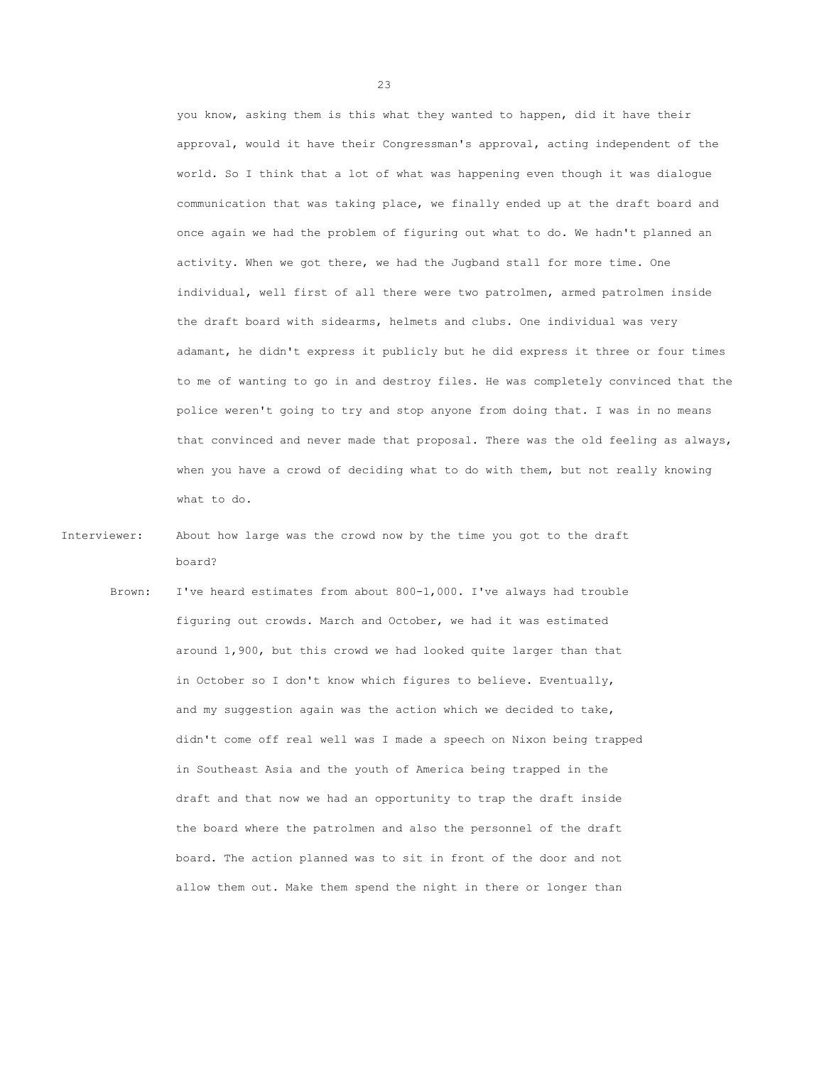you know, asking them is this what they wanted to happen, did it have their approval, would it have their Congressman's approval, acting independent of the world. So I think that a lot of what was happening even though it was dialogue communication that was taking place, we finally ended up at the draft board and once again we had the problem of figuring out what to do. We hadn't planned an activity. When we got there, we had the Jugband stall for more time. One individual, well first of all there were two patrolmen, armed patrolmen inside the draft board with sidearms, helmets and clubs. One individual was very adamant, he didn't express it publicly but he did express it three or four times to me of wanting to go in and destroy files. He was completely convinced that the police weren't going to try and stop anyone from doing that. I was in no means that convinced and never made that proposal. There was the old feeling as always, when you have a crowd of deciding what to do with them, but not really knowing what to do.

Interviewer: About how large was the crowd now by the time you got to the draft board?

Brown: I've heard estimates from about 800-1,000. I've always had trouble figuring out crowds. March and October, we had it was estimated around 1,900, but this crowd we had looked quite larger than that in October so I don't know which figures to believe. Eventually, and my suggestion again was the action which we decided to take, didn't come off real well was I made a speech on Nixon being trapped in Southeast Asia and the youth of America being trapped in the draft and that now we had an opportunity to trap the draft inside the board where the patrolmen and also the personnel of the draft board. The action planned was to sit in front of the door and not allow them out. Make them spend the night in there or longer than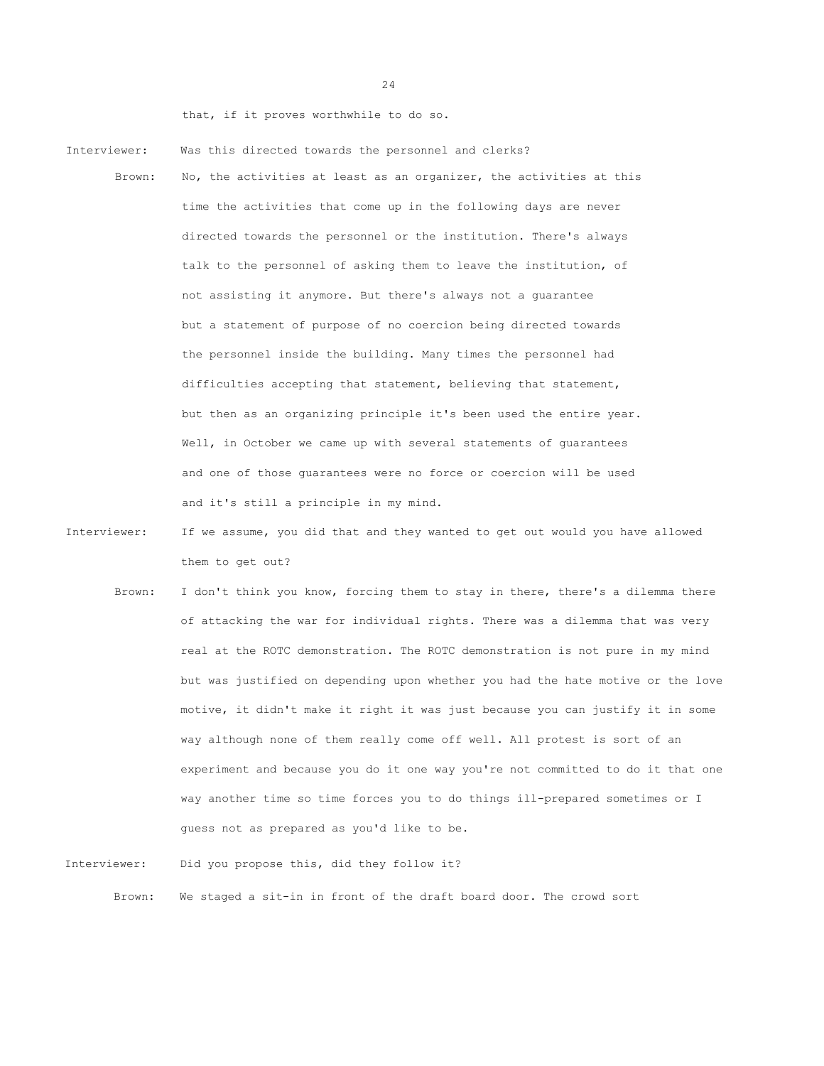that, if it proves worthwhile to do so.

- Interviewer: Was this directed towards the personnel and clerks?
	- Brown: No, the activities at least as an organizer, the activities at this time the activities that come up in the following days are never directed towards the personnel or the institution. There's always talk to the personnel of asking them to leave the institution, of not assisting it anymore. But there's always not a guarantee but a statement of purpose of no coercion being directed towards the personnel inside the building. Many times the personnel had difficulties accepting that statement, believing that statement, but then as an organizing principle it's been used the entire year. Well, in October we came up with several statements of guarantees and one of those guarantees were no force or coercion will be used and it's still a principle in my mind.
- Interviewer: If we assume, you did that and they wanted to get out would you have allowed them to get out?
	- Brown: I don't think you know, forcing them to stay in there, there's a dilemma there of attacking the war for individual rights. There was a dilemma that was very real at the ROTC demonstration. The ROTC demonstration is not pure in my mind but was justified on depending upon whether you had the hate motive or the love motive, it didn't make it right it was just because you can justify it in some way although none of them really come off well. All protest is sort of an experiment and because you do it one way you're not committed to do it that one way another time so time forces you to do things ill-prepared sometimes or I guess not as prepared as you'd like to be.

Interviewer: Did you propose this, did they follow it? Brown: We staged a sit-in in front of the draft board door. The crowd sort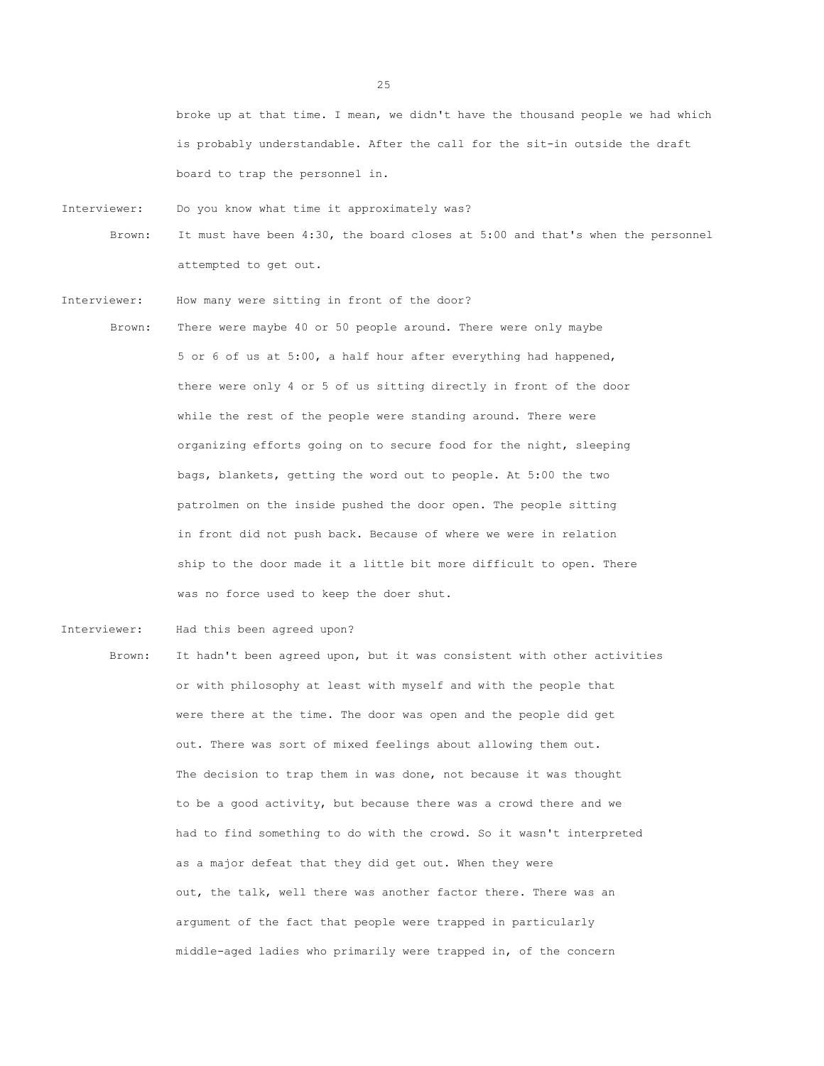broke up at that time. I mean, we didn't have the thousand people we had which is probably understandable. After the call for the sit-in outside the draft board to trap the personnel in.

Interviewer: Do you know what time it approximately was?

Brown: It must have been 4:30, the board closes at 5:00 and that's when the personnel attempted to get out.

Interviewer: How many were sitting in front of the door?

Brown: There were maybe 40 or 50 people around. There were only maybe 5 or 6 of us at 5:00, a half hour after everything had happened, there were only 4 or 5 of us sitting directly in front of the door while the rest of the people were standing around. There were organizing efforts going on to secure food for the night, sleeping bags, blankets, getting the word out to people. At 5:00 the two patrolmen on the inside pushed the door open. The people sitting in front did not push back. Because of where we were in relation ship to the door made it a little bit more difficult to open. There was no force used to keep the doer shut.

Interviewer: Had this been agreed upon?

Brown: It hadn't been agreed upon, but it was consistent with other activities or with philosophy at least with myself and with the people that were there at the time. The door was open and the people did get out. There was sort of mixed feelings about allowing them out. The decision to trap them in was done, not because it was thought to be a good activity, but because there was a crowd there and we had to find something to do with the crowd. So it wasn't interpreted as a major defeat that they did get out. When they were out, the talk, well there was another factor there. There was an argument of the fact that people were trapped in particularly middle-aged ladies who primarily were trapped in, of the concern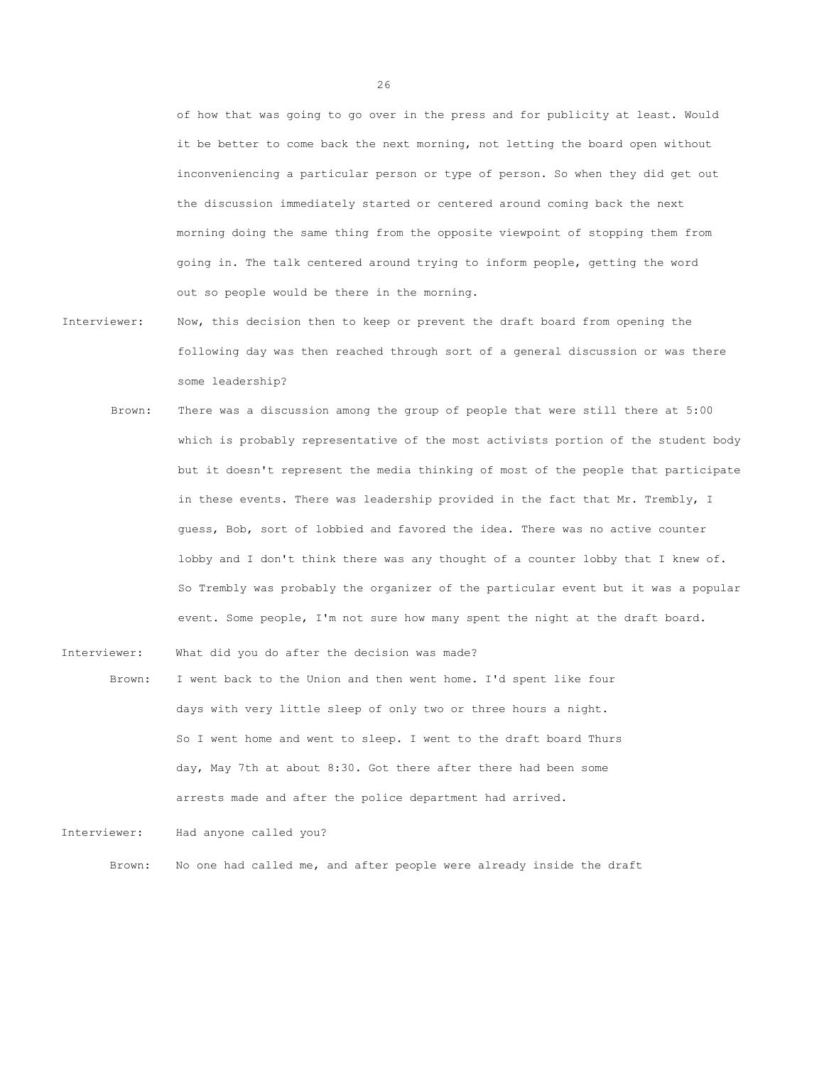of how that was going to go over in the press and for publicity at least. Would it be better to come back the next morning, not letting the board open without inconveniencing a particular person or type of person. So when they did get out the discussion immediately started or centered around coming back the next morning doing the same thing from the opposite viewpoint of stopping them from going in. The talk centered around trying to inform people, getting the word out so people would be there in the morning.

- Interviewer: Now, this decision then to keep or prevent the draft board from opening the following day was then reached through sort of a general discussion or was there some leadership?
	- Brown: There was a discussion among the group of people that were still there at 5:00 which is probably representative of the most activists portion of the student body but it doesn't represent the media thinking of most of the people that participate in these events. There was leadership provided in the fact that Mr. Trembly, I guess, Bob, sort of lobbied and favored the idea. There was no active counter lobby and I don't think there was any thought of a counter lobby that I knew of. So Trembly was probably the organizer of the particular event but it was a popular event. Some people, I'm not sure how many spent the night at the draft board.

Interviewer: What did you do after the decision was made?

Brown: I went back to the Union and then went home. I'd spent like four days with very little sleep of only two or three hours a night. So I went home and went to sleep. I went to the draft board Thurs day, May 7th at about 8:30. Got there after there had been some arrests made and after the police department had arrived.

Interviewer: Had anyone called you?

Brown: No one had called me, and after people were already inside the draft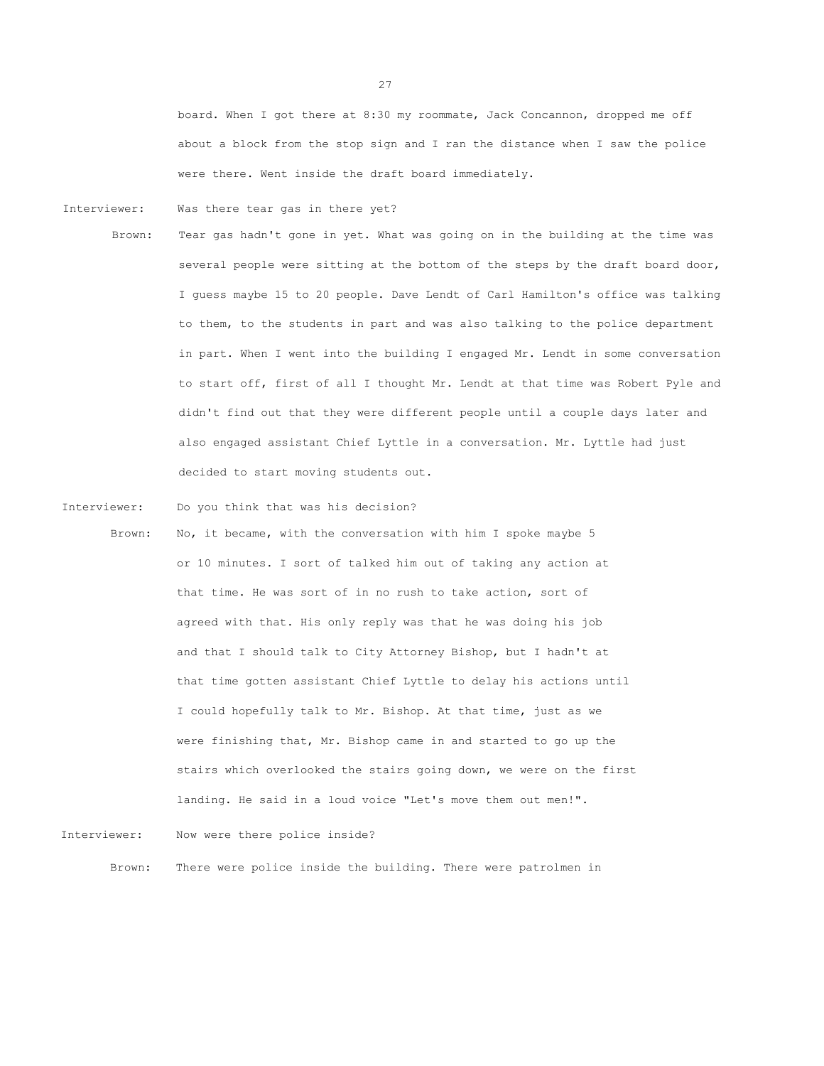board. When I got there at 8:30 my roommate, Jack Concannon, dropped me off about a block from the stop sign and I ran the distance when I saw the police were there. Went inside the draft board immediately.

Interviewer: Was there tear gas in there yet?

Brown: Tear gas hadn't gone in yet. What was going on in the building at the time was several people were sitting at the bottom of the steps by the draft board door, I guess maybe 15 to 20 people. Dave Lendt of Carl Hamilton's office was talking to them, to the students in part and was also talking to the police department in part. When I went into the building I engaged Mr. Lendt in some conversation to start off, first of all I thought Mr. Lendt at that time was Robert Pyle and didn't find out that they were different people until a couple days later and also engaged assistant Chief Lyttle in a conversation. Mr. Lyttle had just decided to start moving students out.

Interviewer: Do you think that was his decision?

Brown: No, it became, with the conversation with him I spoke maybe 5 or 10 minutes. I sort of talked him out of taking any action at that time. He was sort of in no rush to take action, sort of agreed with that. His only reply was that he was doing his job and that I should talk to City Attorney Bishop, but I hadn't at that time gotten assistant Chief Lyttle to delay his actions until I could hopefully talk to Mr. Bishop. At that time, just as we were finishing that, Mr. Bishop came in and started to go up the stairs which overlooked the stairs going down, we were on the first landing. He said in a loud voice "Let's move them out men!".

Interviewer: Now were there police inside?

Brown: There were police inside the building. There were patrolmen in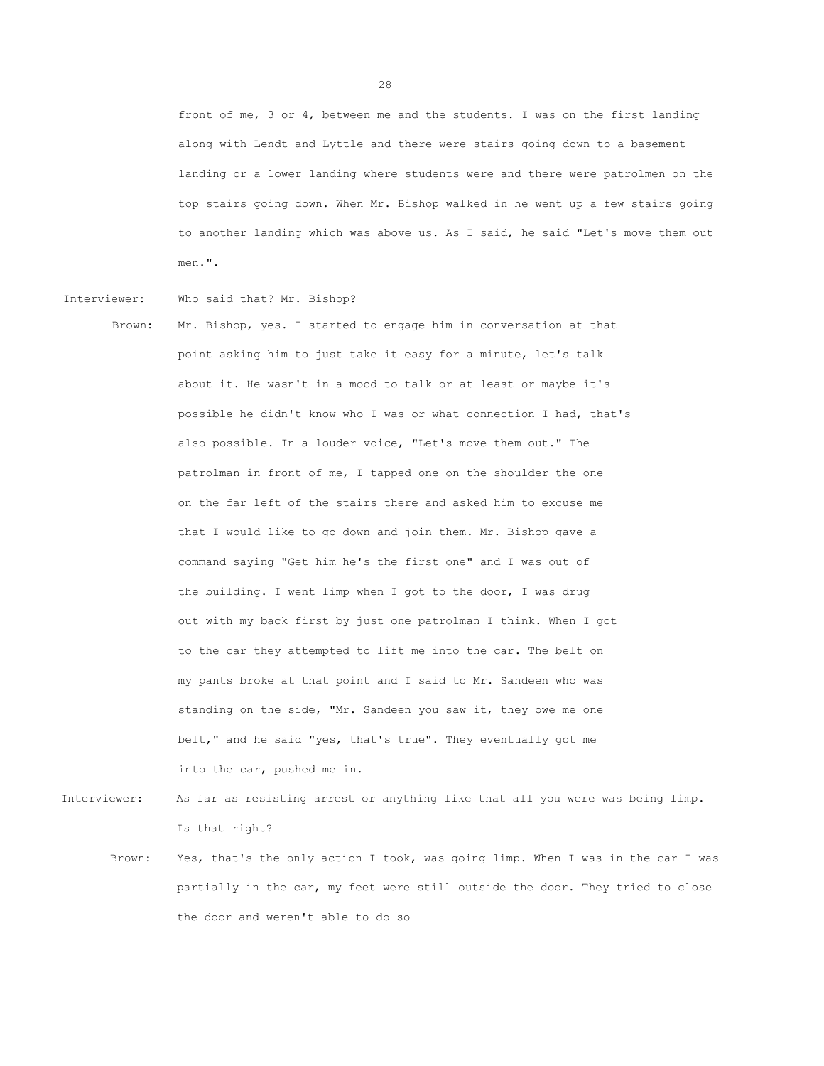front of me, 3 or 4, between me and the students. I was on the first landing along with Lendt and Lyttle and there were stairs going down to a basement landing or a lower landing where students were and there were patrolmen on the top stairs going down. When Mr. Bishop walked in he went up a few stairs going to another landing which was above us. As I said, he said "Let's move them out men.".

Interviewer: Who said that? Mr. Bishop?

Brown: Mr. Bishop, yes. I started to engage him in conversation at that point asking him to just take it easy for a minute, let's talk about it. He wasn't in a mood to talk or at least or maybe it's possible he didn't know who I was or what connection I had, that's also possible. In a louder voice, "Let's move them out." The patrolman in front of me, I tapped one on the shoulder the one on the far left of the stairs there and asked him to excuse me that I would like to go down and join them. Mr. Bishop gave a command saying "Get him he's the first one" and I was out of the building. I went limp when I got to the door, I was drug out with my back first by just one patrolman I think. When I got to the car they attempted to lift me into the car. The belt on my pants broke at that point and I said to Mr. Sandeen who was standing on the side, "Mr. Sandeen you saw it, they owe me one belt," and he said "yes, that's true". They eventually got me into the car, pushed me in.

- Interviewer: As far as resisting arrest or anything like that all you were was being limp. Is that right?
	- Brown: Yes, that's the only action I took, was going limp. When I was in the car I was partially in the car, my feet were still outside the door. They tried to close the door and weren't able to do so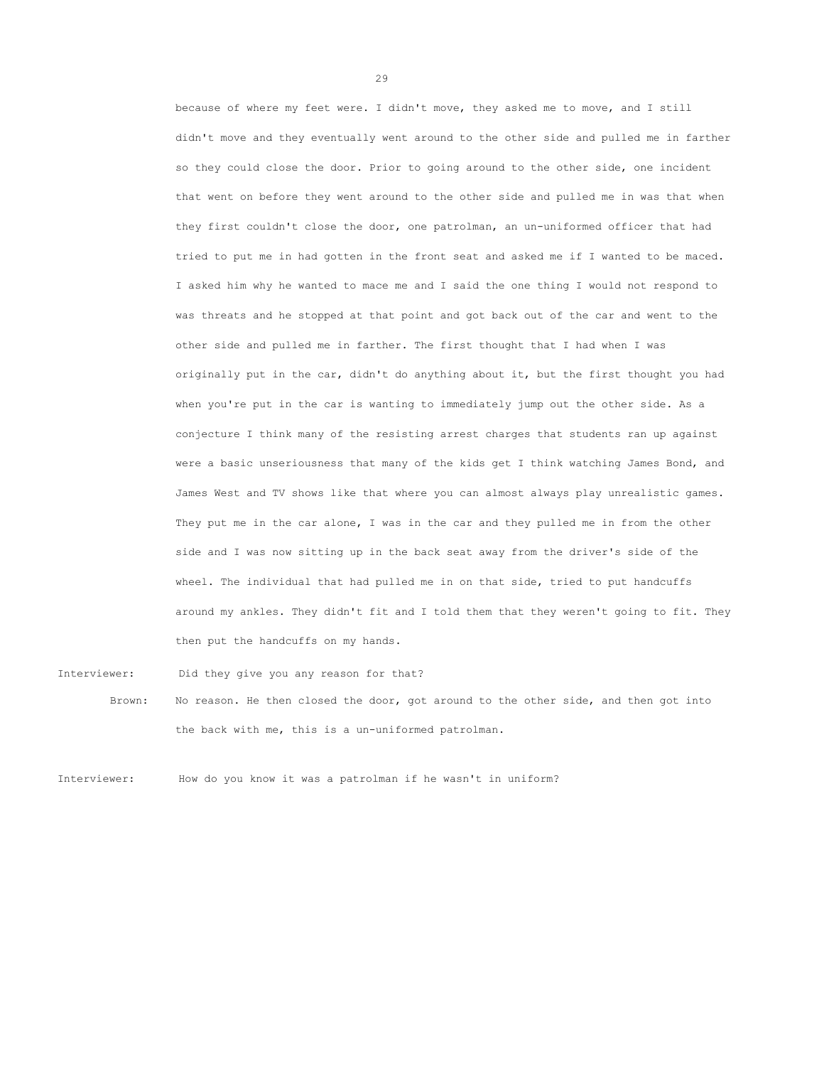because of where my feet were. I didn't move, they asked me to move, and I still didn't move and they eventually went around to the other side and pulled me in farther so they could close the door. Prior to going around to the other side, one incident that went on before they went around to the other side and pulled me in was that when they first couldn't close the door, one patrolman, an un-uniformed officer that had tried to put me in had gotten in the front seat and asked me if I wanted to be maced. I asked him why he wanted to mace me and I said the one thing I would not respond to was threats and he stopped at that point and got back out of the car and went to the other side and pulled me in farther. The first thought that I had when I was originally put in the car, didn't do anything about it, but the first thought you had when you're put in the car is wanting to immediately jump out the other side. As a conjecture I think many of the resisting arrest charges that students ran up against were a basic unseriousness that many of the kids get I think watching James Bond, and James West and TV shows like that where you can almost always play unrealistic games. They put me in the car alone, I was in the car and they pulled me in from the other side and I was now sitting up in the back seat away from the driver's side of the wheel. The individual that had pulled me in on that side, tried to put handcuffs around my ankles. They didn't fit and I told them that they weren't going to fit. They then put the handcuffs on my hands.

Interviewer: Did they give you any reason for that?

Brown: No reason. He then closed the door, got around to the other side, and then got into the back with me, this is a un-uniformed patrolman.

Interviewer: How do you know it was a patrolman if he wasn't in uniform?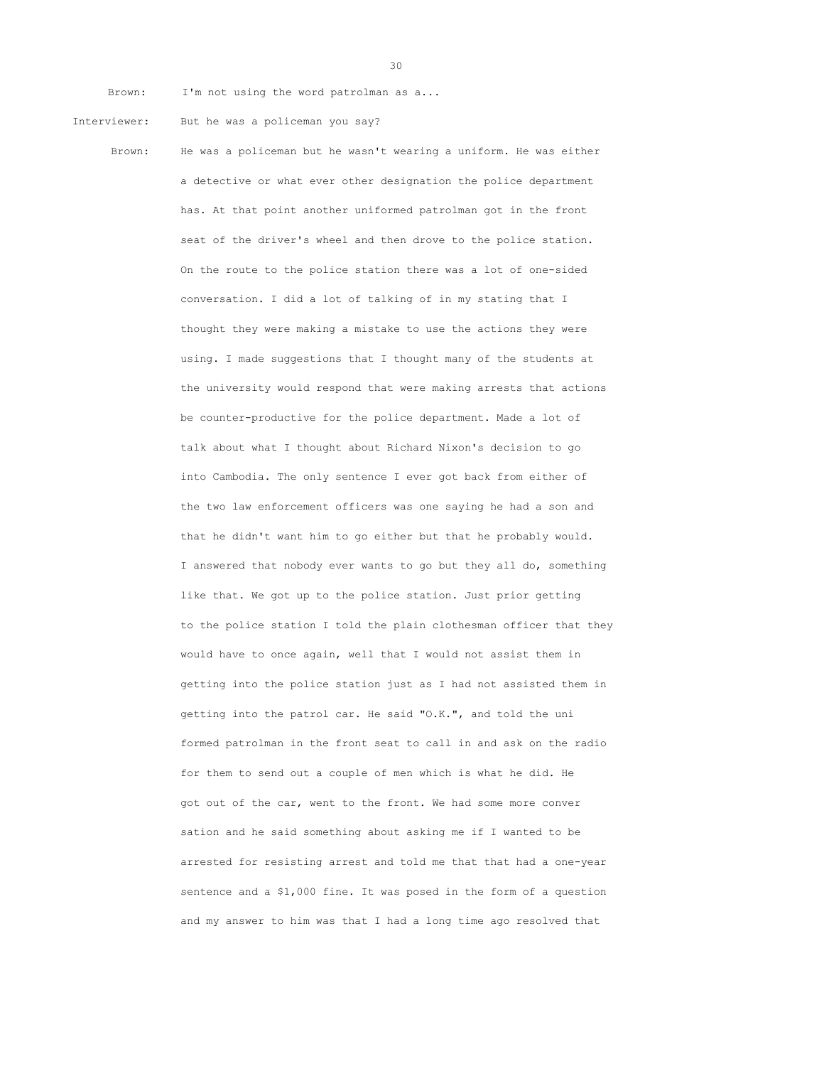Brown: I'm not using the word patrolman as a...

- Interviewer: But he was a policeman you say?
	-

Brown: He was a policeman but he wasn't wearing a uniform. He was either a detective or what ever other designation the police department has. At that point another uniformed patrolman got in the front seat of the driver's wheel and then drove to the police station. On the route to the police station there was a lot of one-sided conversation. I did a lot of talking of in my stating that I thought they were making a mistake to use the actions they were using. I made suggestions that I thought many of the students at the university would respond that were making arrests that actions be counter-productive for the police department. Made a lot of talk about what I thought about Richard Nixon's decision to go into Cambodia. The only sentence I ever got back from either of the two law enforcement officers was one saying he had a son and that he didn't want him to go either but that he probably would. I answered that nobody ever wants to go but they all do, something like that. We got up to the police station. Just prior getting to the police station I told the plain clothesman officer that they would have to once again, well that I would not assist them in getting into the police station just as I had not assisted them in getting into the patrol car. He said "O.K.", and told the uni formed patrolman in the front seat to call in and ask on the radio for them to send out a couple of men which is what he did. He got out of the car, went to the front. We had some more conver sation and he said something about asking me if I wanted to be arrested for resisting arrest and told me that that had a one-year sentence and a \$1,000 fine. It was posed in the form of a question and my answer to him was that I had a long time ago resolved that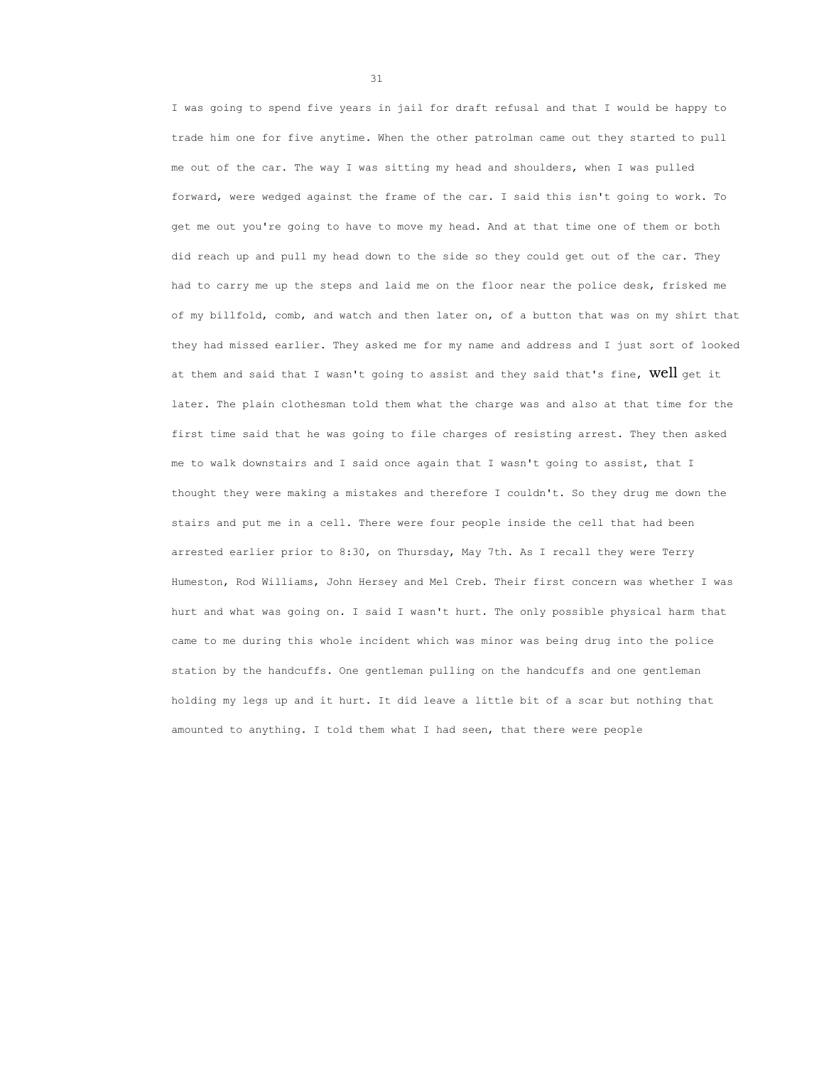I was going to spend five years in jail for draft refusal and that I would be happy to trade him one for five anytime. When the other patrolman came out they started to pull me out of the car. The way I was sitting my head and shoulders, when I was pulled forward, were wedged against the frame of the car. I said this isn't going to work. To get me out you're going to have to move my head. And at that time one of them or both did reach up and pull my head down to the side so they could get out of the car. They had to carry me up the steps and laid me on the floor near the police desk, frisked me of my billfold, comb, and watch and then later on, of a button that was on my shirt that they had missed earlier. They asked me for my name and address and I just sort of looked at them and said that I wasn't going to assist and they said that's fine, Well get it later. The plain clothesman told them what the charge was and also at that time for the first time said that he was going to file charges of resisting arrest. They then asked me to walk downstairs and I said once again that I wasn't going to assist, that I thought they were making a mistakes and therefore I couldn't. So they drug me down the stairs and put me in a cell. There were four people inside the cell that had been arrested earlier prior to 8:30, on Thursday, May 7th. As I recall they were Terry Humeston, Rod Williams, John Hersey and Mel Creb. Their first concern was whether I was hurt and what was going on. I said I wasn't hurt. The only possible physical harm that came to me during this whole incident which was minor was being drug into the police station by the handcuffs. One gentleman pulling on the handcuffs and one gentleman holding my legs up and it hurt. It did leave a little bit of a scar but nothing that amounted to anything. I told them what I had seen, that there were people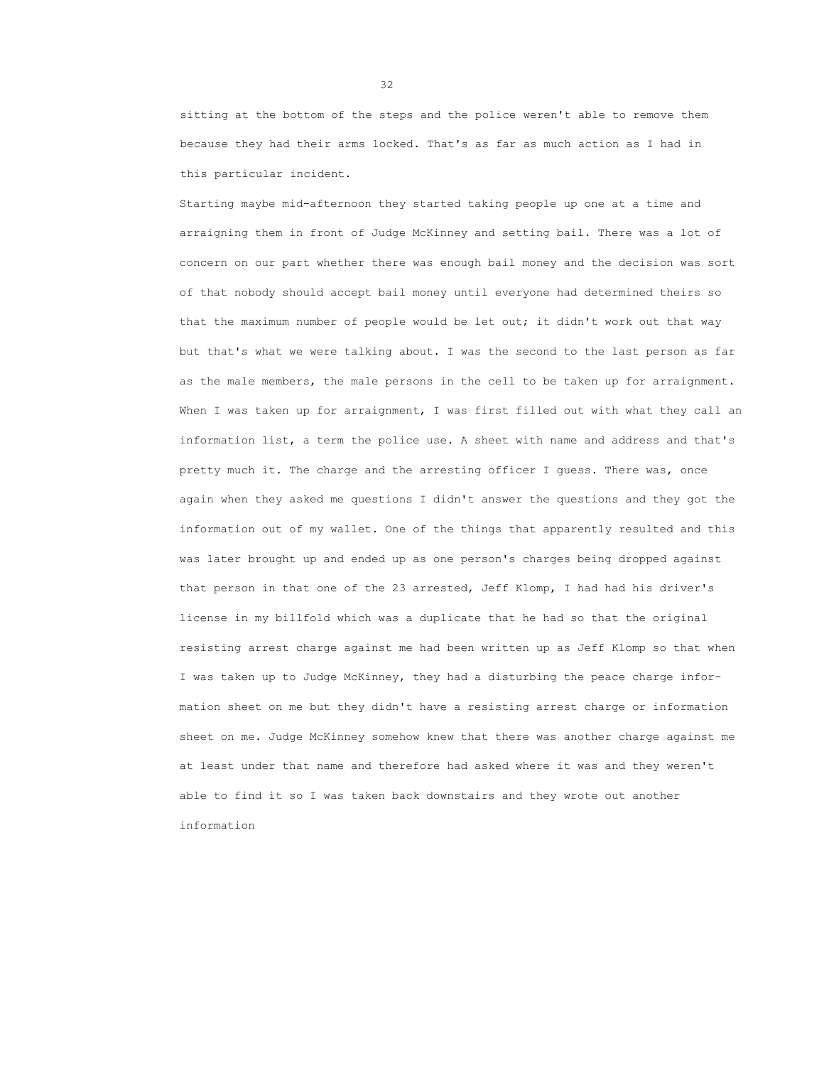sitting at the bottom of the steps and the police weren't able to remove them because they had their arms locked. That's as far as much action as I had in this particular incident.

Starting maybe mid-afternoon they started taking people up one at a time and arraigning them in front of Judge McKinney and setting bail. There was a lot of concern on our part whether there was enough bail money and the decision was sort of that nobody should accept bail money until everyone had determined theirs so that the maximum number of people would be let out; it didn't work out that way but that's what we were talking about. I was the second to the last person as far as the male members, the male persons in the cell to be taken up for arraignment. When I was taken up for arraignment, I was first filled out with what they call an information list, a term the police use. A sheet with name and address and that's pretty much it. The charge and the arresting officer I guess. There was, once again when they asked me questions I didn't answer the questions and they got the information out of my wallet. One of the things that apparently resulted and this was later brought up and ended up as one person's charges being dropped against that person in that one of the 23 arrested, Jeff Klomp, I had had his driver's license in my billfold which was a duplicate that he had so that the original resisting arrest charge against me had been written up as Jeff Klomp so that when I was taken up to Judge McKinney, they had a disturbing the peace charge information sheet on me but they didn't have a resisting arrest charge or information sheet on me. Judge McKinney somehow knew that there was another charge against me at least under that name and therefore had asked where it was and they weren't able to find it so I was taken back downstairs and they wrote out another information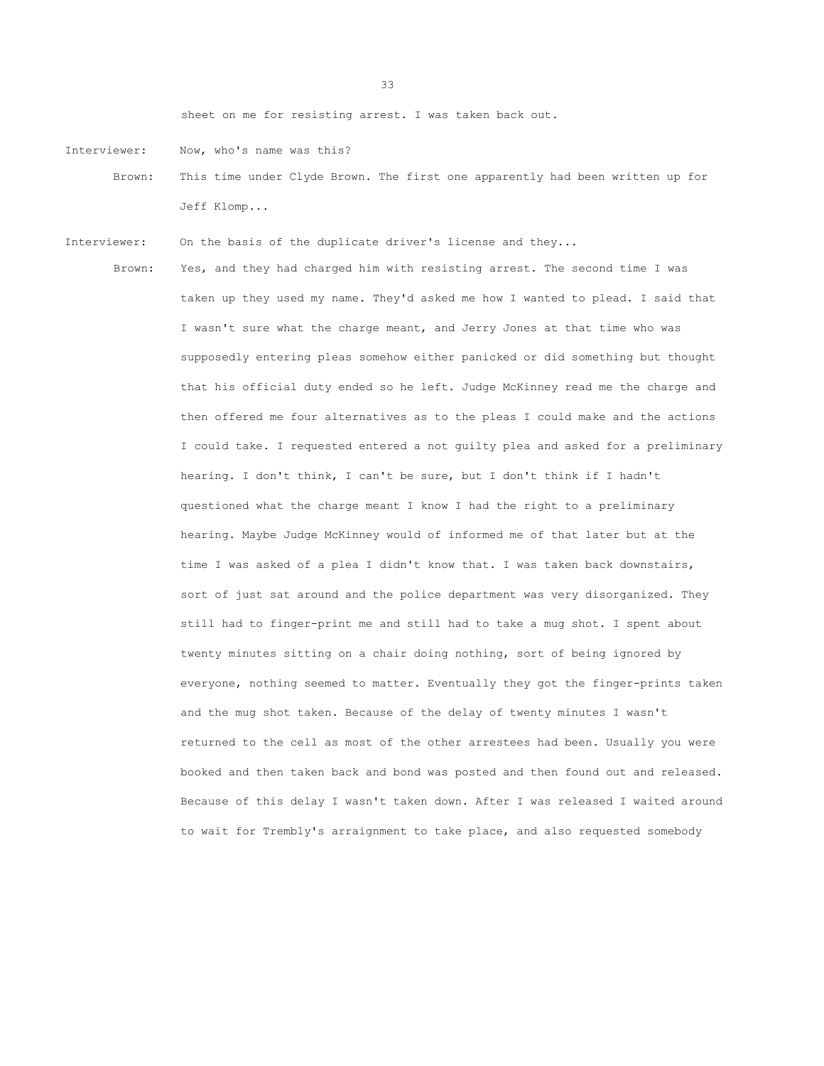sheet on me for resisting arrest. I was taken back out.

- Interviewer: Now, who's name was this?
	- Brown: This time under Clyde Brown. The first one apparently had been written up for Jeff Klomp...
- Interviewer: On the basis of the duplicate driver's license and they...
	- Brown: Yes, and they had charged him with resisting arrest. The second time I was taken up they used my name. They'd asked me how I wanted to plead. I said that I wasn't sure what the charge meant, and Jerry Jones at that time who was supposedly entering pleas somehow either panicked or did something but thought that his official duty ended so he left. Judge McKinney read me the charge and then offered me four alternatives as to the pleas I could make and the actions I could take. I requested entered a not guilty plea and asked for a preliminary hearing. I don't think, I can't be sure, but I don't think if I hadn't questioned what the charge meant I know I had the right to a preliminary hearing. Maybe Judge McKinney would of informed me of that later but at the time I was asked of a plea I didn't know that. I was taken back downstairs, sort of just sat around and the police department was very disorganized. They still had to finger-print me and still had to take a mug shot. I spent about twenty minutes sitting on a chair doing nothing, sort of being ignored by everyone, nothing seemed to matter. Eventually they got the finger-prints taken and the mug shot taken. Because of the delay of twenty minutes I wasn't returned to the cell as most of the other arrestees had been. Usually you were booked and then taken back and bond was posted and then found out and released. Because of this delay I wasn't taken down. After I was released I waited around to wait for Trembly's arraignment to take place, and also requested somebody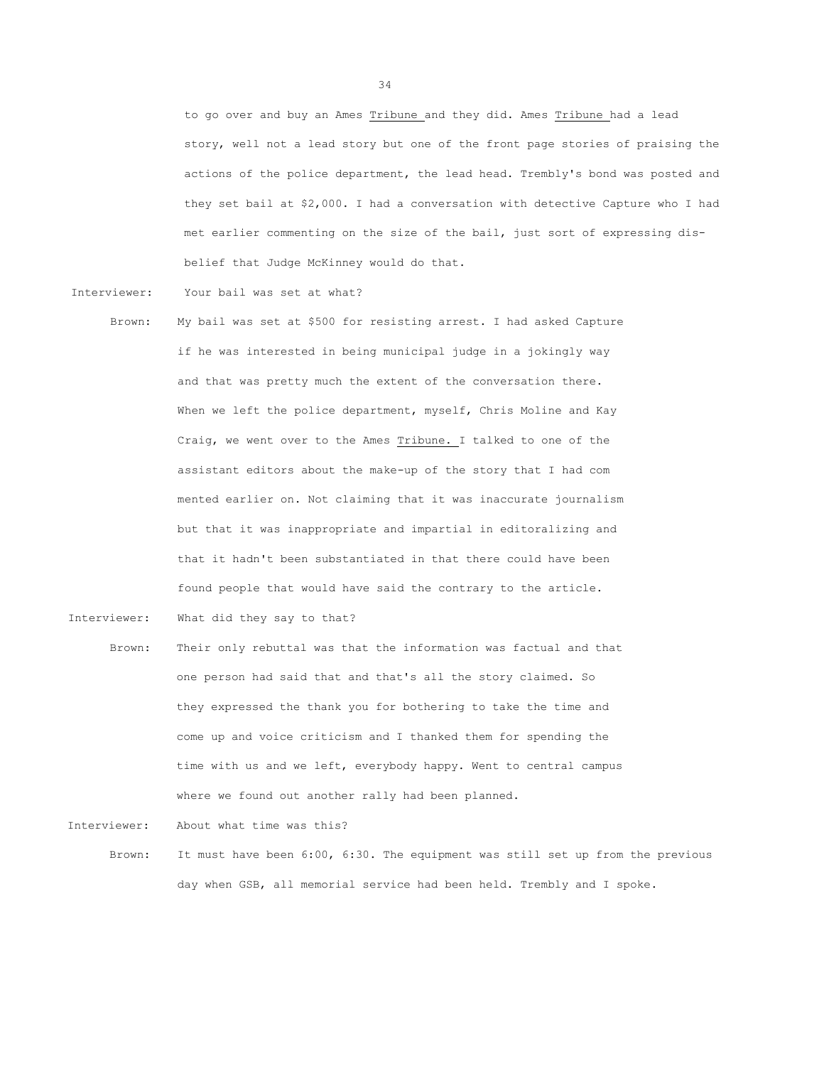to go over and buy an Ames Tribune and they did. Ames Tribune had a lead story, well not a lead story but one of the front page stories of praising the actions of the police department, the lead head. Trembly's bond was posted and they set bail at \$2,000. I had a conversation with detective Capture who I had met earlier commenting on the size of the bail, just sort of expressing disbelief that Judge McKinney would do that.

Interviewer: Your bail was set at what?

- Brown: My bail was set at \$500 for resisting arrest. I had asked Capture if he was interested in being municipal judge in a jokingly way and that was pretty much the extent of the conversation there. When we left the police department, myself, Chris Moline and Kay Craig, we went over to the Ames Tribune. I talked to one of the assistant editors about the make-up of the story that I had com mented earlier on. Not claiming that it was inaccurate journalism but that it was inappropriate and impartial in editoralizing and that it hadn't been substantiated in that there could have been found people that would have said the contrary to the article.
- Interviewer: What did they say to that?
	- Brown: Their only rebuttal was that the information was factual and that one person had said that and that's all the story claimed. So they expressed the thank you for bothering to take the time and come up and voice criticism and I thanked them for spending the time with us and we left, everybody happy. Went to central campus where we found out another rally had been planned.

Interviewer: About what time was this?

Brown: It must have been 6:00, 6:30. The equipment was still set up from the previous day when GSB, all memorial service had been held. Trembly and I spoke.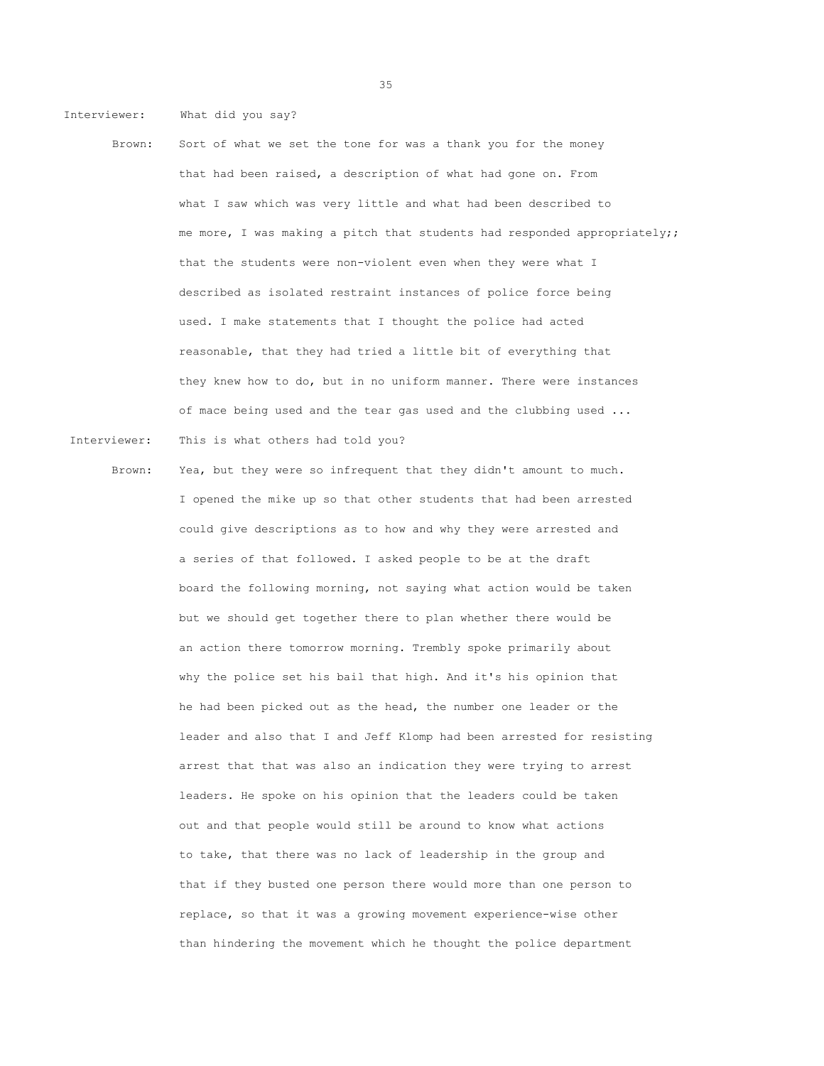Interviewer: What did you say?

- Brown: Sort of what we set the tone for was a thank you for the money that had been raised, a description of what had gone on. From what I saw which was very little and what had been described to me more, I was making a pitch that students had responded appropriately;; that the students were non-violent even when they were what I described as isolated restraint instances of police force being used. I make statements that I thought the police had acted reasonable, that they had tried a little bit of everything that they knew how to do, but in no uniform manner. There were instances of mace being used and the tear gas used and the clubbing used ... Interviewer: This is what others had told you?
	- Brown: Yea, but they were so infrequent that they didn't amount to much. I opened the mike up so that other students that had been arrested could give descriptions as to how and why they were arrested and a series of that followed. I asked people to be at the draft board the following morning, not saying what action would be taken but we should get together there to plan whether there would be an action there tomorrow morning. Trembly spoke primarily about why the police set his bail that high. And it's his opinion that he had been picked out as the head, the number one leader or the leader and also that I and Jeff Klomp had been arrested for resisting arrest that that was also an indication they were trying to arrest leaders. He spoke on his opinion that the leaders could be taken out and that people would still be around to know what actions to take, that there was no lack of leadership in the group and that if they busted one person there would more than one person to replace, so that it was a growing movement experience-wise other than hindering the movement which he thought the police department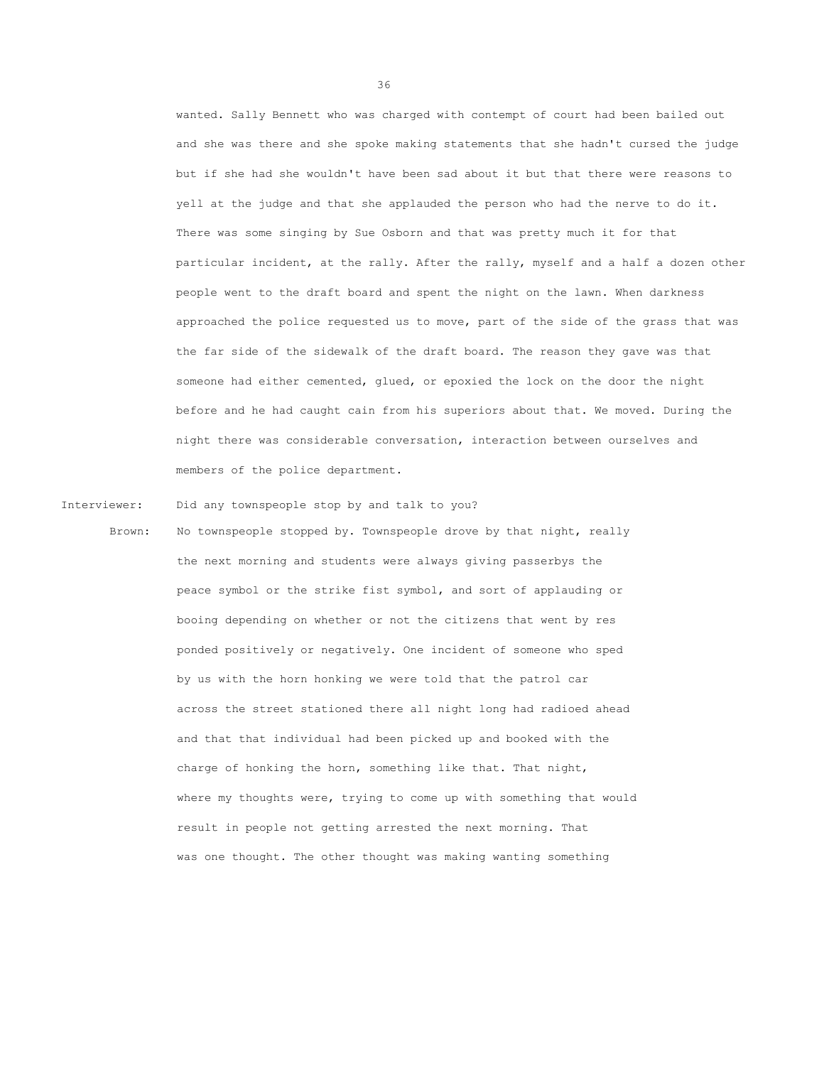wanted. Sally Bennett who was charged with contempt of court had been bailed out and she was there and she spoke making statements that she hadn't cursed the judge but if she had she wouldn't have been sad about it but that there were reasons to yell at the judge and that she applauded the person who had the nerve to do it. There was some singing by Sue Osborn and that was pretty much it for that particular incident, at the rally. After the rally, myself and a half a dozen other people went to the draft board and spent the night on the lawn. When darkness approached the police requested us to move, part of the side of the grass that was the far side of the sidewalk of the draft board. The reason they gave was that someone had either cemented, glued, or epoxied the lock on the door the night before and he had caught cain from his superiors about that. We moved. During the night there was considerable conversation, interaction between ourselves and members of the police department.

Interviewer: Did any townspeople stop by and talk to you?

Brown: No townspeople stopped by. Townspeople drove by that night, really the next morning and students were always giving passerbys the peace symbol or the strike fist symbol, and sort of applauding or booing depending on whether or not the citizens that went by res ponded positively or negatively. One incident of someone who sped by us with the horn honking we were told that the patrol car across the street stationed there all night long had radioed ahead and that that individual had been picked up and booked with the charge of honking the horn, something like that. That night, where my thoughts were, trying to come up with something that would result in people not getting arrested the next morning. That was one thought. The other thought was making wanting something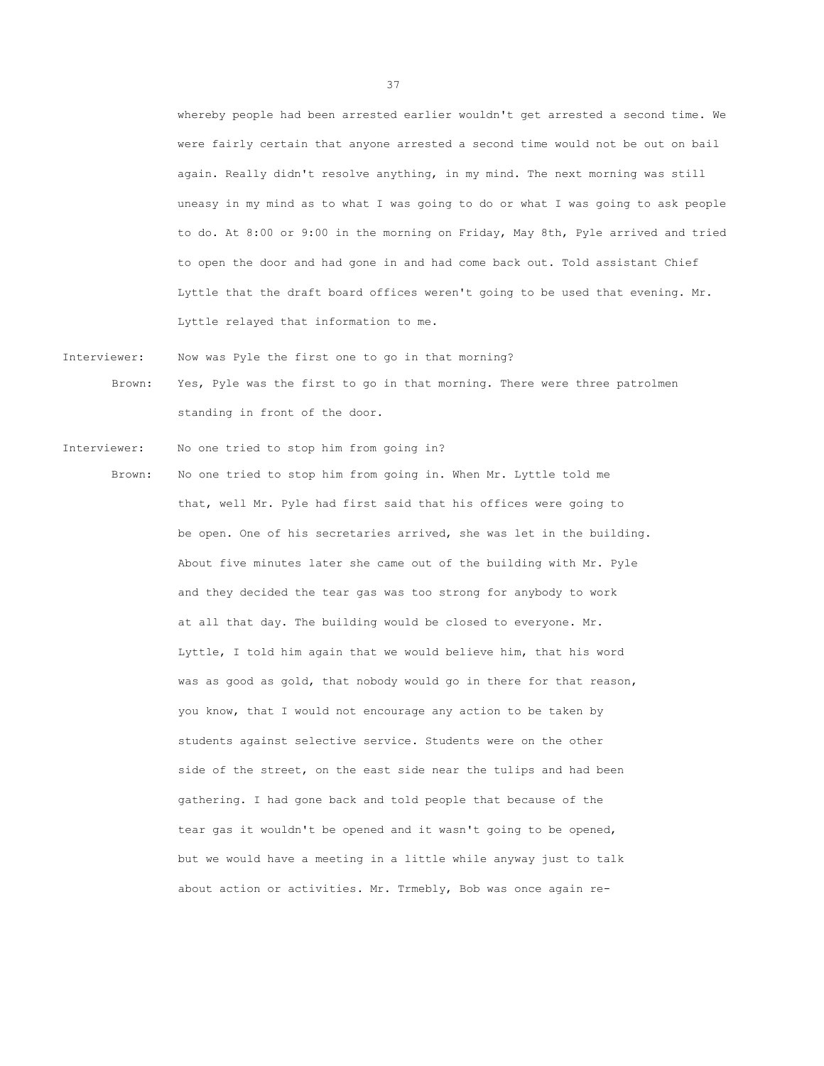whereby people had been arrested earlier wouldn't get arrested a second time. We were fairly certain that anyone arrested a second time would not be out on bail again. Really didn't resolve anything, in my mind. The next morning was still uneasy in my mind as to what I was going to do or what I was going to ask people to do. At 8:00 or 9:00 in the morning on Friday, May 8th, Pyle arrived and tried to open the door and had gone in and had come back out. Told assistant Chief Lyttle that the draft board offices weren't going to be used that evening. Mr. Lyttle relayed that information to me.

Interviewer: Now was Pyle the first one to go in that morning?

Brown: Yes, Pyle was the first to go in that morning. There were three patrolmen standing in front of the door.

Interviewer: No one tried to stop him from going in?

Brown: No one tried to stop him from going in. When Mr. Lyttle told me that, well Mr. Pyle had first said that his offices were going to be open. One of his secretaries arrived, she was let in the building. About five minutes later she came out of the building with Mr. Pyle and they decided the tear gas was too strong for anybody to work at all that day. The building would be closed to everyone. Mr. Lyttle, I told him again that we would believe him, that his word was as good as gold, that nobody would go in there for that reason, you know, that I would not encourage any action to be taken by students against selective service. Students were on the other side of the street, on the east side near the tulips and had been gathering. I had gone back and told people that because of the tear gas it wouldn't be opened and it wasn't going to be opened, but we would have a meeting in a little while anyway just to talk about action or activities. Mr. Trmebly, Bob was once again re-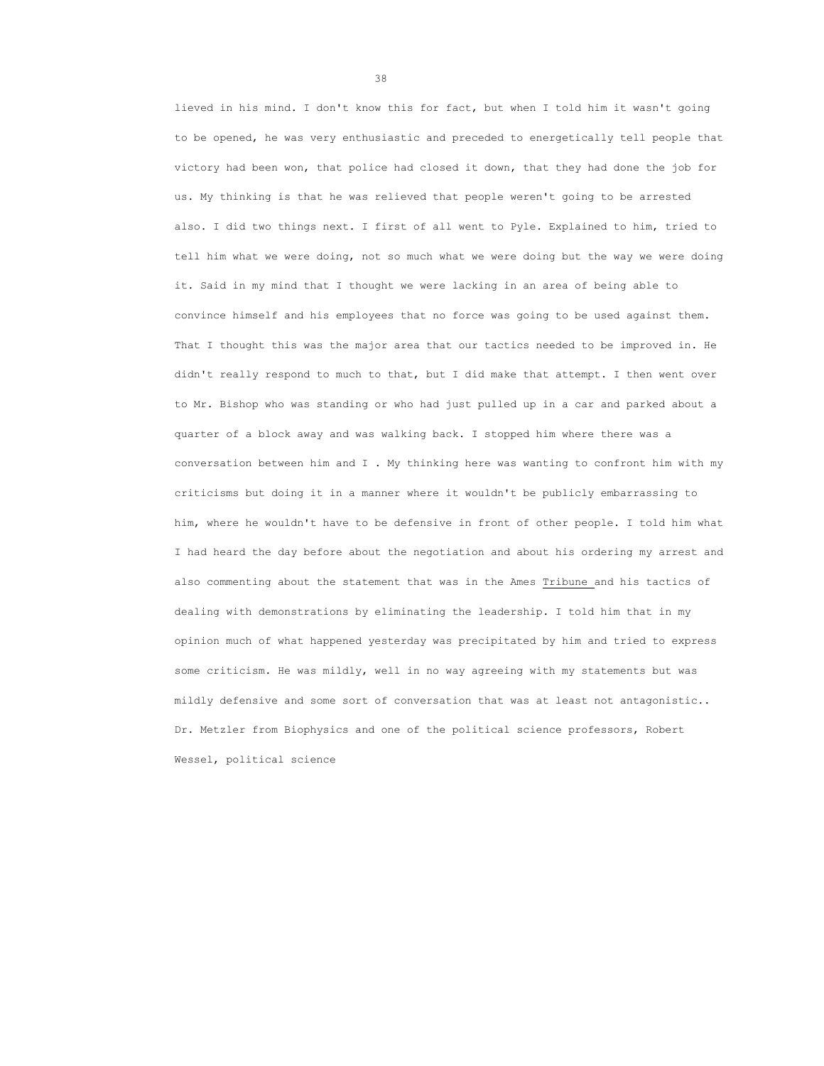lieved in his mind. I don't know this for fact, but when I told him it wasn't going to be opened, he was very enthusiastic and preceded to energetically tell people that victory had been won, that police had closed it down, that they had done the job for us. My thinking is that he was relieved that people weren't going to be arrested also. I did two things next. I first of all went to Pyle. Explained to him, tried to tell him what we were doing, not so much what we were doing but the way we were doing it. Said in my mind that I thought we were lacking in an area of being able to convince himself and his employees that no force was going to be used against them. That I thought this was the major area that our tactics needed to be improved in. He didn't really respond to much to that, but I did make that attempt. I then went over to Mr. Bishop who was standing or who had just pulled up in a car and parked about a quarter of a block away and was walking back. I stopped him where there was a conversation between him and I . My thinking here was wanting to confront him with my criticisms but doing it in a manner where it wouldn't be publicly embarrassing to him, where he wouldn't have to be defensive in front of other people. I told him what I had heard the day before about the negotiation and about his ordering my arrest and also commenting about the statement that was in the Ames Tribune and his tactics of dealing with demonstrations by eliminating the leadership. I told him that in my opinion much of what happened yesterday was precipitated by him and tried to express some criticism. He was mildly, well in no way agreeing with my statements but was mildly defensive and some sort of conversation that was at least not antagonistic.. Dr. Metzler from Biophysics and one of the political science professors, Robert Wessel, political science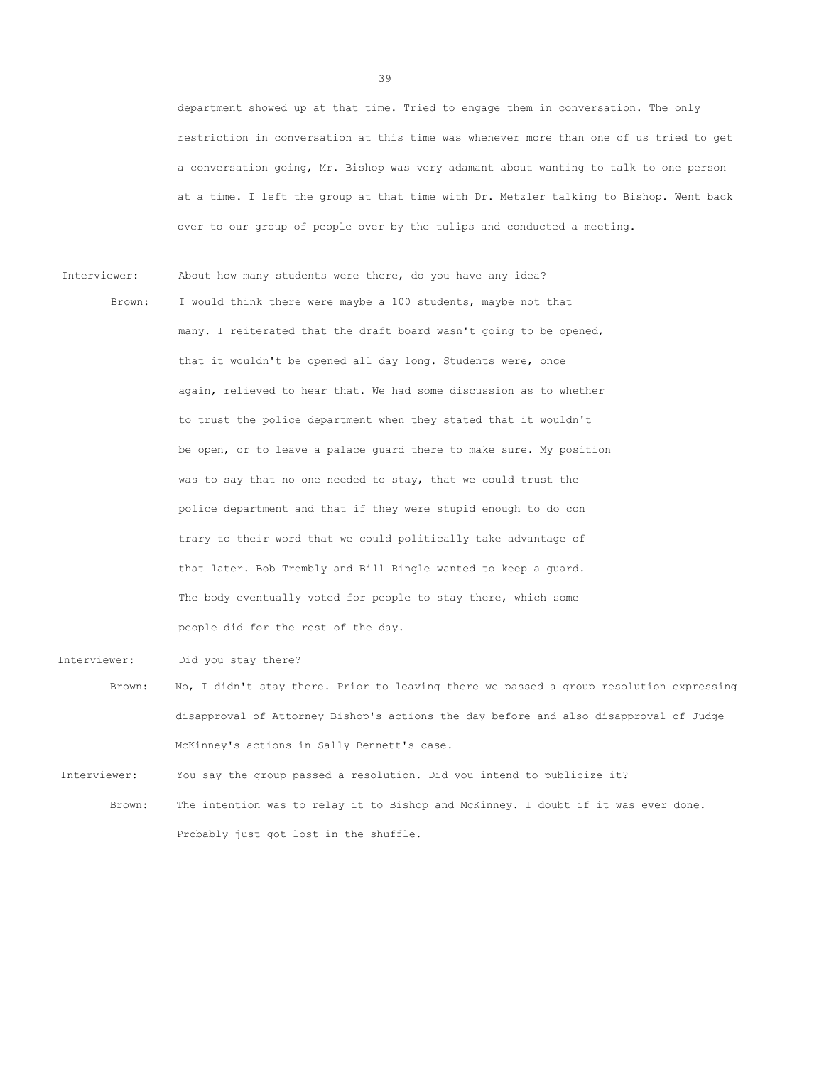department showed up at that time. Tried to engage them in conversation. The only restriction in conversation at this time was whenever more than one of us tried to get a conversation going, Mr. Bishop was very adamant about wanting to talk to one person at a time. I left the group at that time with Dr. Metzler talking to Bishop. Went back over to our group of people over by the tulips and conducted a meeting.

Interviewer: About how many students were there, do you have any idea? Brown: I would think there were maybe a 100 students, maybe not that many. I reiterated that the draft board wasn't going to be opened, that it wouldn't be opened all day long. Students were, once again, relieved to hear that. We had some discussion as to whether to trust the police department when they stated that it wouldn't be open, or to leave a palace guard there to make sure. My position was to say that no one needed to stay, that we could trust the police department and that if they were stupid enough to do con trary to their word that we could politically take advantage of that later. Bob Trembly and Bill Ringle wanted to keep a guard. The body eventually voted for people to stay there, which some people did for the rest of the day.

Interviewer: Did you stay there?

Brown: No, I didn't stay there. Prior to leaving there we passed a group resolution expressing disapproval of Attorney Bishop's actions the day before and also disapproval of Judge McKinney's actions in Sally Bennett's case.

Interviewer: You say the group passed a resolution. Did you intend to publicize it?

Brown: The intention was to relay it to Bishop and McKinney. I doubt if it was ever done. Probably just got lost in the shuffle.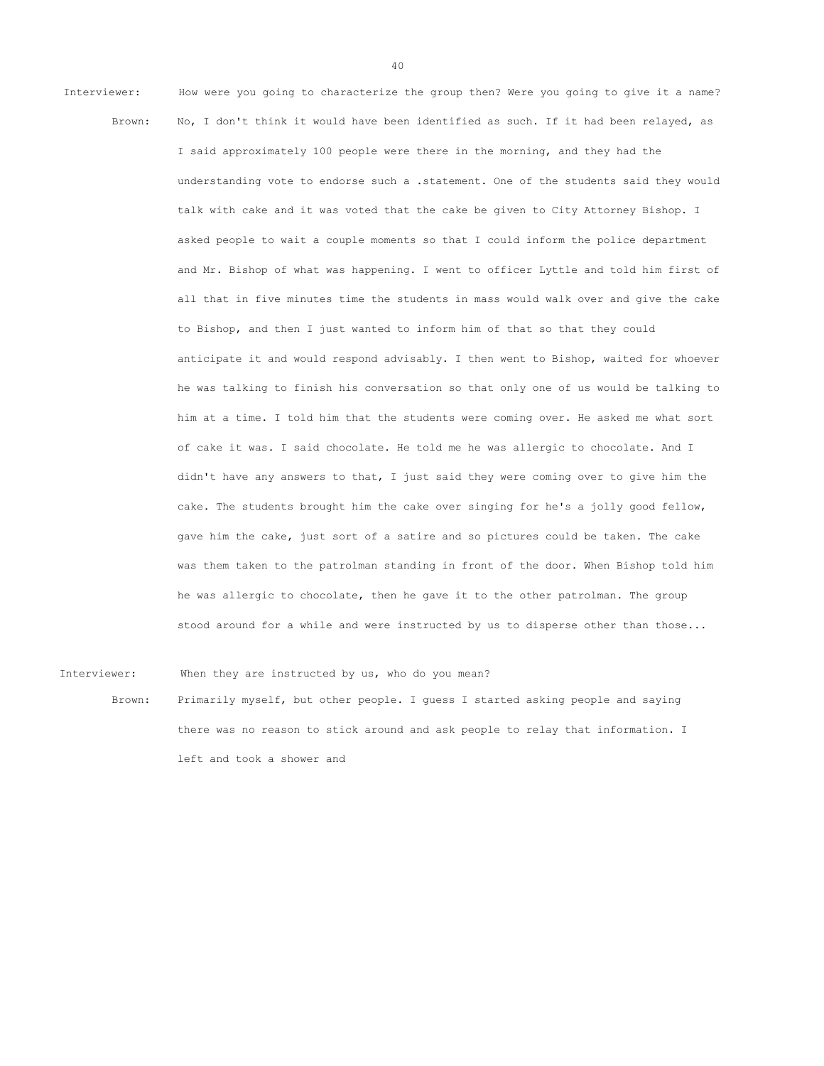Interviewer: How were you going to characterize the group then? Were you going to give it a name? Brown: No, I don't think it would have been identified as such. If it had been relayed, as I said approximately 100 people were there in the morning, and they had the understanding vote to endorse such a .statement. One of the students said they would talk with cake and it was voted that the cake be given to City Attorney Bishop. I asked people to wait a couple moments so that I could inform the police department and Mr. Bishop of what was happening. I went to officer Lyttle and told him first of all that in five minutes time the students in mass would walk over and give the cake to Bishop, and then I just wanted to inform him of that so that they could anticipate it and would respond advisably. I then went to Bishop, waited for whoever he was talking to finish his conversation so that only one of us would be talking to him at a time. I told him that the students were coming over. He asked me what sort of cake it was. I said chocolate. He told me he was allergic to chocolate. And I didn't have any answers to that, I just said they were coming over to give him the cake. The students brought him the cake over singing for he's a jolly good fellow, gave him the cake, just sort of a satire and so pictures could be taken. The cake was them taken to the patrolman standing in front of the door. When Bishop told him he was allergic to chocolate, then he gave it to the other patrolman. The group stood around for a while and were instructed by us to disperse other than those...

Interviewer: When they are instructed by us, who do you mean?

Brown: Primarily myself, but other people. I guess I started asking people and saying there was no reason to stick around and ask people to relay that information. I left and took a shower and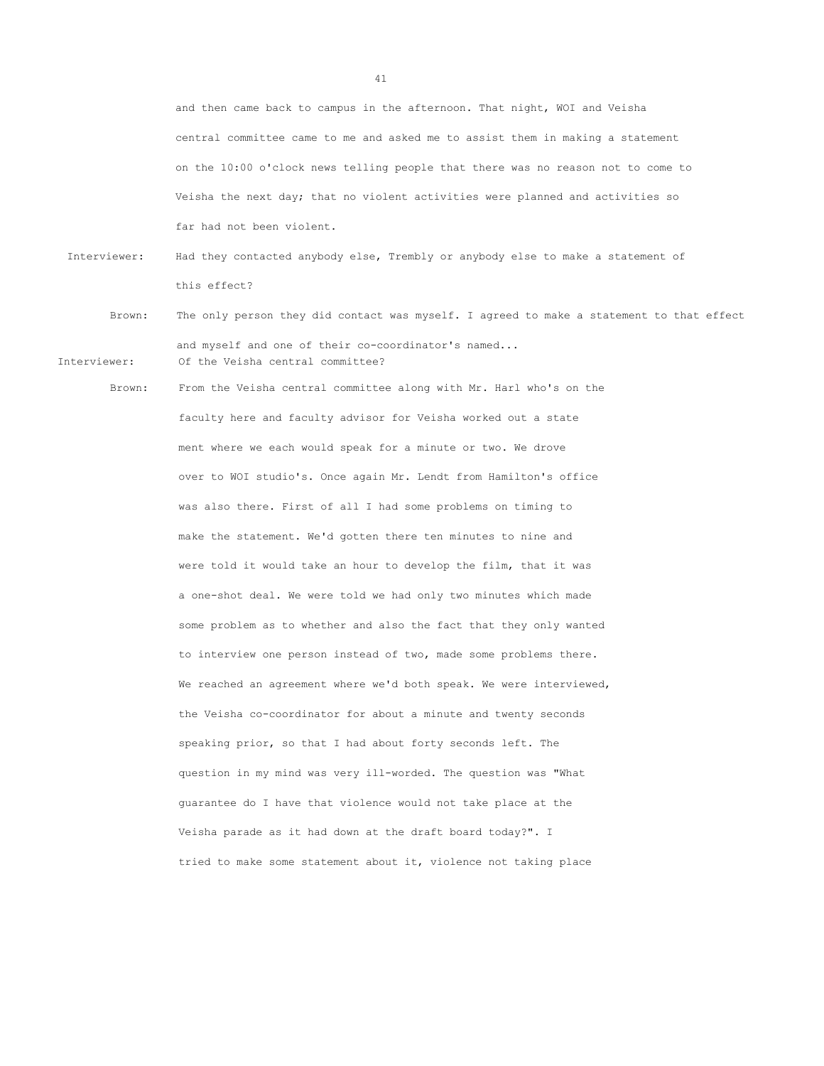and then came back to campus in the afternoon. That night, WOI and Veisha central committee came to me and asked me to assist them in making a statement on the 10:00 o'clock news telling people that there was no reason not to come to Veisha the next day; that no violent activities were planned and activities so far had not been violent.

 Interviewer: Had they contacted anybody else, Trembly or anybody else to make a statement of this effect?

- Brown: The only person they did contact was myself. I agreed to make a statement to that effect and myself and one of their co-coordinator's named... Interviewer: Of the Veisha central committee?
	-

Brown: From the Veisha central committee along with Mr. Harl who's on the faculty here and faculty advisor for Veisha worked out a state ment where we each would speak for a minute or two. We drove over to WOI studio's. Once again Mr. Lendt from Hamilton's office was also there. First of all I had some problems on timing to make the statement. We'd gotten there ten minutes to nine and were told it would take an hour to develop the film, that it was a one-shot deal. We were told we had only two minutes which made some problem as to whether and also the fact that they only wanted to interview one person instead of two, made some problems there. We reached an agreement where we'd both speak. We were interviewed, the Veisha co-coordinator for about a minute and twenty seconds speaking prior, so that I had about forty seconds left. The question in my mind was very ill-worded. The question was "What guarantee do I have that violence would not take place at the Veisha parade as it had down at the draft board today?". I tried to make some statement about it, violence not taking place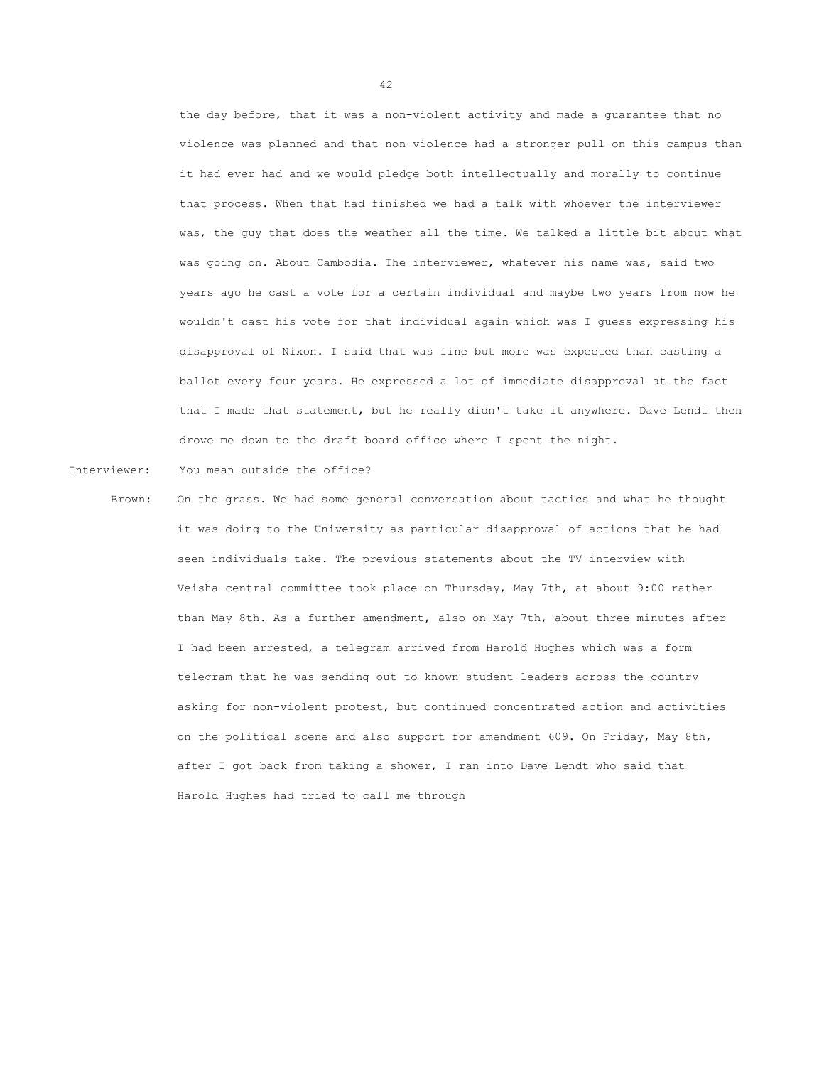the day before, that it was a non-violent activity and made a guarantee that no violence was planned and that non-violence had a stronger pull on this campus than it had ever had and we would pledge both intellectually and morally to continue that process. When that had finished we had a talk with whoever the interviewer was, the guy that does the weather all the time. We talked a little bit about what was going on. About Cambodia. The interviewer, whatever his name was, said two years ago he cast a vote for a certain individual and maybe two years from now he wouldn't cast his vote for that individual again which was I guess expressing his disapproval of Nixon. I said that was fine but more was expected than casting a ballot every four years. He expressed a lot of immediate disapproval at the fact that I made that statement, but he really didn't take it anywhere. Dave Lendt then drove me down to the draft board office where I spent the night.

Interviewer: You mean outside the office?

Brown: On the grass. We had some general conversation about tactics and what he thought it was doing to the University as particular disapproval of actions that he had seen individuals take. The previous statements about the TV interview with Veisha central committee took place on Thursday, May 7th, at about 9:00 rather than May 8th. As a further amendment, also on May 7th, about three minutes after I had been arrested, a telegram arrived from Harold Hughes which was a form telegram that he was sending out to known student leaders across the country asking for non-violent protest, but continued concentrated action and activities on the political scene and also support for amendment 609. On Friday, May 8th, after I got back from taking a shower, I ran into Dave Lendt who said that Harold Hughes had tried to call me through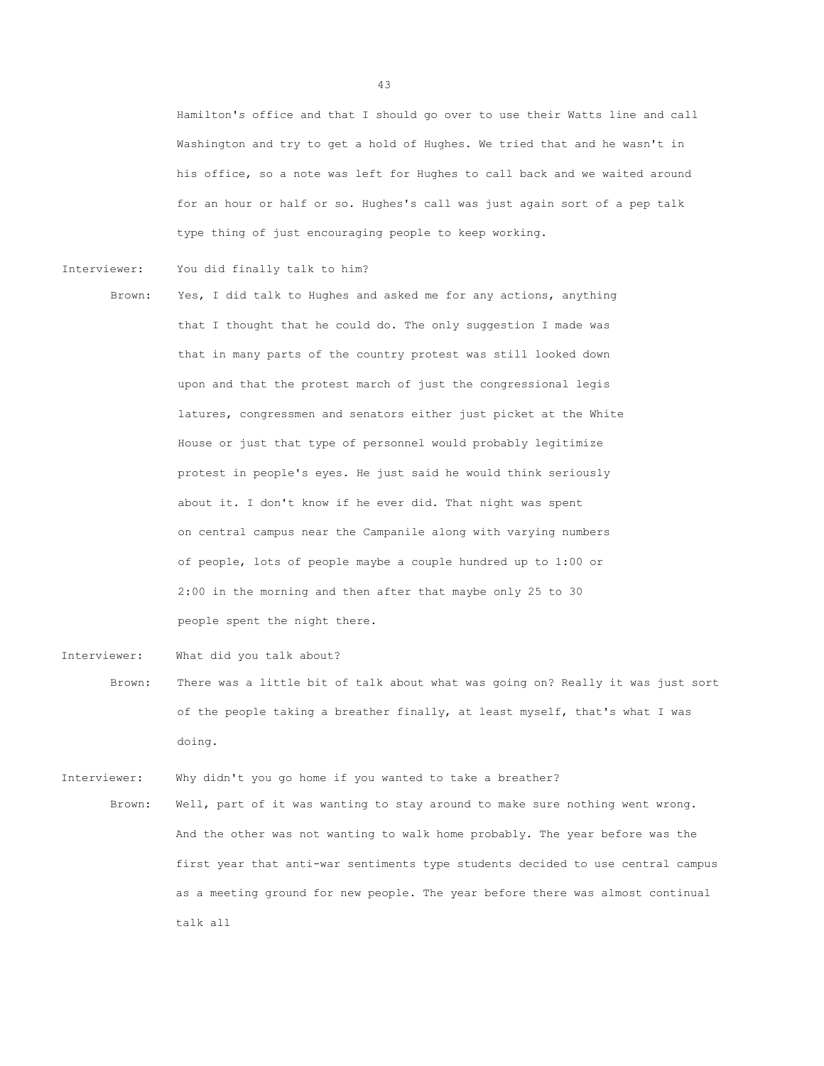Hamilton's office and that I should go over to use their Watts line and call Washington and try to get a hold of Hughes. We tried that and he wasn't in his office, so a note was left for Hughes to call back and we waited around for an hour or half or so. Hughes's call was just again sort of a pep talk type thing of just encouraging people to keep working.

Interviewer: You did finally talk to him?

Brown: Yes, I did talk to Hughes and asked me for any actions, anything that I thought that he could do. The only suggestion I made was that in many parts of the country protest was still looked down upon and that the protest march of just the congressional legis latures, congressmen and senators either just picket at the White House or just that type of personnel would probably legitimize protest in people's eyes. He just said he would think seriously about it. I don't know if he ever did. That night was spent on central campus near the Campanile along with varying numbers of people, lots of people maybe a couple hundred up to 1:00 or 2:00 in the morning and then after that maybe only 25 to 30 people spent the night there.

Interviewer: What did you talk about?

Brown: There was a little bit of talk about what was going on? Really it was just sort of the people taking a breather finally, at least myself, that's what I was doing.

Interviewer: Why didn't you go home if you wanted to take a breather?

Brown: Well, part of it was wanting to stay around to make sure nothing went wrong. And the other was not wanting to walk home probably. The year before was the first year that anti-war sentiments type students decided to use central campus as a meeting ground for new people. The year before there was almost continual talk all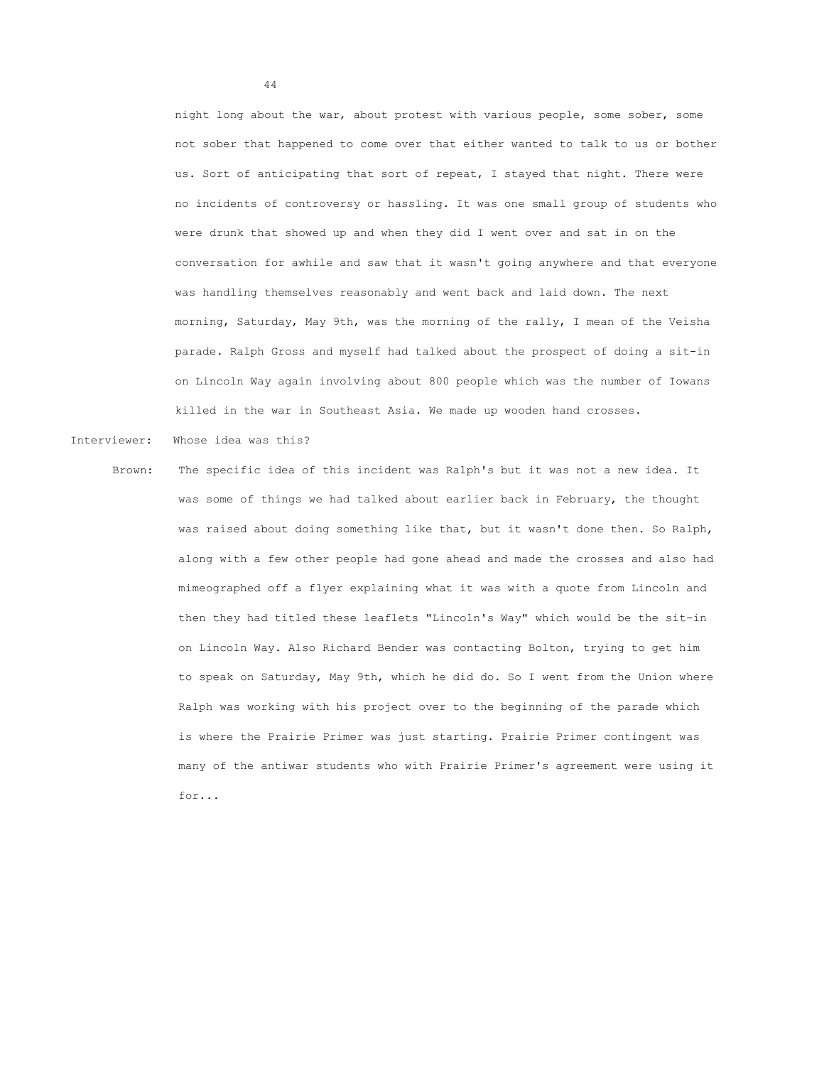night long about the war, about protest with various people, some sober, some not sober that happened to come over that either wanted to talk to us or bother us. Sort of anticipating that sort of repeat, I stayed that night. There were no incidents of controversy or hassling. It was one small group of students who were drunk that showed up and when they did I went over and sat in on the conversation for awhile and saw that it wasn't going anywhere and that everyone was handling themselves reasonably and went back and laid down. The next morning, Saturday, May 9th, was the morning of the rally, I mean of the Veisha parade. Ralph Gross and myself had talked about the prospect of doing a sit-in on Lincoln Way again involving about 800 people which was the number of Iowans killed in the war in Southeast Asia. We made up wooden hand crosses.

- Interviewer: Whose idea was this?
	- Brown: The specific idea of this incident was Ralph's but it was not a new idea. It was some of things we had talked about earlier back in February, the thought was raised about doing something like that, but it wasn't done then. So Ralph, along with a few other people had gone ahead and made the crosses and also had mimeographed off a flyer explaining what it was with a quote from Lincoln and then they had titled these leaflets "Lincoln's Way" which would be the sit-in on Lincoln Way. Also Richard Bender was contacting Bolton, trying to get him to speak on Saturday, May 9th, which he did do. So I went from the Union where Ralph was working with his project over to the beginning of the parade which is where the Prairie Primer was just starting. Prairie Primer contingent was many of the antiwar students who with Prairie Primer's agreement were using it for...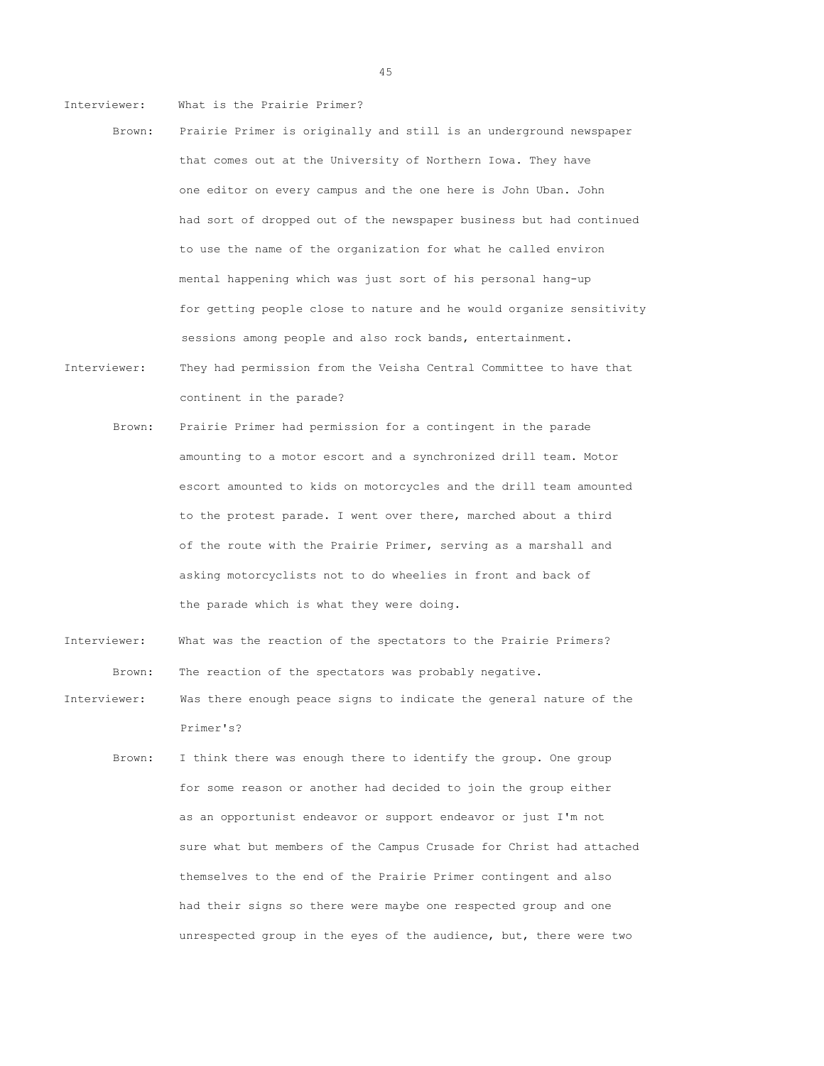Interviewer: What is the Prairie Primer?

- Brown: Prairie Primer is originally and still is an underground newspaper that comes out at the University of Northern Iowa. They have one editor on every campus and the one here is John Uban. John had sort of dropped out of the newspaper business but had continued to use the name of the organization for what he called environ mental happening which was just sort of his personal hang-up for getting people close to nature and he would organize sensitivity sessions among people and also rock bands, entertainment.
- Interviewer: They had permission from the Veisha Central Committee to have that continent in the parade?
	- Brown: Prairie Primer had permission for a contingent in the parade amounting to a motor escort and a synchronized drill team. Motor escort amounted to kids on motorcycles and the drill team amounted to the protest parade. I went over there, marched about a third of the route with the Prairie Primer, serving as a marshall and asking motorcyclists not to do wheelies in front and back of the parade which is what they were doing.
- Interviewer: What was the reaction of the spectators to the Prairie Primers? Brown: The reaction of the spectators was probably negative.
- Interviewer: Was there enough peace signs to indicate the general nature of the Primer's?
	- Brown: I think there was enough there to identify the group. One group for some reason or another had decided to join the group either as an opportunist endeavor or support endeavor or just I'm not sure what but members of the Campus Crusade for Christ had attached themselves to the end of the Prairie Primer contingent and also had their signs so there were maybe one respected group and one unrespected group in the eyes of the audience, but, there were two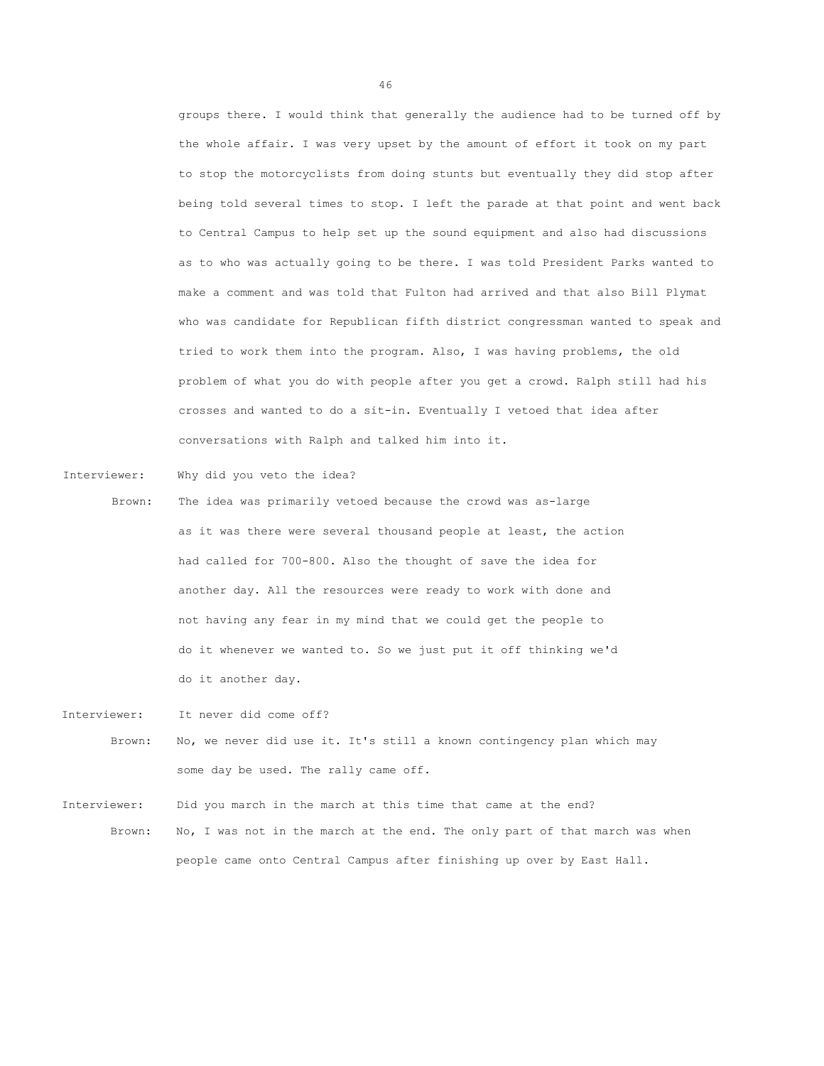groups there. I would think that generally the audience had to be turned off by the whole affair. I was very upset by the amount of effort it took on my part to stop the motorcyclists from doing stunts but eventually they did stop after being told several times to stop. I left the parade at that point and went back to Central Campus to help set up the sound equipment and also had discussions as to who was actually going to be there. I was told President Parks wanted to make a comment and was told that Fulton had arrived and that also Bill Plymat who was candidate for Republican fifth district congressman wanted to speak and tried to work them into the program. Also, I was having problems, the old problem of what you do with people after you get a crowd. Ralph still had his crosses and wanted to do a sit-in. Eventually I vetoed that idea after conversations with Ralph and talked him into it.

Interviewer: Why did you veto the idea?

- Brown: The idea was primarily vetoed because the crowd was as-large as it was there were several thousand people at least, the action had called for 700-800. Also the thought of save the idea for another day. All the resources were ready to work with done and not having any fear in my mind that we could get the people to do it whenever we wanted to. So we just put it off thinking we'd do it another day.
- Interviewer: It never did come off? Brown: No, we never did use it. It's still a known contingency plan which may some day be used. The rally came off.

Interviewer: Did you march in the march at this time that came at the end? Brown: No, I was not in the march at the end. The only part of that march was when people came onto Central Campus after finishing up over by East Hall.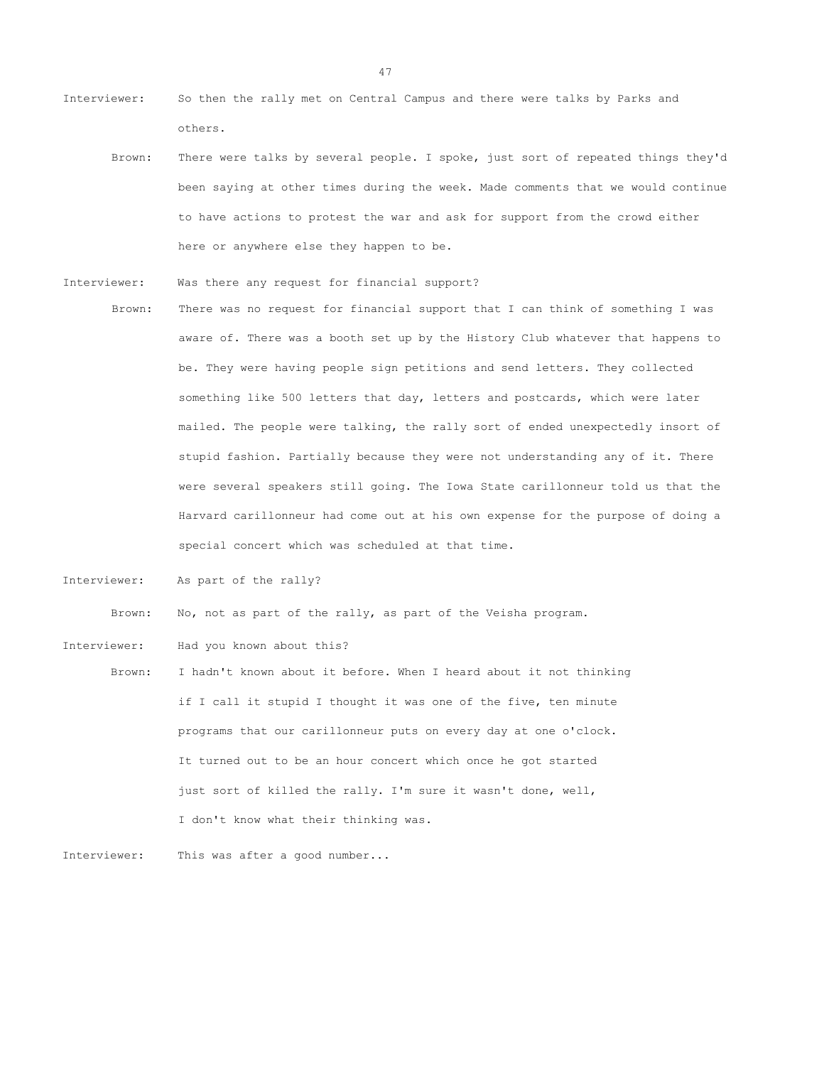- Interviewer: So then the rally met on Central Campus and there were talks by Parks and others.
	- Brown: There were talks by several people. I spoke, just sort of repeated things they'd been saying at other times during the week. Made comments that we would continue to have actions to protest the war and ask for support from the crowd either here or anywhere else they happen to be.
- Interviewer: Was there any request for financial support?
- Brown: There was no request for financial support that I can think of something I was aware of. There was a booth set up by the History Club whatever that happens to be. They were having people sign petitions and send letters. They collected something like 500 letters that day, letters and postcards, which were later mailed. The people were talking, the rally sort of ended unexpectedly insort of stupid fashion. Partially because they were not understanding any of it. There were several speakers still going. The Iowa State carillonneur told us that the Harvard carillonneur had come out at his own expense for the purpose of doing a special concert which was scheduled at that time.
- Interviewer: As part of the rally?

Brown: No, not as part of the rally, as part of the Veisha program.

- Interviewer: Had you known about this?
	- Brown: I hadn't known about it before. When I heard about it not thinking if I call it stupid I thought it was one of the five, ten minute programs that our carillonneur puts on every day at one o'clock. It turned out to be an hour concert which once he got started just sort of killed the rally. I'm sure it wasn't done, well, I don't know what their thinking was.

Interviewer: This was after a good number...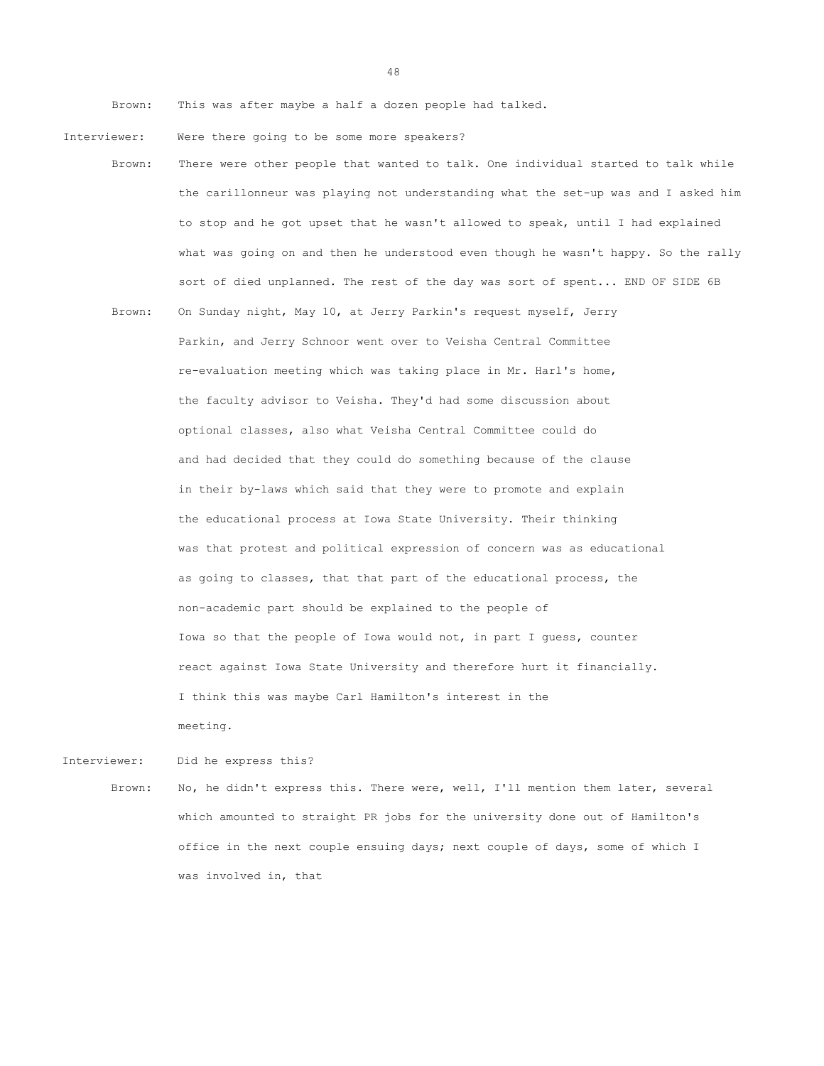Brown: This was after maybe a half a dozen people had talked.

- Interviewer: Were there going to be some more speakers?
	- Brown: There were other people that wanted to talk. One individual started to talk while the carillonneur was playing not understanding what the set-up was and I asked him to stop and he got upset that he wasn't allowed to speak, until I had explained what was going on and then he understood even though he wasn't happy. So the rally sort of died unplanned. The rest of the day was sort of spent... END OF SIDE 6B
		- Brown: On Sunday night, May 10, at Jerry Parkin's request myself, Jerry Parkin, and Jerry Schnoor went over to Veisha Central Committee re-evaluation meeting which was taking place in Mr. Harl's home, the faculty advisor to Veisha. They'd had some discussion about optional classes, also what Veisha Central Committee could do and had decided that they could do something because of the clause in their by-laws which said that they were to promote and explain the educational process at Iowa State University. Their thinking was that protest and political expression of concern was as educational as going to classes, that that part of the educational process, the non-academic part should be explained to the people of Iowa so that the people of Iowa would not, in part I guess, counter react against Iowa State University and therefore hurt it financially. I think this was maybe Carl Hamilton's interest in the meeting.

Interviewer: Did he express this?

Brown: No, he didn't express this. There were, well, I'll mention them later, several which amounted to straight PR jobs for the university done out of Hamilton's office in the next couple ensuing days; next couple of days, some of which I was involved in, that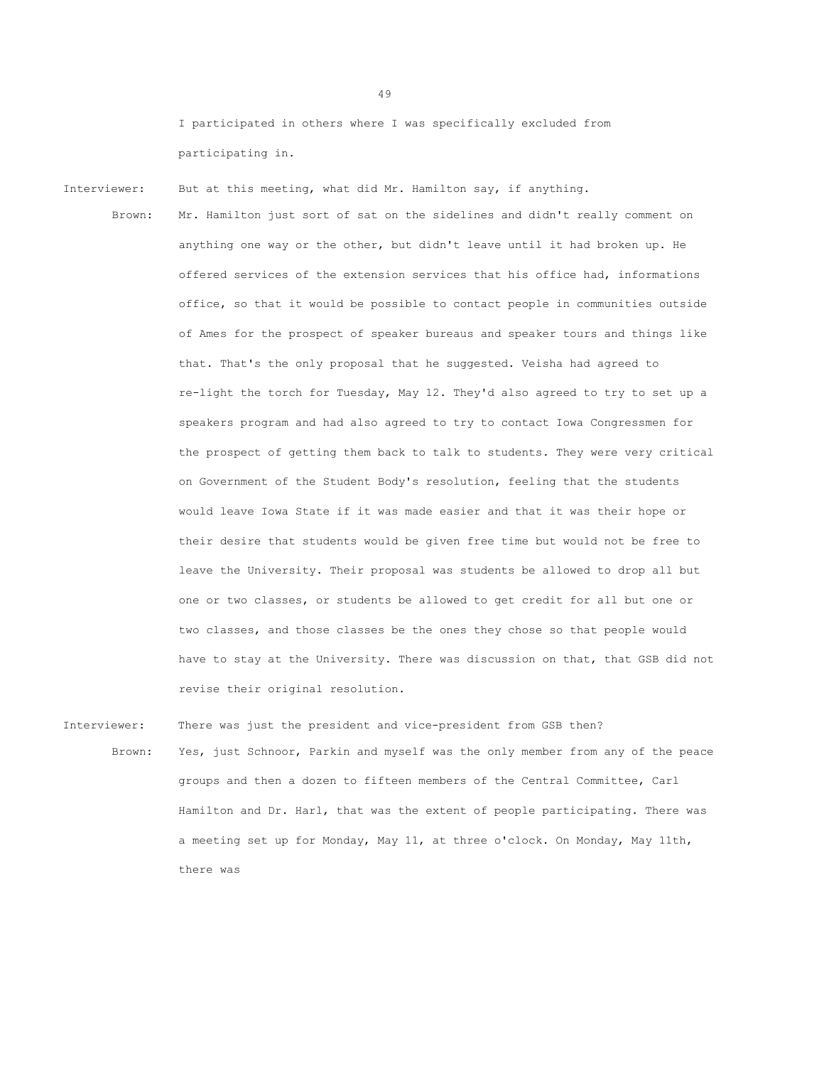I participated in others where I was specifically excluded from participating in.

Interviewer: But at this meeting, what did Mr. Hamilton say, if anything.

Brown: Mr. Hamilton just sort of sat on the sidelines and didn't really comment on anything one way or the other, but didn't leave until it had broken up. He offered services of the extension services that his office had, informations office, so that it would be possible to contact people in communities outside of Ames for the prospect of speaker bureaus and speaker tours and things like that. That's the only proposal that he suggested. Veisha had agreed to re-light the torch for Tuesday, May 12. They'd also agreed to try to set up a speakers program and had also agreed to try to contact Iowa Congressmen for the prospect of getting them back to talk to students. They were very critical on Government of the Student Body's resolution, feeling that the students would leave Iowa State if it was made easier and that it was their hope or their desire that students would be given free time but would not be free to leave the University. Their proposal was students be allowed to drop all but one or two classes, or students be allowed to get credit for all but one or two classes, and those classes be the ones they chose so that people would have to stay at the University. There was discussion on that, that GSB did not revise their original resolution.

Interviewer: There was just the president and vice-president from GSB then? Brown: Yes, just Schnoor, Parkin and myself was the only member from any of the peace groups and then a dozen to fifteen members of the Central Committee, Carl Hamilton and Dr. Harl, that was the extent of people participating. There was a meeting set up for Monday, May 11, at three o'clock. On Monday, May 11th, there was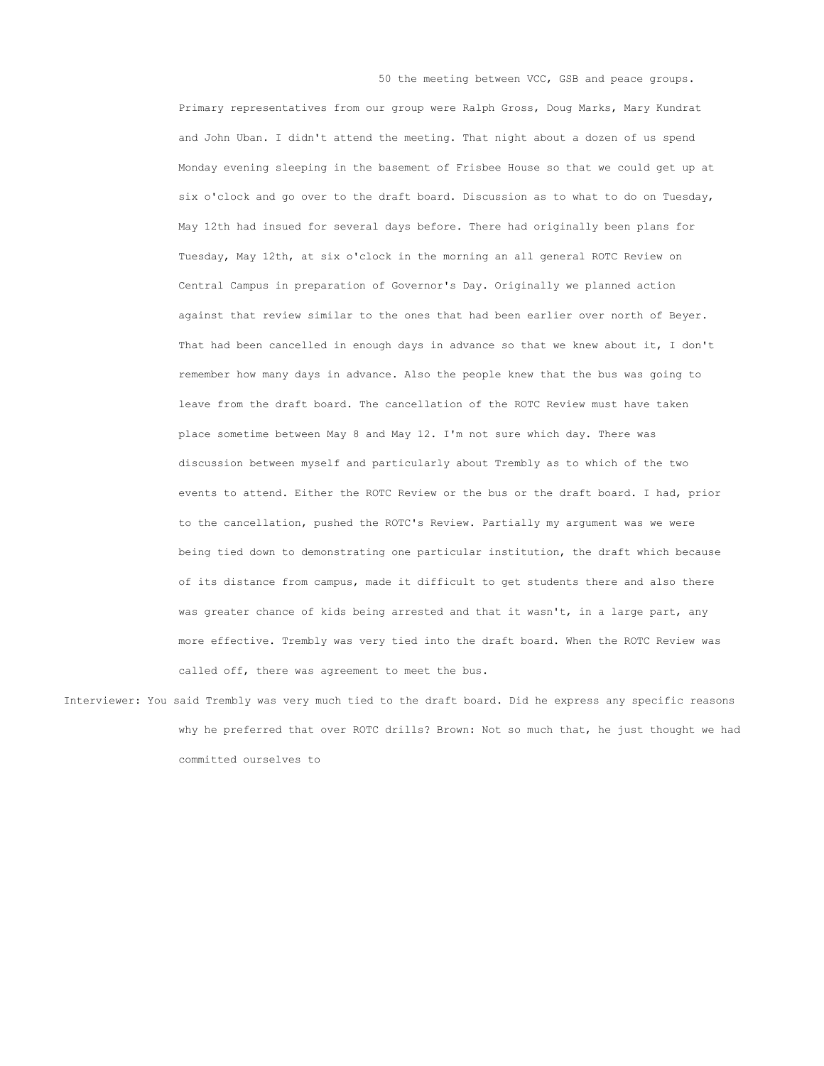Primary representatives from our group were Ralph Gross, Doug Marks, Mary Kundrat and John Uban. I didn't attend the meeting. That night about a dozen of us spend Monday evening sleeping in the basement of Frisbee House so that we could get up at six o'clock and go over to the draft board. Discussion as to what to do on Tuesday, May 12th had insued for several days before. There had originally been plans for Tuesday, May 12th, at six o'clock in the morning an all general ROTC Review on Central Campus in preparation of Governor's Day. Originally we planned action against that review similar to the ones that had been earlier over north of Beyer. That had been cancelled in enough days in advance so that we knew about it, I don't remember how many days in advance. Also the people knew that the bus was going to leave from the draft board. The cancellation of the ROTC Review must have taken place sometime between May 8 and May 12. I'm not sure which day. There was discussion between myself and particularly about Trembly as to which of the two events to attend. Either the ROTC Review or the bus or the draft board. I had, prior to the cancellation, pushed the ROTC's Review. Partially my argument was we were being tied down to demonstrating one particular institution, the draft which because of its distance from campus, made it difficult to get students there and also there was greater chance of kids being arrested and that it wasn't, in a large part, any more effective. Trembly was very tied into the draft board. When the ROTC Review was called off, there was agreement to meet the bus.

50 the meeting between VCC, GSB and peace groups.

Interviewer: You said Trembly was very much tied to the draft board. Did he express any specific reasons why he preferred that over ROTC drills? Brown: Not so much that, he just thought we had committed ourselves to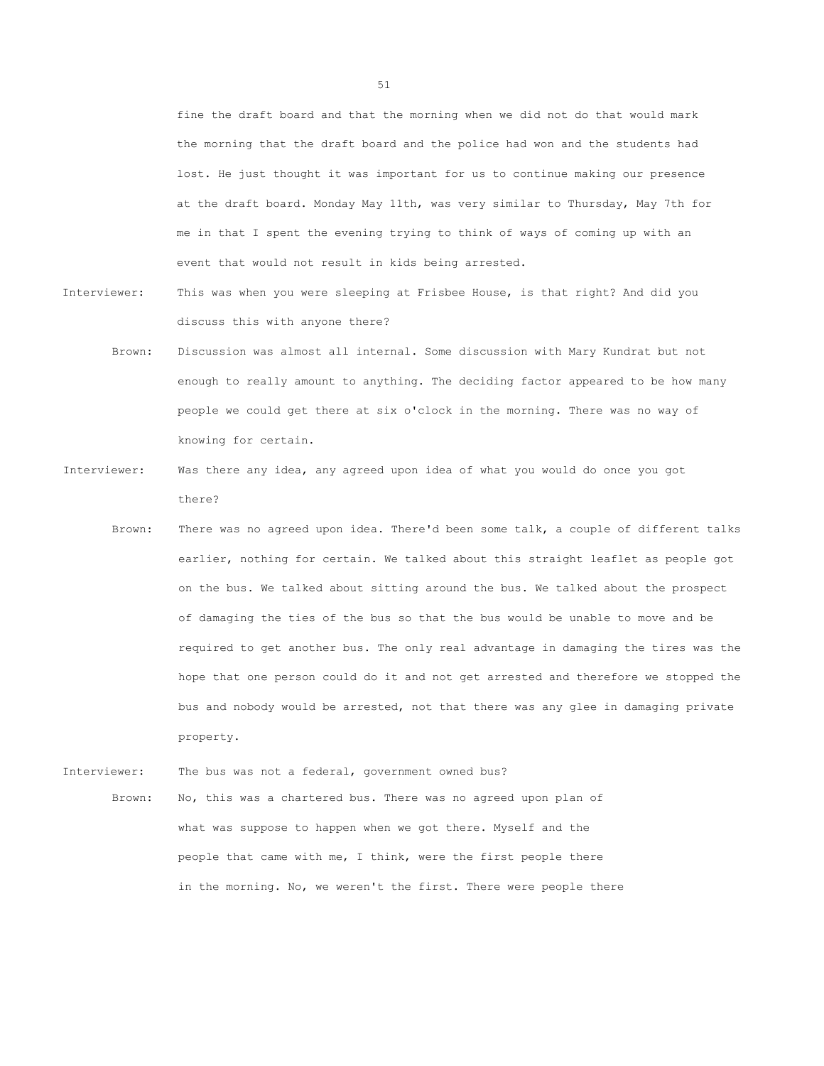fine the draft board and that the morning when we did not do that would mark the morning that the draft board and the police had won and the students had lost. He just thought it was important for us to continue making our presence at the draft board. Monday May 11th, was very similar to Thursday, May 7th for me in that I spent the evening trying to think of ways of coming up with an event that would not result in kids being arrested.

- Interviewer: This was when you were sleeping at Frisbee House, is that right? And did you discuss this with anyone there?
	- Brown: Discussion was almost all internal. Some discussion with Mary Kundrat but not enough to really amount to anything. The deciding factor appeared to be how many people we could get there at six o'clock in the morning. There was no way of knowing for certain.
- Interviewer: Was there any idea, any agreed upon idea of what you would do once you got there?
	- Brown: There was no agreed upon idea. There'd been some talk, a couple of different talks earlier, nothing for certain. We talked about this straight leaflet as people got on the bus. We talked about sitting around the bus. We talked about the prospect of damaging the ties of the bus so that the bus would be unable to move and be required to get another bus. The only real advantage in damaging the tires was the hope that one person could do it and not get arrested and therefore we stopped the bus and nobody would be arrested, not that there was any glee in damaging private property.
- Interviewer: The bus was not a federal, government owned bus? Brown: No, this was a chartered bus. There was no agreed upon plan of what was suppose to happen when we got there. Myself and the people that came with me, I think, were the first people there in the morning. No, we weren't the first. There were people there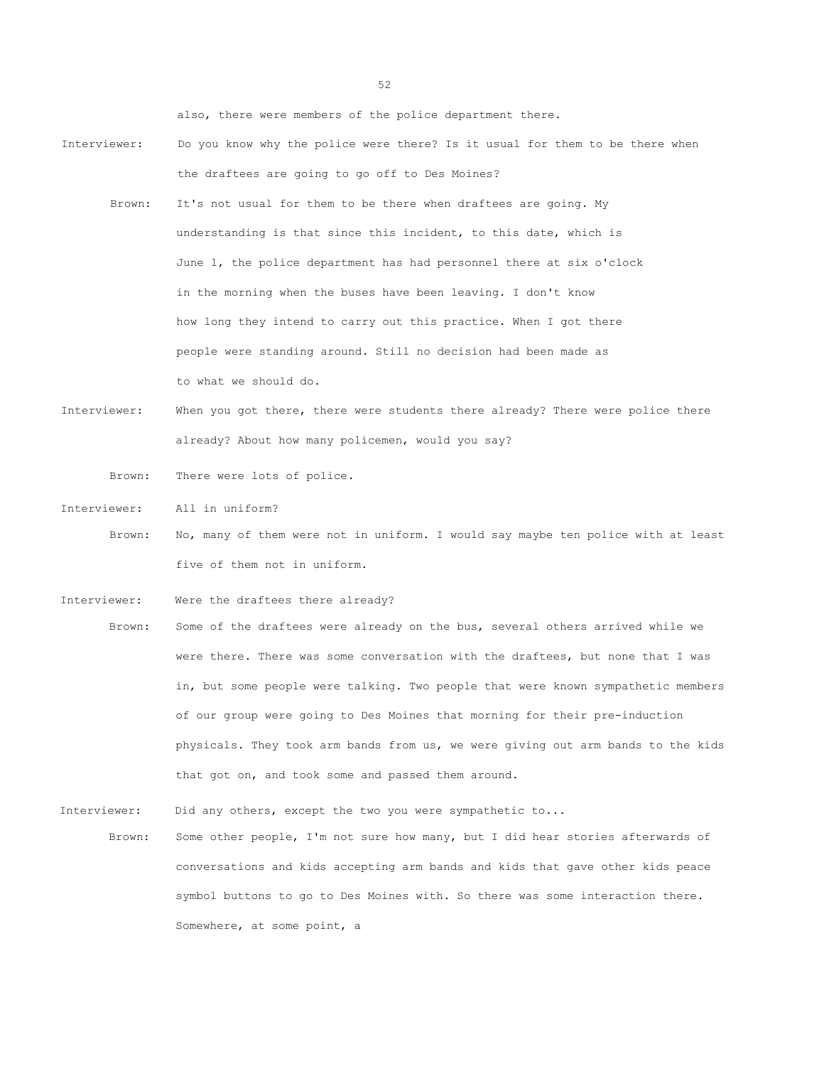also, there were members of the police department there.

- Interviewer: Do you know why the police were there? Is it usual for them to be there when the draftees are going to go off to Des Moines?
	- Brown: It's not usual for them to be there when draftees are going. My understanding is that since this incident, to this date, which is June 1, the police department has had personnel there at six o'clock in the morning when the buses have been leaving. I don't know how long they intend to carry out this practice. When I got there people were standing around. Still no decision had been made as to what we should do.
- Interviewer: When you got there, there were students there already? There were police there already? About how many policemen, would you say?

Brown: There were lots of police.

Interviewer: All in uniform?

- Brown: No, many of them were not in uniform. I would say maybe ten police with at least five of them not in uniform.
- Interviewer: Were the draftees there already?
- Brown: Some of the draftees were already on the bus, several others arrived while we were there. There was some conversation with the draftees, but none that I was in, but some people were talking. Two people that were known sympathetic members of our group were going to Des Moines that morning for their pre-induction physicals. They took arm bands from us, we were giving out arm bands to the kids that got on, and took some and passed them around.

Interviewer: Did any others, except the two you were sympathetic to...

Brown: Some other people, I'm not sure how many, but I did hear stories afterwards of conversations and kids accepting arm bands and kids that gave other kids peace symbol buttons to go to Des Moines with. So there was some interaction there. Somewhere, at some point, a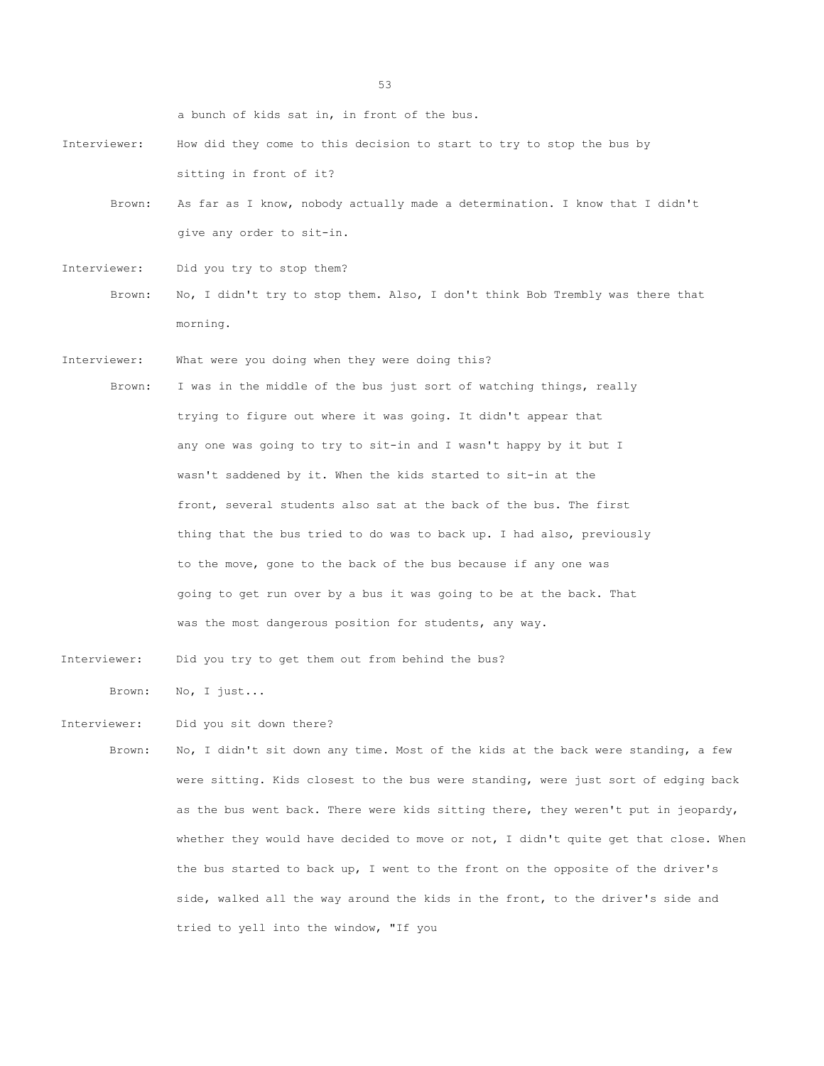a bunch of kids sat in, in front of the bus.

- Interviewer: How did they come to this decision to start to try to stop the bus by sitting in front of it?
	- Brown: As far as I know, nobody actually made a determination. I know that I didn't give any order to sit-in.
- Interviewer: Did you try to stop them?
	- Brown: No, I didn't try to stop them. Also, I don't think Bob Trembly was there that morning.
- Interviewer: What were you doing when they were doing this?
	- Brown: I was in the middle of the bus just sort of watching things, really trying to figure out where it was going. It didn't appear that any one was going to try to sit-in and I wasn't happy by it but I wasn't saddened by it. When the kids started to sit-in at the front, several students also sat at the back of the bus. The first thing that the bus tried to do was to back up. I had also, previously to the move, gone to the back of the bus because if any one was going to get run over by a bus it was going to be at the back. That was the most dangerous position for students, any way.
- Interviewer: Did you try to get them out from behind the bus?

Brown: No, I just...

Interviewer: Did you sit down there?

Brown: No, I didn't sit down any time. Most of the kids at the back were standing, a few were sitting. Kids closest to the bus were standing, were just sort of edging back as the bus went back. There were kids sitting there, they weren't put in jeopardy, whether they would have decided to move or not, I didn't quite get that close. When the bus started to back up, I went to the front on the opposite of the driver's side, walked all the way around the kids in the front, to the driver's side and tried to yell into the window, "If you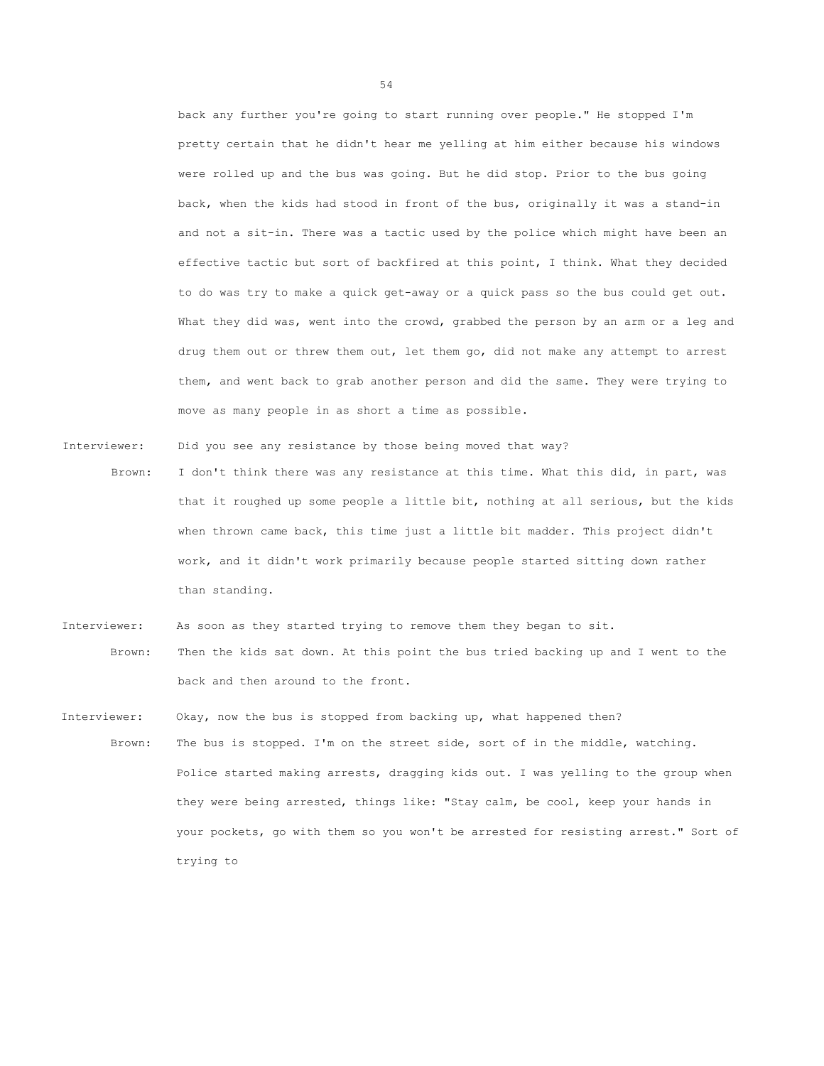back any further you're going to start running over people." He stopped I'm pretty certain that he didn't hear me yelling at him either because his windows were rolled up and the bus was going. But he did stop. Prior to the bus going back, when the kids had stood in front of the bus, originally it was a stand-in and not a sit-in. There was a tactic used by the police which might have been an effective tactic but sort of backfired at this point, I think. What they decided to do was try to make a quick get-away or a quick pass so the bus could get out. What they did was, went into the crowd, grabbed the person by an arm or a leg and drug them out or threw them out, let them go, did not make any attempt to arrest them, and went back to grab another person and did the same. They were trying to move as many people in as short a time as possible.

Interviewer: Did you see any resistance by those being moved that way?

- Brown: I don't think there was any resistance at this time. What this did, in part, was that it roughed up some people a little bit, nothing at all serious, but the kids when thrown came back, this time just a little bit madder. This project didn't work, and it didn't work primarily because people started sitting down rather than standing.
- Interviewer: As soon as they started trying to remove them they began to sit. Brown: Then the kids sat down. At this point the bus tried backing up and I went to the back and then around to the front.
- Interviewer: Okay, now the bus is stopped from backing up, what happened then? Brown: The bus is stopped. I'm on the street side, sort of in the middle, watching. Police started making arrests, dragging kids out. I was yelling to the group when they were being arrested, things like: "Stay calm, be cool, keep your hands in your pockets, go with them so you won't be arrested for resisting arrest." Sort of trying to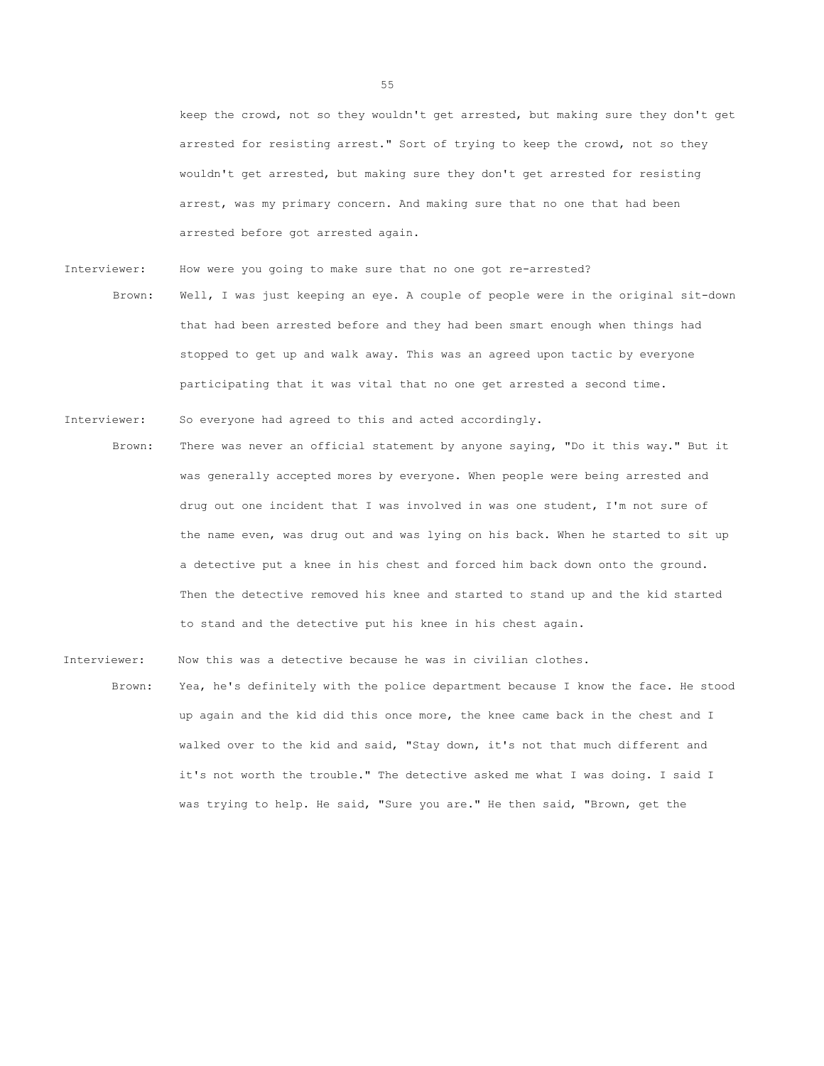keep the crowd, not so they wouldn't get arrested, but making sure they don't get arrested for resisting arrest." Sort of trying to keep the crowd, not so they wouldn't get arrested, but making sure they don't get arrested for resisting arrest, was my primary concern. And making sure that no one that had been arrested before got arrested again.

Interviewer: How were you going to make sure that no one got re-arrested? Brown: Well, I was just keeping an eye. A couple of people were in the original sit-down that had been arrested before and they had been smart enough when things had stopped to get up and walk away. This was an agreed upon tactic by everyone participating that it was vital that no one get arrested a second time.

Brown: There was never an official statement by anyone saying, "Do it this way." But it was generally accepted mores by everyone. When people were being arrested and drug out one incident that I was involved in was one student, I'm not sure of the name even, was drug out and was lying on his back. When he started to sit up a detective put a knee in his chest and forced him back down onto the ground. Then the detective removed his knee and started to stand up and the kid started to stand and the detective put his knee in his chest again.

Interviewer: Now this was a detective because he was in civilian clothes.

Interviewer: So everyone had agreed to this and acted accordingly.

Brown: Yea, he's definitely with the police department because I know the face. He stood up again and the kid did this once more, the knee came back in the chest and I walked over to the kid and said, "Stay down, it's not that much different and it's not worth the trouble." The detective asked me what I was doing. I said I was trying to help. He said, "Sure you are." He then said, "Brown, get the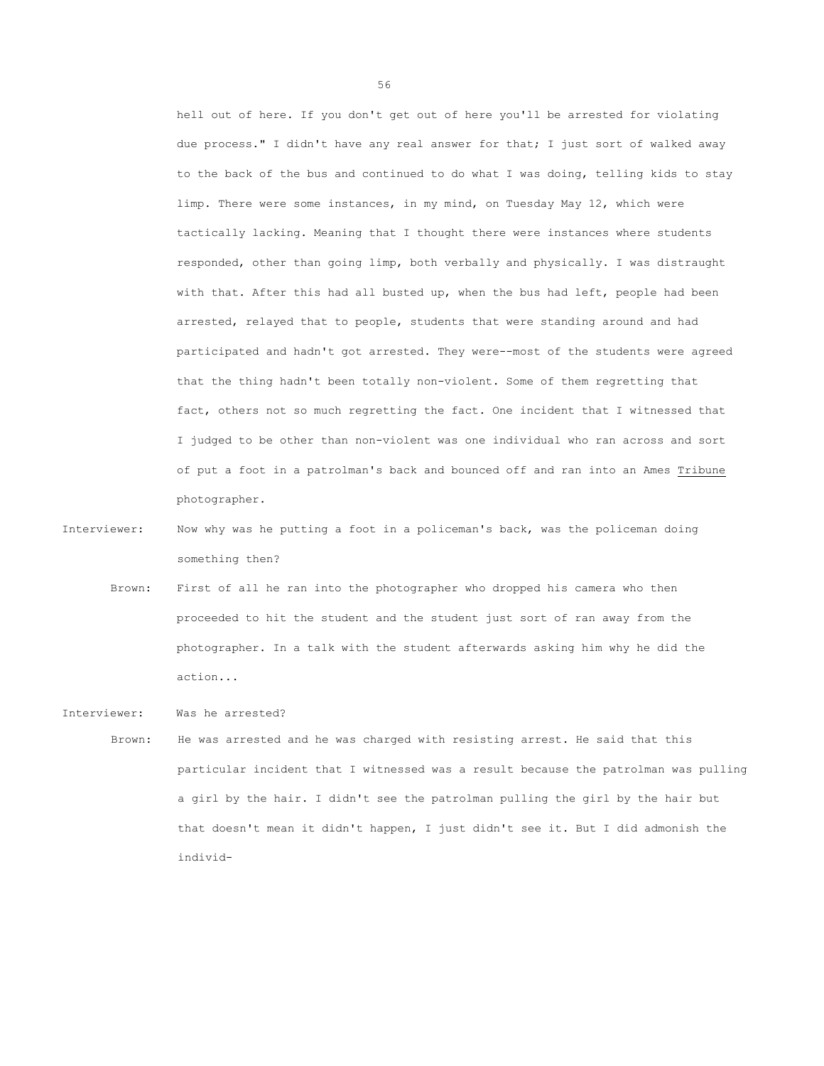hell out of here. If you don't get out of here you'll be arrested for violating due process." I didn't have any real answer for that; I just sort of walked away to the back of the bus and continued to do what I was doing, telling kids to stay limp. There were some instances, in my mind, on Tuesday May 12, which were tactically lacking. Meaning that I thought there were instances where students responded, other than going limp, both verbally and physically. I was distraught with that. After this had all busted up, when the bus had left, people had been arrested, relayed that to people, students that were standing around and had participated and hadn't got arrested. They were--most of the students were agreed that the thing hadn't been totally non-violent. Some of them regretting that fact, others not so much regretting the fact. One incident that I witnessed that I judged to be other than non-violent was one individual who ran across and sort of put a foot in a patrolman's back and bounced off and ran into an Ames Tribune photographer.

Interviewer: Now why was he putting a foot in a policeman's back, was the policeman doing something then?

Brown: First of all he ran into the photographer who dropped his camera who then proceeded to hit the student and the student just sort of ran away from the photographer. In a talk with the student afterwards asking him why he did the action...

Interviewer: Was he arrested?

Brown: He was arrested and he was charged with resisting arrest. He said that this particular incident that I witnessed was a result because the patrolman was pulling a girl by the hair. I didn't see the patrolman pulling the girl by the hair but that doesn't mean it didn't happen, I just didn't see it. But I did admonish the individ-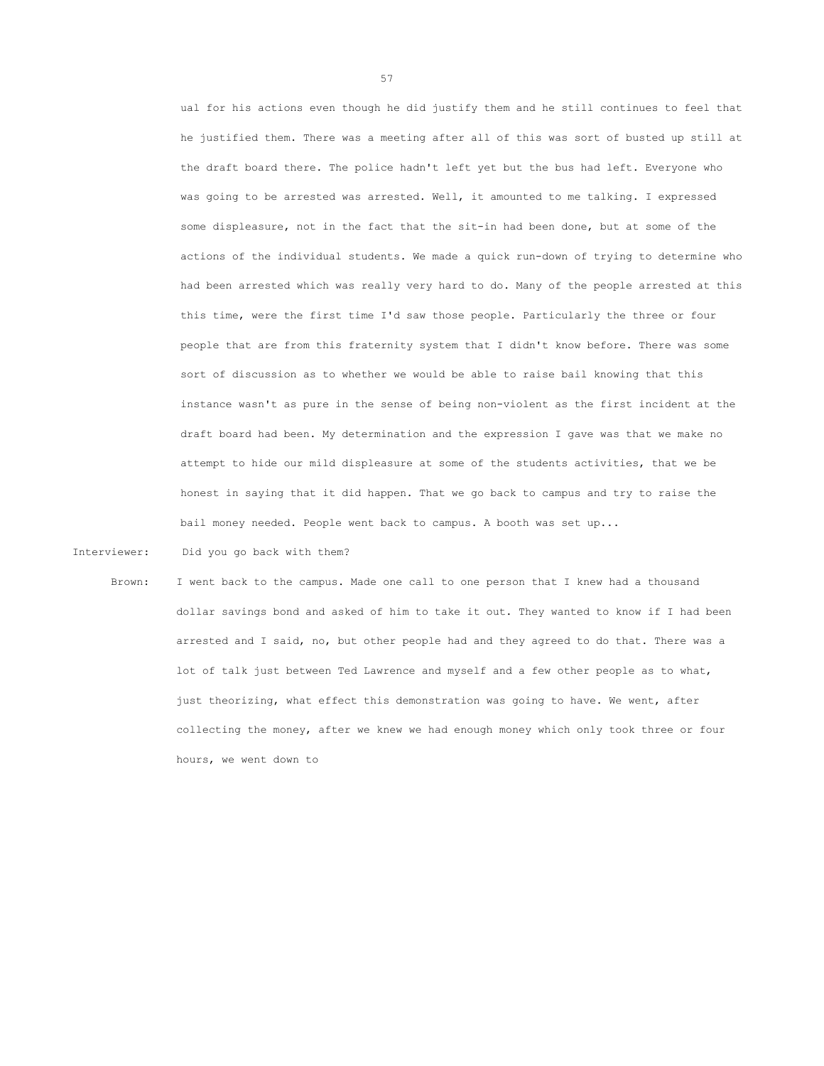ual for his actions even though he did justify them and he still continues to feel that he justified them. There was a meeting after all of this was sort of busted up still at the draft board there. The police hadn't left yet but the bus had left. Everyone who was going to be arrested was arrested. Well, it amounted to me talking. I expressed some displeasure, not in the fact that the sit-in had been done, but at some of the actions of the individual students. We made a quick run-down of trying to determine who had been arrested which was really very hard to do. Many of the people arrested at this this time, were the first time I'd saw those people. Particularly the three or four people that are from this fraternity system that I didn't know before. There was some sort of discussion as to whether we would be able to raise bail knowing that this instance wasn't as pure in the sense of being non-violent as the first incident at the draft board had been. My determination and the expression I gave was that we make no attempt to hide our mild displeasure at some of the students activities, that we be honest in saying that it did happen. That we go back to campus and try to raise the bail money needed. People went back to campus. A booth was set up...

Interviewer: Did you go back with them?

Brown: I went back to the campus. Made one call to one person that I knew had a thousand dollar savings bond and asked of him to take it out. They wanted to know if I had been arrested and I said, no, but other people had and they agreed to do that. There was a lot of talk just between Ted Lawrence and myself and a few other people as to what, just theorizing, what effect this demonstration was going to have. We went, after collecting the money, after we knew we had enough money which only took three or four hours, we went down to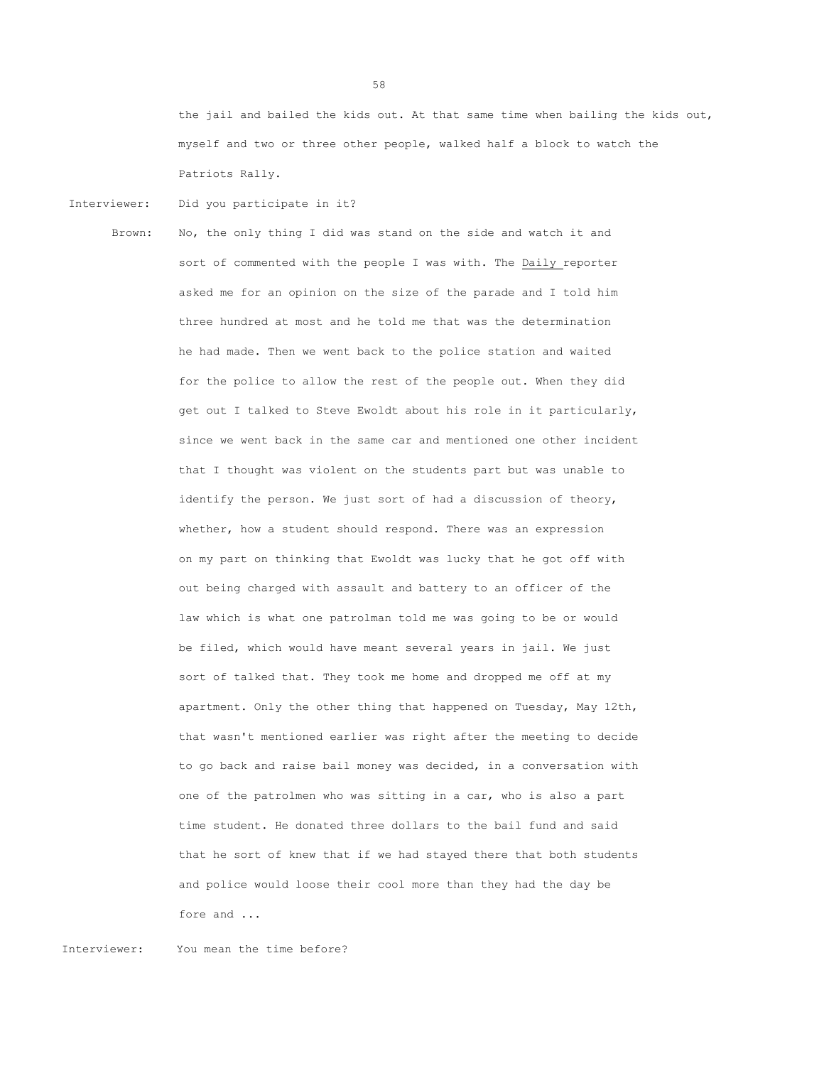the jail and bailed the kids out. At that same time when bailing the kids out, myself and two or three other people, walked half a block to watch the Patriots Rally.

Interviewer: Did you participate in it?

Brown: No, the only thing I did was stand on the side and watch it and sort of commented with the people I was with. The Daily reporter asked me for an opinion on the size of the parade and I told him three hundred at most and he told me that was the determination he had made. Then we went back to the police station and waited for the police to allow the rest of the people out. When they did get out I talked to Steve Ewoldt about his role in it particularly, since we went back in the same car and mentioned one other incident that I thought was violent on the students part but was unable to identify the person. We just sort of had a discussion of theory, whether, how a student should respond. There was an expression on my part on thinking that Ewoldt was lucky that he got off with out being charged with assault and battery to an officer of the law which is what one patrolman told me was going to be or would be filed, which would have meant several years in jail. We just sort of talked that. They took me home and dropped me off at my apartment. Only the other thing that happened on Tuesday, May 12th, that wasn't mentioned earlier was right after the meeting to decide to go back and raise bail money was decided, in a conversation with one of the patrolmen who was sitting in a car, who is also a part time student. He donated three dollars to the bail fund and said that he sort of knew that if we had stayed there that both students and police would loose their cool more than they had the day be fore and ...

Interviewer: You mean the time before?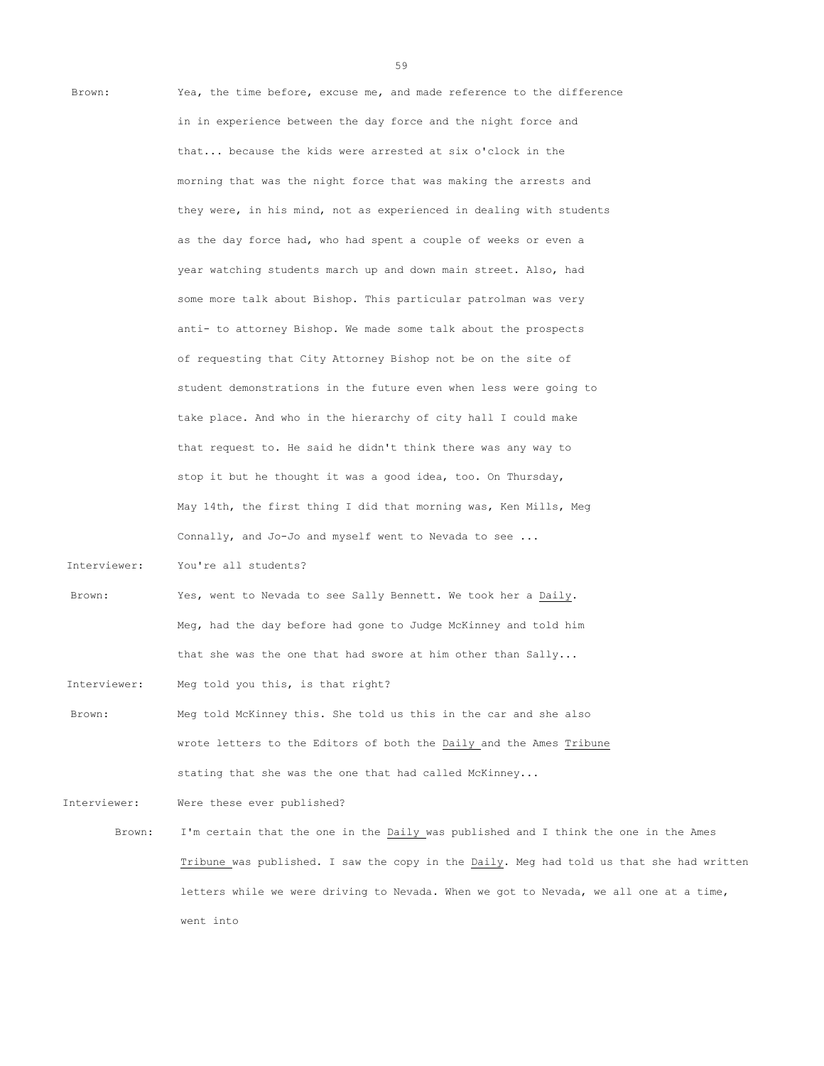| Brown:       | Yea, the time before, excuse me, and made reference to the difference                    |
|--------------|------------------------------------------------------------------------------------------|
|              | in in experience between the day force and the night force and                           |
|              | that because the kids were arrested at six o'clock in the                                |
|              | morning that was the night force that was making the arrests and                         |
|              | they were, in his mind, not as experienced in dealing with students                      |
|              | as the day force had, who had spent a couple of weeks or even a                          |
|              | year watching students march up and down main street. Also, had                          |
|              | some more talk about Bishop. This particular patrolman was very                          |
|              | anti- to attorney Bishop. We made some talk about the prospects                          |
|              | of requesting that City Attorney Bishop not be on the site of                            |
|              | student demonstrations in the future even when less were going to                        |
|              | take place. And who in the hierarchy of city hall I could make                           |
|              | that request to. He said he didn't think there was any way to                            |
|              | stop it but he thought it was a good idea, too. On Thursday,                             |
|              | May 14th, the first thing I did that morning was, Ken Mills, Meg                         |
|              | Connally, and Jo-Jo and myself went to Nevada to see                                     |
| Interviewer: | You're all students?                                                                     |
| Brown:       | Yes, went to Nevada to see Sally Bennett. We took her a Daily.                           |
|              | Meg, had the day before had gone to Judge McKinney and told him                          |
|              | that she was the one that had swore at him other than $Sally$                            |
| Interviewer: | Meg told you this, is that right?                                                        |
| Brown:       | Meg told McKinney this. She told us this in the car and she also                         |
|              | wrote letters to the Editors of both the Daily and the Ames Tribune                      |
|              | stating that she was the one that had called McKinney                                    |
| Interviewer: | Were these ever published?                                                               |
| Brown:       | I'm certain that the one in the Daily was published and I think the one in the Ames      |
|              | Tribune was published. I saw the copy in the Daily. Meg had told us that she had written |
|              | letters while we were driving to Nevada. When we got to Nevada, we all one at a time,    |

went into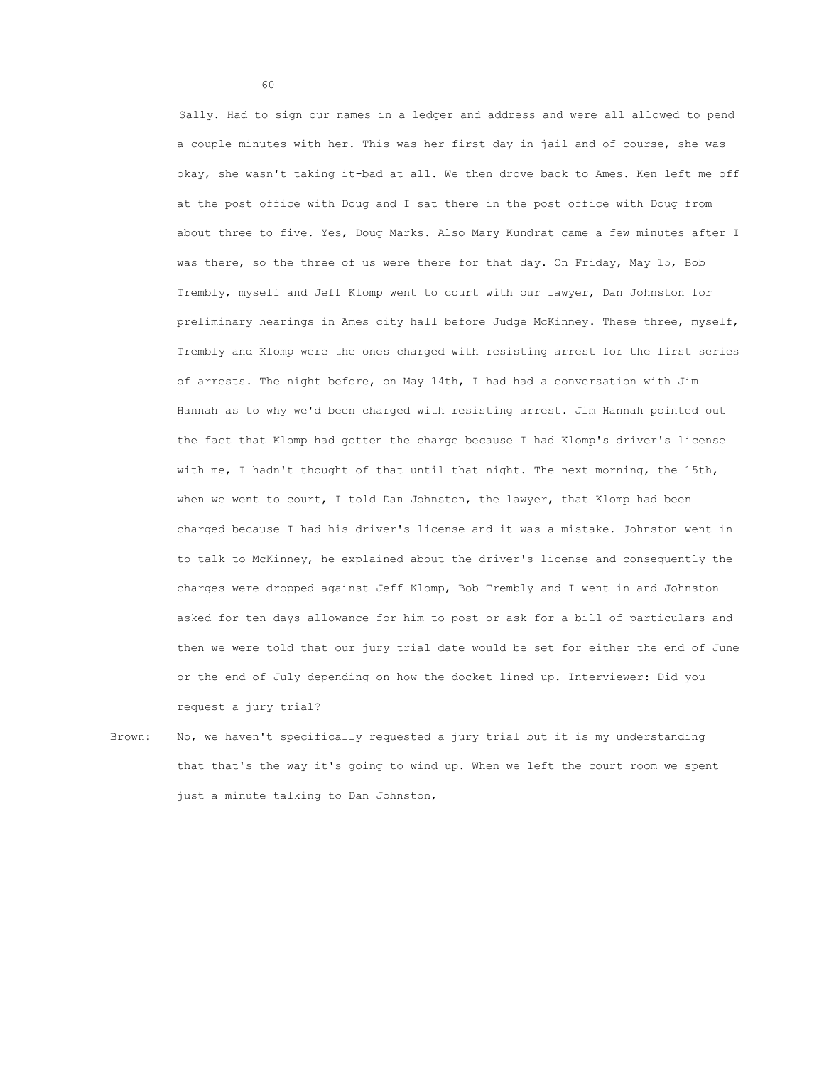Sally. Had to sign our names in a ledger and address and were all allowed to pend a couple minutes with her. This was her first day in jail and of course, she was okay, she wasn't taking it-bad at all. We then drove back to Ames. Ken left me off at the post office with Doug and I sat there in the post office with Doug from about three to five. Yes, Doug Marks. Also Mary Kundrat came a few minutes after I was there, so the three of us were there for that day. On Friday, May 15, Bob Trembly, myself and Jeff Klomp went to court with our lawyer, Dan Johnston for preliminary hearings in Ames city hall before Judge McKinney. These three, myself, Trembly and Klomp were the ones charged with resisting arrest for the first series of arrests. The night before, on May 14th, I had had a conversation with Jim Hannah as to why we'd been charged with resisting arrest. Jim Hannah pointed out the fact that Klomp had gotten the charge because I had Klomp's driver's license with me, I hadn't thought of that until that night. The next morning, the 15th, when we went to court, I told Dan Johnston, the lawyer, that Klomp had been charged because I had his driver's license and it was a mistake. Johnston went in to talk to McKinney, he explained about the driver's license and consequently the charges were dropped against Jeff Klomp, Bob Trembly and I went in and Johnston asked for ten days allowance for him to post or ask for a bill of particulars and then we were told that our jury trial date would be set for either the end of June or the end of July depending on how the docket lined up. Interviewer: Did you request a jury trial?

Brown: No, we haven't specifically requested a jury trial but it is my understanding that that's the way it's going to wind up. When we left the court room we spent just a minute talking to Dan Johnston,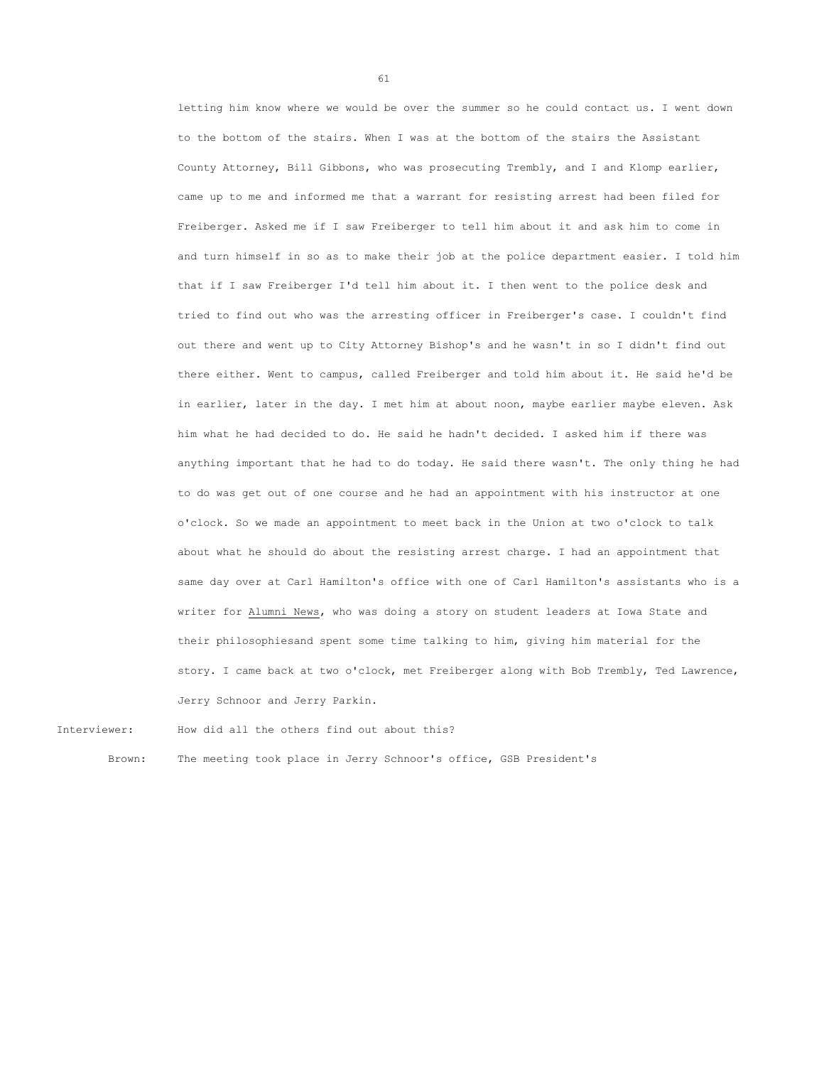letting him know where we would be over the summer so he could contact us. I went down to the bottom of the stairs. When I was at the bottom of the stairs the Assistant County Attorney, Bill Gibbons, who was prosecuting Trembly, and I and Klomp earlier, came up to me and informed me that a warrant for resisting arrest had been filed for Freiberger. Asked me if I saw Freiberger to tell him about it and ask him to come in and turn himself in so as to make their job at the police department easier. I told him that if I saw Freiberger I'd tell him about it. I then went to the police desk and tried to find out who was the arresting officer in Freiberger's case. I couldn't find out there and went up to City Attorney Bishop's and he wasn't in so I didn't find out there either. Went to campus, called Freiberger and told him about it. He said he'd be in earlier, later in the day. I met him at about noon, maybe earlier maybe eleven. Ask him what he had decided to do. He said he hadn't decided. I asked him if there was anything important that he had to do today. He said there wasn't. The only thing he had to do was get out of one course and he had an appointment with his instructor at one o'clock. So we made an appointment to meet back in the Union at two o'clock to talk about what he should do about the resisting arrest charge. I had an appointment that same day over at Carl Hamilton's office with one of Carl Hamilton's assistants who is a writer for Alumni News, who was doing a story on student leaders at Iowa State and their philosophiesand spent some time talking to him, giving him material for the story. I came back at two o'clock, met Freiberger along with Bob Trembly, Ted Lawrence, Jerry Schnoor and Jerry Parkin.

Interviewer: How did all the others find out about this?

Brown: The meeting took place in Jerry Schnoor's office, GSB President's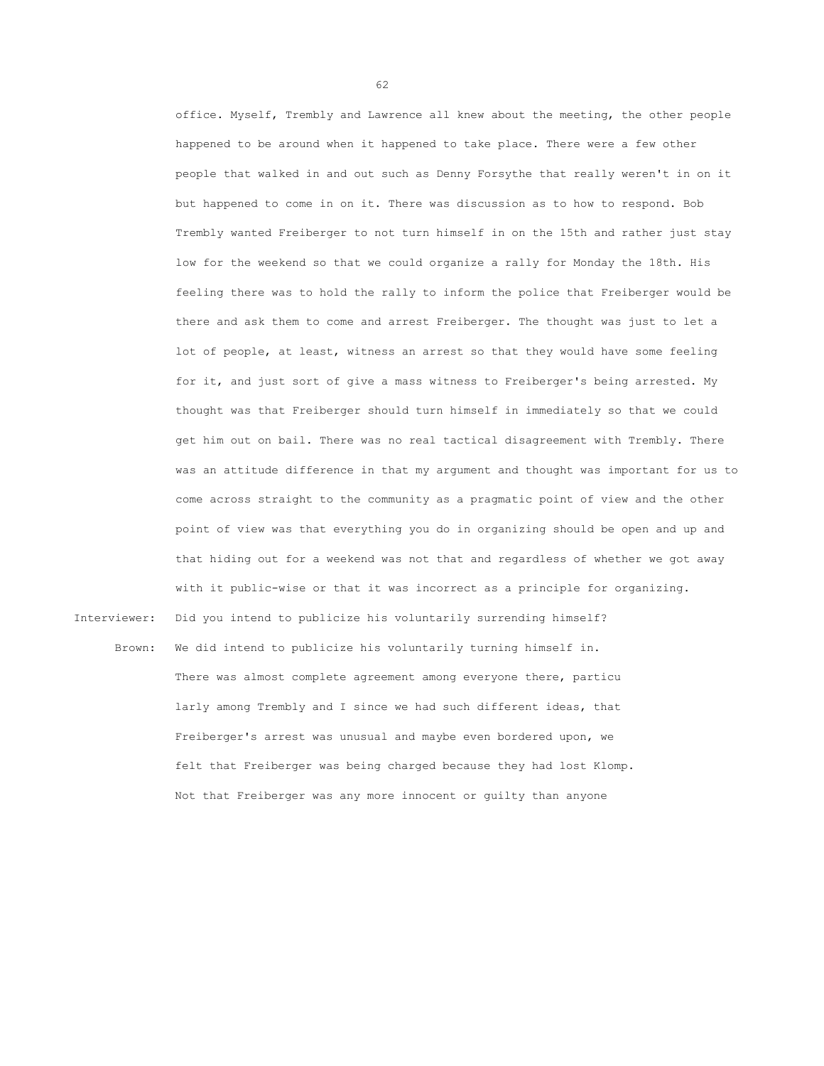office. Myself, Trembly and Lawrence all knew about the meeting, the other people happened to be around when it happened to take place. There were a few other people that walked in and out such as Denny Forsythe that really weren't in on it but happened to come in on it. There was discussion as to how to respond. Bob Trembly wanted Freiberger to not turn himself in on the 15th and rather just stay low for the weekend so that we could organize a rally for Monday the 18th. His feeling there was to hold the rally to inform the police that Freiberger would be there and ask them to come and arrest Freiberger. The thought was just to let a lot of people, at least, witness an arrest so that they would have some feeling for it, and just sort of give a mass witness to Freiberger's being arrested. My thought was that Freiberger should turn himself in immediately so that we could get him out on bail. There was no real tactical disagreement with Trembly. There was an attitude difference in that my argument and thought was important for us to come across straight to the community as a pragmatic point of view and the other point of view was that everything you do in organizing should be open and up and that hiding out for a weekend was not that and regardless of whether we got away with it public-wise or that it was incorrect as a principle for organizing.

Interviewer: Did you intend to publicize his voluntarily surrending himself?

Brown: We did intend to publicize his voluntarily turning himself in. There was almost complete agreement among everyone there, particu larly among Trembly and I since we had such different ideas, that Freiberger's arrest was unusual and maybe even bordered upon, we felt that Freiberger was being charged because they had lost Klomp. Not that Freiberger was any more innocent or guilty than anyone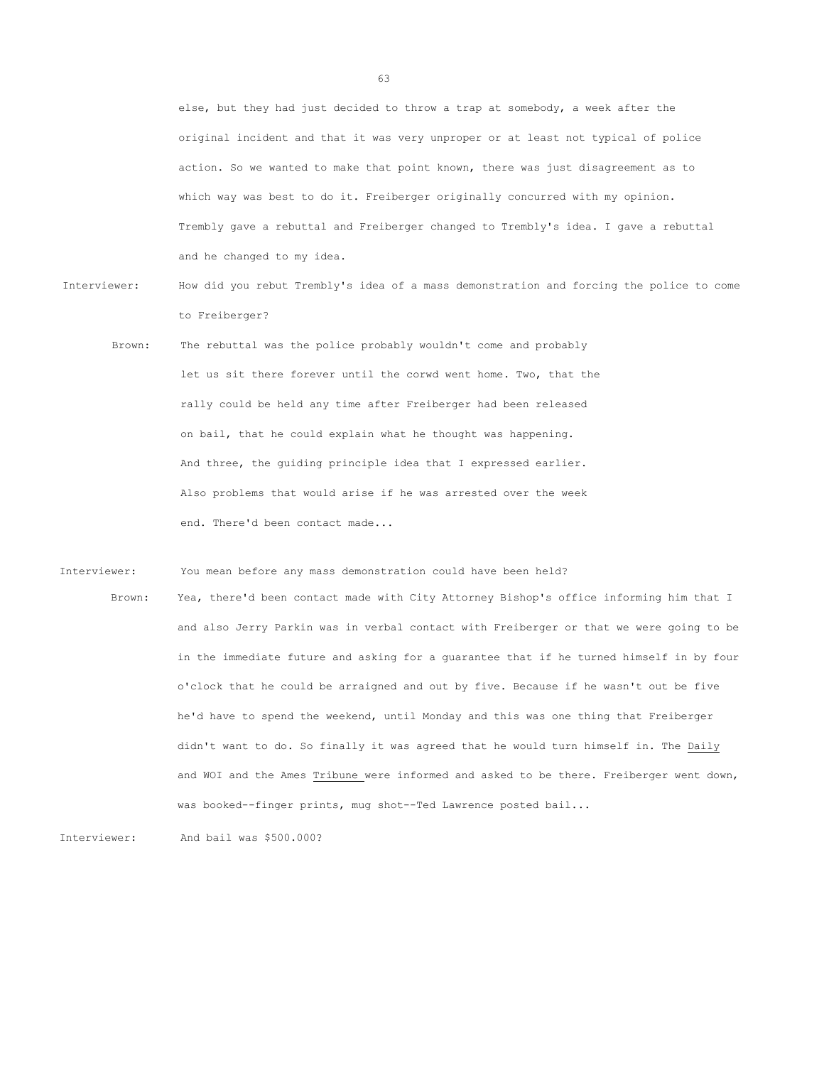else, but they had just decided to throw a trap at somebody, a week after the original incident and that it was very unproper or at least not typical of police action. So we wanted to make that point known, there was just disagreement as to which way was best to do it. Freiberger originally concurred with my opinion. Trembly gave a rebuttal and Freiberger changed to Trembly's idea. I gave a rebuttal and he changed to my idea.

- Interviewer: How did you rebut Trembly's idea of a mass demonstration and forcing the police to come to Freiberger?
	- Brown: The rebuttal was the police probably wouldn't come and probably let us sit there forever until the corwd went home. Two, that the rally could be held any time after Freiberger had been released on bail, that he could explain what he thought was happening. And three, the guiding principle idea that I expressed earlier. Also problems that would arise if he was arrested over the week end. There'd been contact made...

Interviewer: You mean before any mass demonstration could have been held?

Brown: Yea, there'd been contact made with City Attorney Bishop's office informing him that I and also Jerry Parkin was in verbal contact with Freiberger or that we were going to be in the immediate future and asking for a guarantee that if he turned himself in by four o'clock that he could be arraigned and out by five. Because if he wasn't out be five he'd have to spend the weekend, until Monday and this was one thing that Freiberger didn't want to do. So finally it was agreed that he would turn himself in. The Daily and WOI and the Ames Tribune were informed and asked to be there. Freiberger went down, was booked--finger prints, mug shot--Ted Lawrence posted bail...

Interviewer: And bail was \$500.000?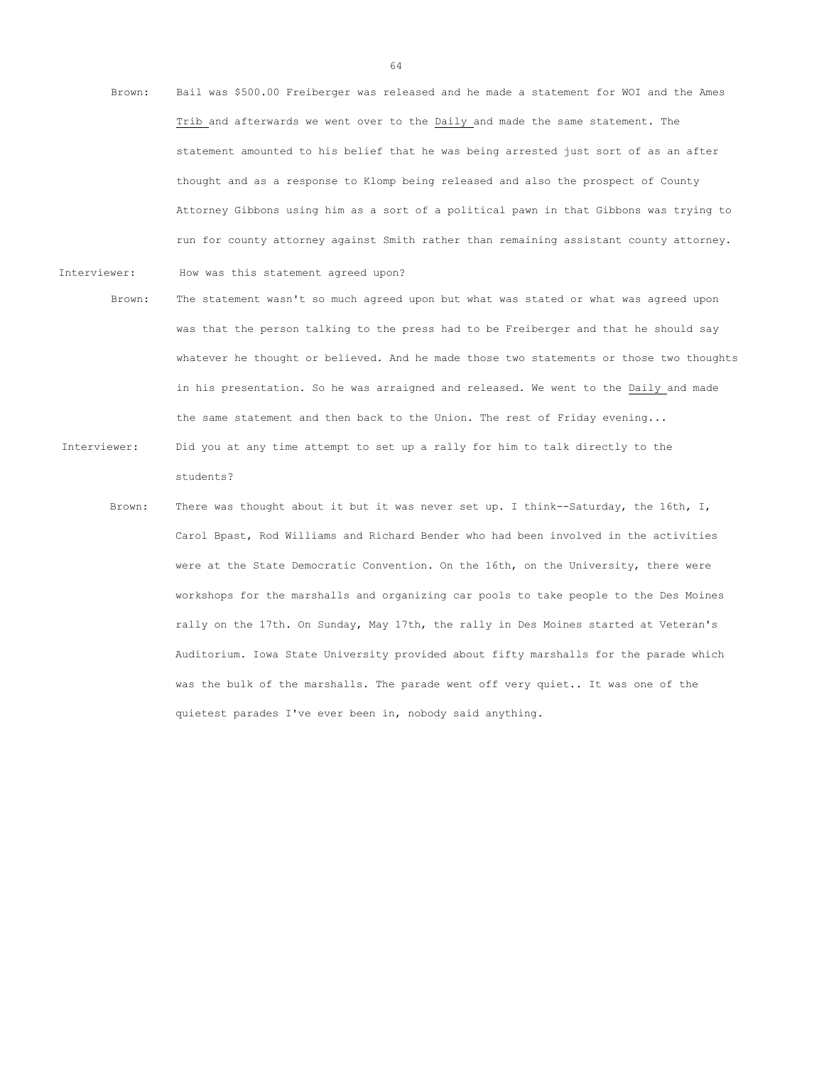- Brown: Bail was \$500.00 Freiberger was released and he made a statement for WOI and the Ames Trib and afterwards we went over to the Daily and made the same statement. The statement amounted to his belief that he was being arrested just sort of as an after thought and as a response to Klomp being released and also the prospect of County Attorney Gibbons using him as a sort of a political pawn in that Gibbons was trying to run for county attorney against Smith rather than remaining assistant county attorney.
- Interviewer: How was this statement agreed upon?
	- Brown: The statement wasn't so much agreed upon but what was stated or what was agreed upon was that the person talking to the press had to be Freiberger and that he should say whatever he thought or believed. And he made those two statements or those two thoughts in his presentation. So he was arraigned and released. We went to the Daily and made the same statement and then back to the Union. The rest of Friday evening...
- Interviewer: Did you at any time attempt to set up a rally for him to talk directly to the students?
	- Brown: There was thought about it but it was never set up. I think--Saturday, the 16th, I, Carol Bpast, Rod Williams and Richard Bender who had been involved in the activities were at the State Democratic Convention. On the 16th, on the University, there were workshops for the marshalls and organizing car pools to take people to the Des Moines rally on the 17th. On Sunday, May 17th, the rally in Des Moines started at Veteran's Auditorium. Iowa State University provided about fifty marshalls for the parade which was the bulk of the marshalls. The parade went off very quiet.. It was one of the quietest parades I've ever been in, nobody said anything.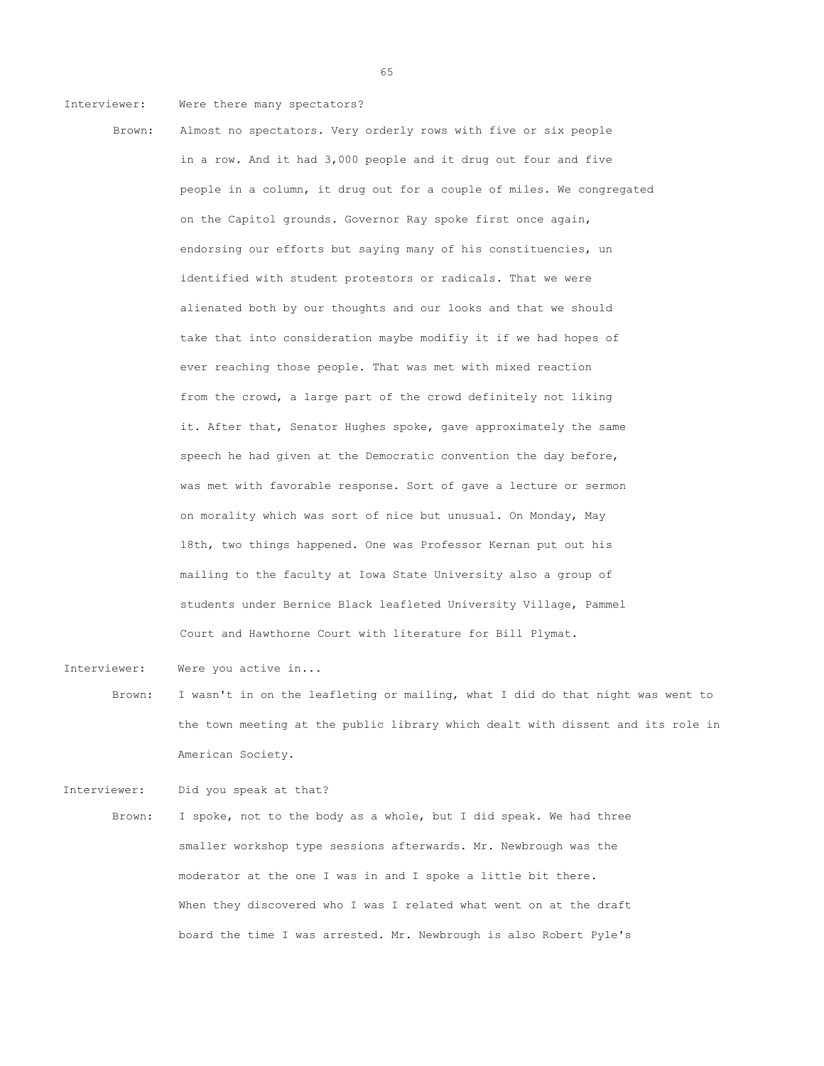Interviewer: Were there many spectators?

Brown: Almost no spectators. Very orderly rows with five or six people in a row. And it had 3,000 people and it drug out four and five people in a column, it drug out for a couple of miles. We congregated on the Capitol grounds. Governor Ray spoke first once again, endorsing our efforts but saying many of his constituencies, un identified with student protestors or radicals. That we were alienated both by our thoughts and our looks and that we should take that into consideration maybe modifiy it if we had hopes of ever reaching those people. That was met with mixed reaction from the crowd, a large part of the crowd definitely not liking it. After that, Senator Hughes spoke, gave approximately the same speech he had given at the Democratic convention the day before, was met with favorable response. Sort of gave a lecture or sermon on morality which was sort of nice but unusual. On Monday, May 18th, two things happened. One was Professor Kernan put out his mailing to the faculty at Iowa State University also a group of students under Bernice Black leafleted University Village, Pammel Court and Hawthorne Court with literature for Bill Plymat.

Interviewer: Were you active in...

Brown: I wasn't in on the leafleting or mailing, what I did do that night was went to the town meeting at the public library which dealt with dissent and its role in American Society.

Interviewer: Did you speak at that? Brown: I spoke, not to the body as a whole, but I did speak. We had three smaller workshop type sessions afterwards. Mr. Newbrough was the moderator at the one I was in and I spoke a little bit there. When they discovered who I was I related what went on at the draft board the time I was arrested. Mr. Newbrough is also Robert Pyle's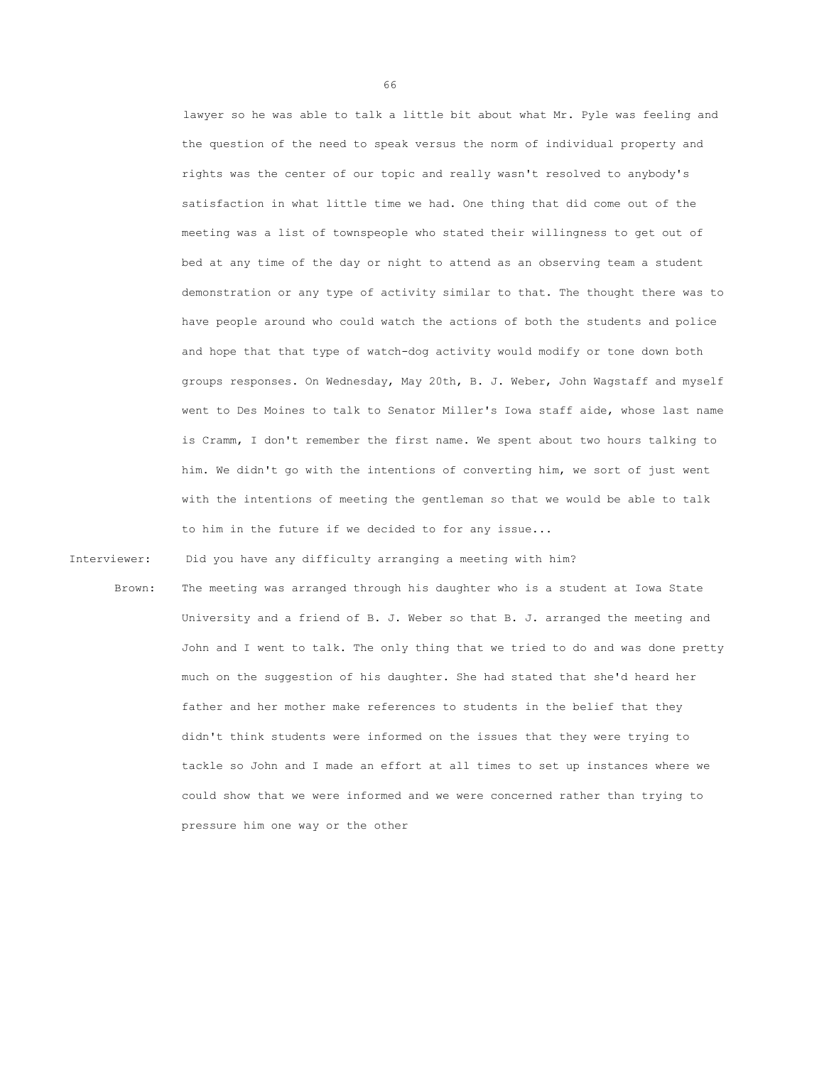lawyer so he was able to talk a little bit about what Mr. Pyle was feeling and the question of the need to speak versus the norm of individual property and rights was the center of our topic and really wasn't resolved to anybody's satisfaction in what little time we had. One thing that did come out of the meeting was a list of townspeople who stated their willingness to get out of bed at any time of the day or night to attend as an observing team a student demonstration or any type of activity similar to that. The thought there was to have people around who could watch the actions of both the students and police and hope that that type of watch-dog activity would modify or tone down both groups responses. On Wednesday, May 20th, B. J. Weber, John Wagstaff and myself went to Des Moines to talk to Senator Miller's Iowa staff aide, whose last name is Cramm, I don't remember the first name. We spent about two hours talking to him. We didn't go with the intentions of converting him, we sort of just went with the intentions of meeting the gentleman so that we would be able to talk to him in the future if we decided to for any issue...

Interviewer: Did you have any difficulty arranging a meeting with him?

Brown: The meeting was arranged through his daughter who is a student at Iowa State University and a friend of B. J. Weber so that B. J. arranged the meeting and John and I went to talk. The only thing that we tried to do and was done pretty much on the suggestion of his daughter. She had stated that she'd heard her father and her mother make references to students in the belief that they didn't think students were informed on the issues that they were trying to tackle so John and I made an effort at all times to set up instances where we could show that we were informed and we were concerned rather than trying to pressure him one way or the other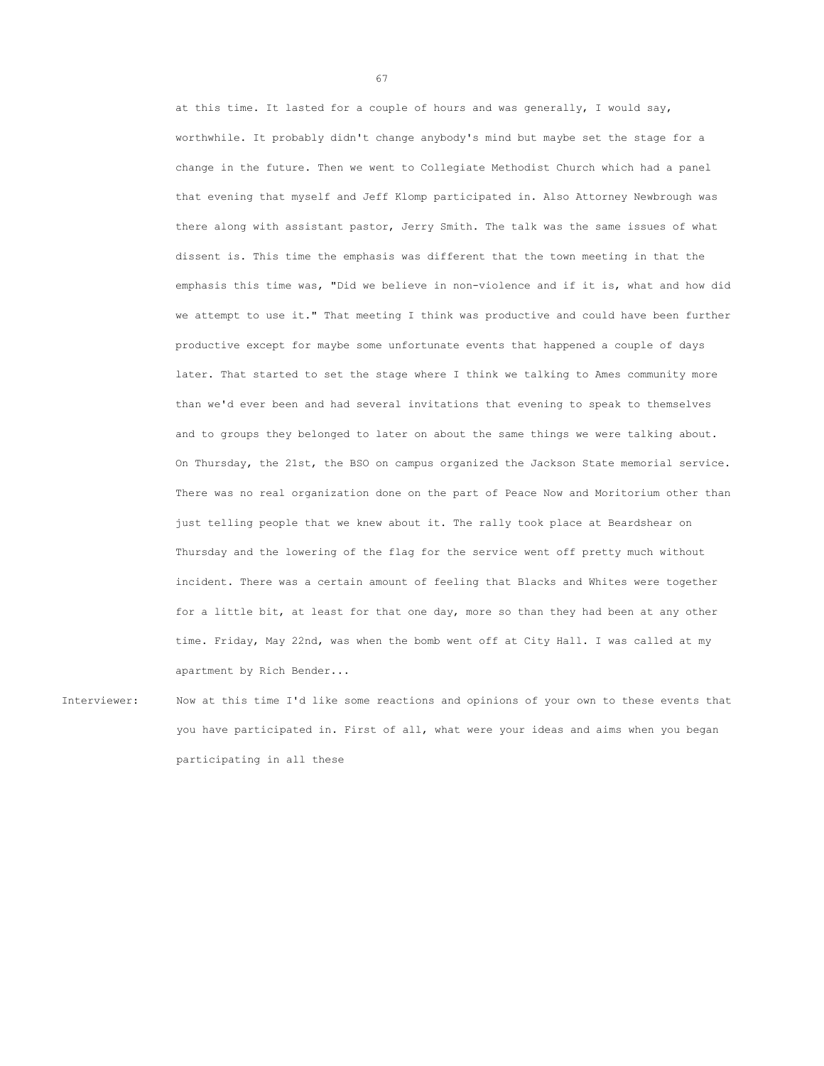at this time. It lasted for a couple of hours and was generally, I would say, worthwhile. It probably didn't change anybody's mind but maybe set the stage for a change in the future. Then we went to Collegiate Methodist Church which had a panel that evening that myself and Jeff Klomp participated in. Also Attorney Newbrough was there along with assistant pastor, Jerry Smith. The talk was the same issues of what dissent is. This time the emphasis was different that the town meeting in that the emphasis this time was, "Did we believe in non-violence and if it is, what and how did we attempt to use it." That meeting I think was productive and could have been further productive except for maybe some unfortunate events that happened a couple of days later. That started to set the stage where I think we talking to Ames community more than we'd ever been and had several invitations that evening to speak to themselves and to groups they belonged to later on about the same things we were talking about. On Thursday, the 21st, the BSO on campus organized the Jackson State memorial service. There was no real organization done on the part of Peace Now and Moritorium other than just telling people that we knew about it. The rally took place at Beardshear on Thursday and the lowering of the flag for the service went off pretty much without incident. There was a certain amount of feeling that Blacks and Whites were together for a little bit, at least for that one day, more so than they had been at any other time. Friday, May 22nd, was when the bomb went off at City Hall. I was called at my apartment by Rich Bender...

Interviewer: Now at this time I'd like some reactions and opinions of your own to these events that you have participated in. First of all, what were your ideas and aims when you began participating in all these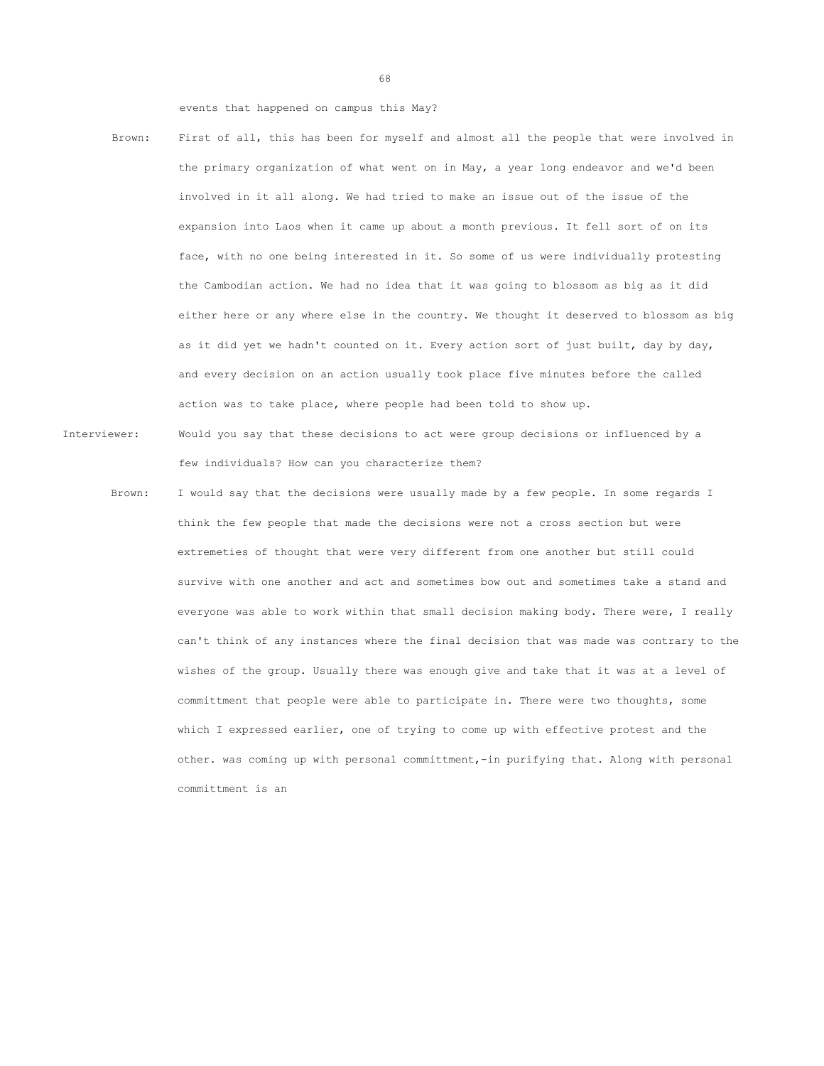events that happened on campus this May?

- Brown: First of all, this has been for myself and almost all the people that were involved in the primary organization of what went on in May, a year long endeavor and we'd been involved in it all along. We had tried to make an issue out of the issue of the expansion into Laos when it came up about a month previous. It fell sort of on its face, with no one being interested in it. So some of us were individually protesting the Cambodian action. We had no idea that it was going to blossom as big as it did either here or any where else in the country. We thought it deserved to blossom as big as it did yet we hadn't counted on it. Every action sort of just built, day by day, and every decision on an action usually took place five minutes before the called action was to take place, where people had been told to show up.
- Interviewer: Would you say that these decisions to act were group decisions or influenced by a few individuals? How can you characterize them?
	- Brown: I would say that the decisions were usually made by a few people. In some regards I think the few people that made the decisions were not a cross section but were extremeties of thought that were very different from one another but still could survive with one another and act and sometimes bow out and sometimes take a stand and everyone was able to work within that small decision making body. There were, I really can't think of any instances where the final decision that was made was contrary to the wishes of the group. Usually there was enough give and take that it was at a level of committment that people were able to participate in. There were two thoughts, some which I expressed earlier, one of trying to come up with effective protest and the other. was coming up with personal committment,-in purifying that. Along with personal committment is an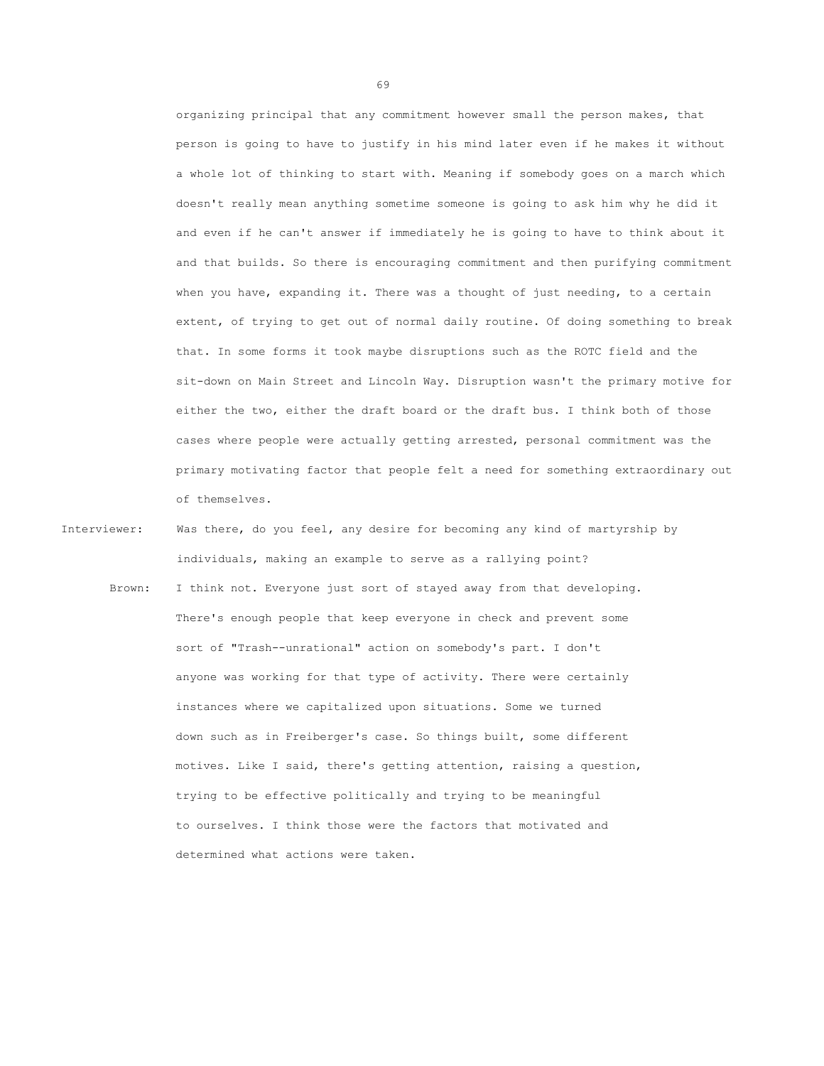organizing principal that any commitment however small the person makes, that person is going to have to justify in his mind later even if he makes it without a whole lot of thinking to start with. Meaning if somebody goes on a march which doesn't really mean anything sometime someone is going to ask him why he did it and even if he can't answer if immediately he is going to have to think about it and that builds. So there is encouraging commitment and then purifying commitment when you have, expanding it. There was a thought of just needing, to a certain extent, of trying to get out of normal daily routine. Of doing something to break that. In some forms it took maybe disruptions such as the ROTC field and the sit-down on Main Street and Lincoln Way. Disruption wasn't the primary motive for either the two, either the draft board or the draft bus. I think both of those cases where people were actually getting arrested, personal commitment was the primary motivating factor that people felt a need for something extraordinary out of themselves.

- Interviewer: Was there, do you feel, any desire for becoming any kind of martyrship by individuals, making an example to serve as a rallying point?
	- Brown: I think not. Everyone just sort of stayed away from that developing. There's enough people that keep everyone in check and prevent some sort of "Trash--unrational" action on somebody's part. I don't anyone was working for that type of activity. There were certainly instances where we capitalized upon situations. Some we turned down such as in Freiberger's case. So things built, some different motives. Like I said, there's getting attention, raising a question, trying to be effective politically and trying to be meaningful to ourselves. I think those were the factors that motivated and determined what actions were taken.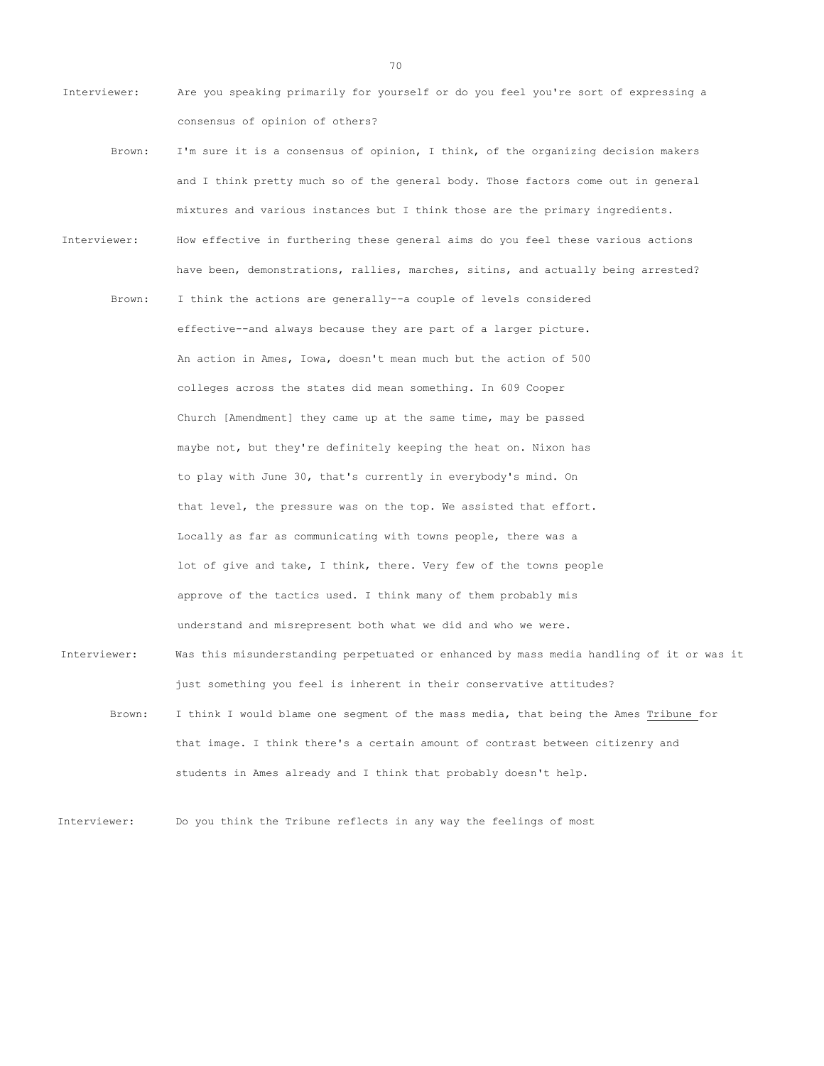- Interviewer: Are you speaking primarily for yourself or do you feel you're sort of expressing a consensus of opinion of others?
- Brown: I'm sure it is a consensus of opinion, I think, of the organizing decision makers and I think pretty much so of the general body. Those factors come out in general mixtures and various instances but I think those are the primary ingredients. Interviewer: How effective in furthering these general aims do you feel these various actions have been, demonstrations, rallies, marches, sitins, and actually being arrested? Brown: I think the actions are generally--a couple of levels considered effective--and always because they are part of a larger picture. An action in Ames, Iowa, doesn't mean much but the action of 500 colleges across the states did mean something. In 609 Cooper Church [Amendment] they came up at the same time, may be passed maybe not, but they're definitely keeping the heat on. Nixon has to play with June 30, that's currently in everybody's mind. On that level, the pressure was on the top. We assisted that effort. Locally as far as communicating with towns people, there was a lot of give and take, I think, there. Very few of the towns people approve of the tactics used. I think many of them probably mis understand and misrepresent both what we did and who we were. Interviewer: Was this misunderstanding perpetuated or enhanced by mass media handling of it or was it just something you feel is inherent in their conservative attitudes?
	- Brown: I think I would blame one segment of the mass media, that being the Ames Tribune for that image. I think there's a certain amount of contrast between citizenry and students in Ames already and I think that probably doesn't help.

Interviewer: Do you think the Tribune reflects in any way the feelings of most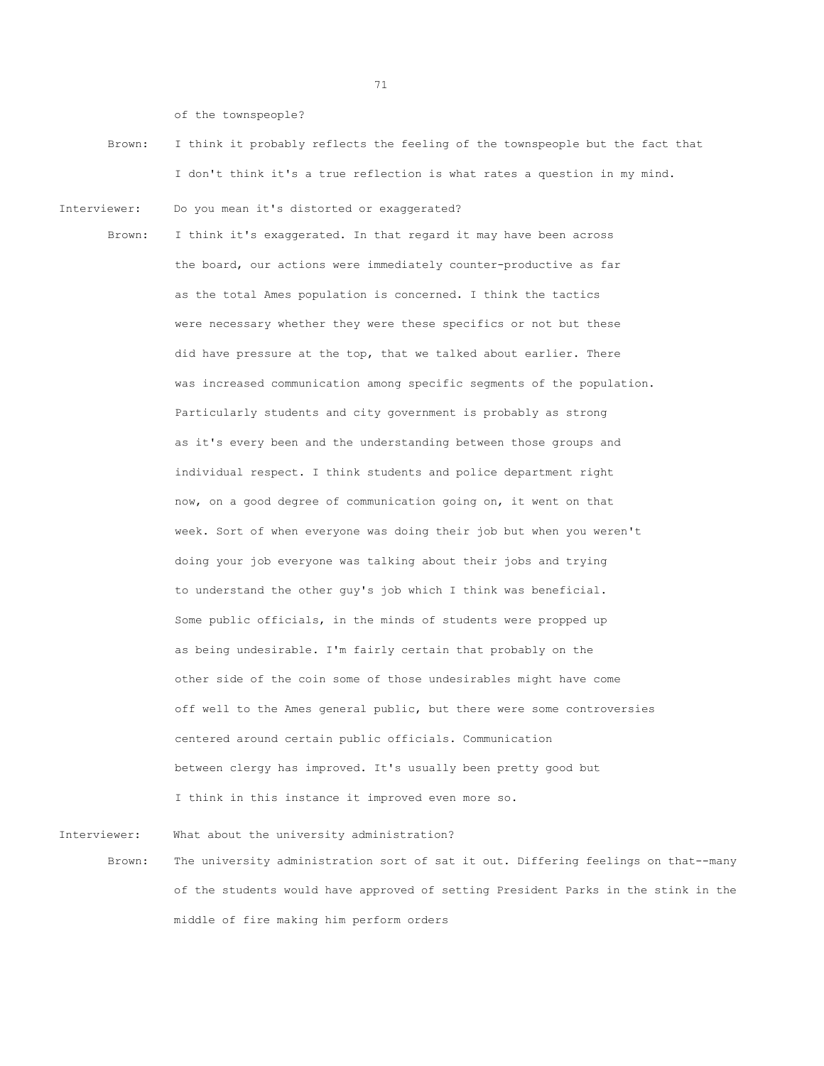of the townspeople?

- Brown: I think it probably reflects the feeling of the townspeople but the fact that I don't think it's a true reflection is what rates a question in my mind.
- Interviewer: Do you mean it's distorted or exaggerated?

Brown: I think it's exaggerated. In that regard it may have been across the board, our actions were immediately counter-productive as far as the total Ames population is concerned. I think the tactics were necessary whether they were these specifics or not but these did have pressure at the top, that we talked about earlier. There was increased communication among specific segments of the population. Particularly students and city government is probably as strong as it's every been and the understanding between those groups and individual respect. I think students and police department right now, on a good degree of communication going on, it went on that week. Sort of when everyone was doing their job but when you weren't doing your job everyone was talking about their jobs and trying to understand the other guy's job which I think was beneficial. Some public officials, in the minds of students were propped up as being undesirable. I'm fairly certain that probably on the other side of the coin some of those undesirables might have come off well to the Ames general public, but there were some controversies centered around certain public officials. Communication between clergy has improved. It's usually been pretty good but I think in this instance it improved even more so.

Interviewer: What about the university administration? Brown: The university administration sort of sat it out. Differing feelings on that--many of the students would have approved of setting President Parks in the stink in the middle of fire making him perform orders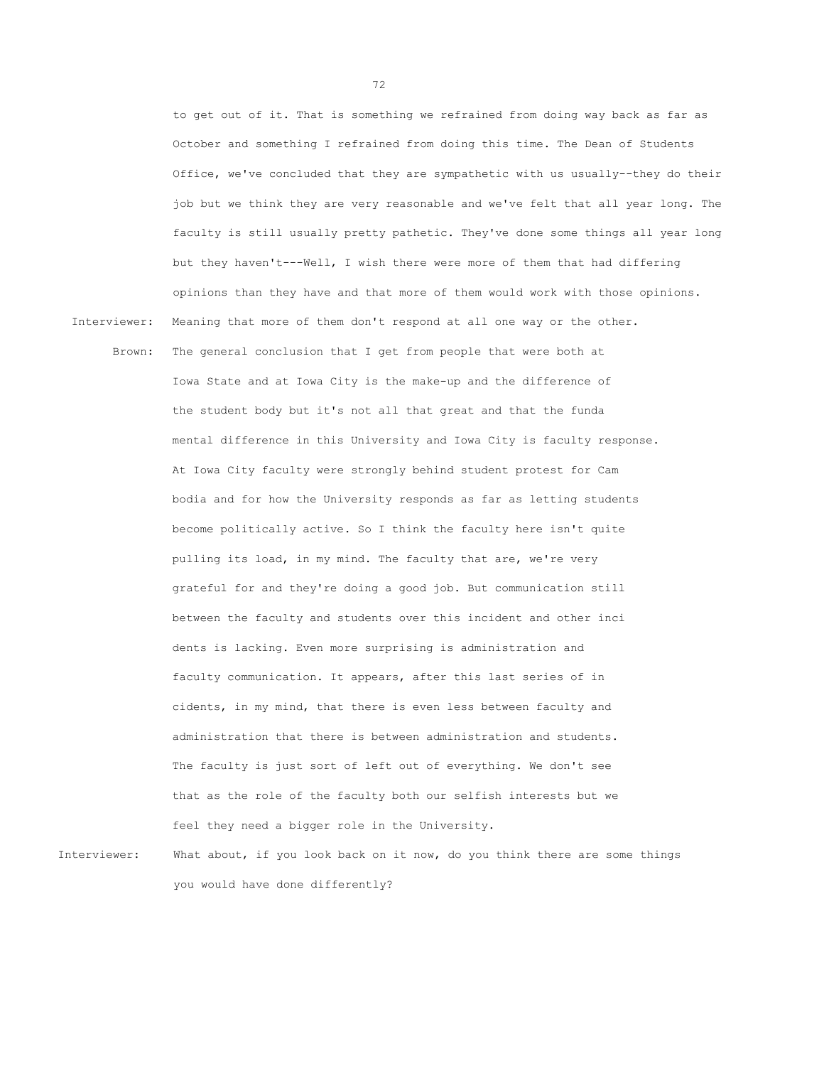to get out of it. That is something we refrained from doing way back as far as October and something I refrained from doing this time. The Dean of Students Office, we've concluded that they are sympathetic with us usually--they do their job but we think they are very reasonable and we've felt that all year long. The faculty is still usually pretty pathetic. They've done some things all year long but they haven't---Well, I wish there were more of them that had differing opinions than they have and that more of them would work with those opinions. Interviewer: Meaning that more of them don't respond at all one way or the other. Brown: The general conclusion that I get from people that were both at Iowa State and at Iowa City is the make-up and the difference of the student body but it's not all that great and that the funda mental difference in this University and Iowa City is faculty response. At Iowa City faculty were strongly behind student protest for Cam bodia and for how the University responds as far as letting students become politically active. So I think the faculty here isn't quite pulling its load, in my mind. The faculty that are, we're very grateful for and they're doing a good job. But communication still between the faculty and students over this incident and other inci dents is lacking. Even more surprising is administration and faculty communication. It appears, after this last series of in cidents, in my mind, that there is even less between faculty and administration that there is between administration and students. The faculty is just sort of left out of everything. We don't see that as the role of the faculty both our selfish interests but we feel they need a bigger role in the University.

Interviewer: What about, if you look back on it now, do you think there are some things you would have done differently?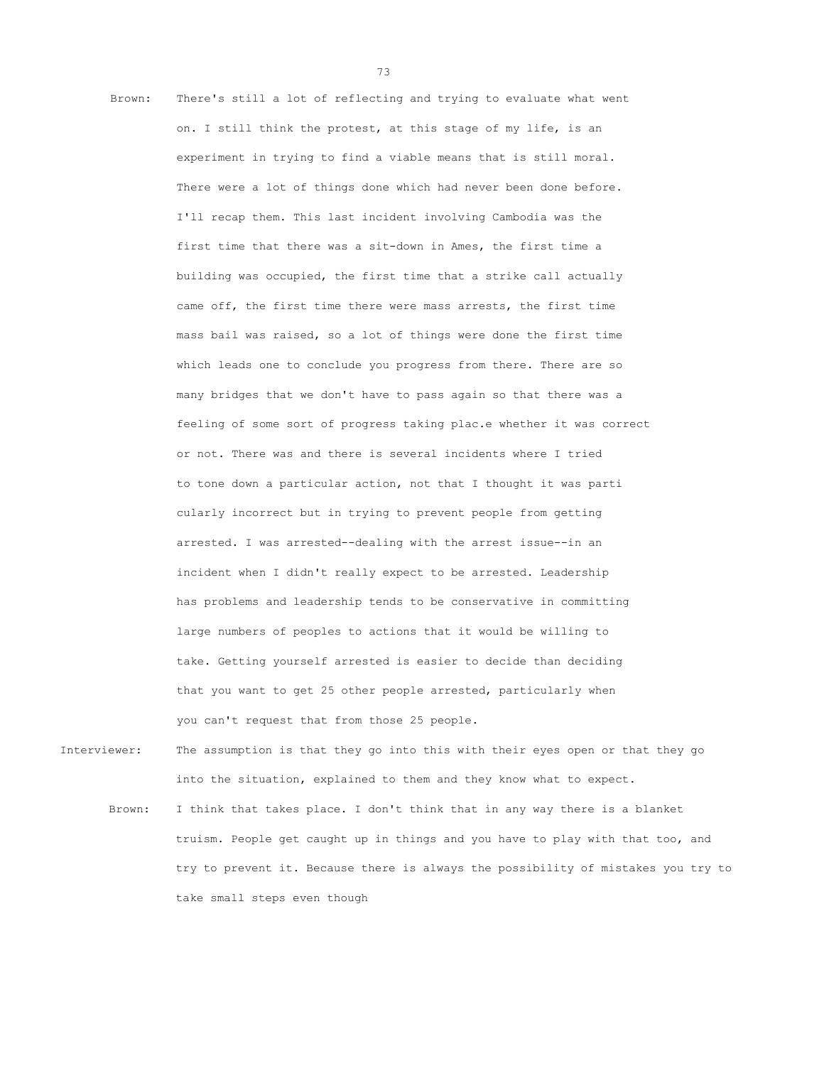Brown: There's still a lot of reflecting and trying to evaluate what went on. I still think the protest, at this stage of my life, is an experiment in trying to find a viable means that is still moral. There were a lot of things done which had never been done before. I'll recap them. This last incident involving Cambodia was the first time that there was a sit-down in Ames, the first time a building was occupied, the first time that a strike call actually came off, the first time there were mass arrests, the first time mass bail was raised, so a lot of things were done the first time which leads one to conclude you progress from there. There are so many bridges that we don't have to pass again so that there was a feeling of some sort of progress taking plac.e whether it was correct or not. There was and there is several incidents where I tried to tone down a particular action, not that I thought it was parti cularly incorrect but in trying to prevent people from getting arrested. I was arrested--dealing with the arrest issue--in an incident when I didn't really expect to be arrested. Leadership has problems and leadership tends to be conservative in committing large numbers of peoples to actions that it would be willing to take. Getting yourself arrested is easier to decide than deciding that you want to get 25 other people arrested, particularly when you can't request that from those 25 people.

Interviewer: The assumption is that they go into this with their eyes open or that they go into the situation, explained to them and they know what to expect.

Brown: I think that takes place. I don't think that in any way there is a blanket truism. People get caught up in things and you have to play with that too, and try to prevent it. Because there is always the possibility of mistakes you try to take small steps even though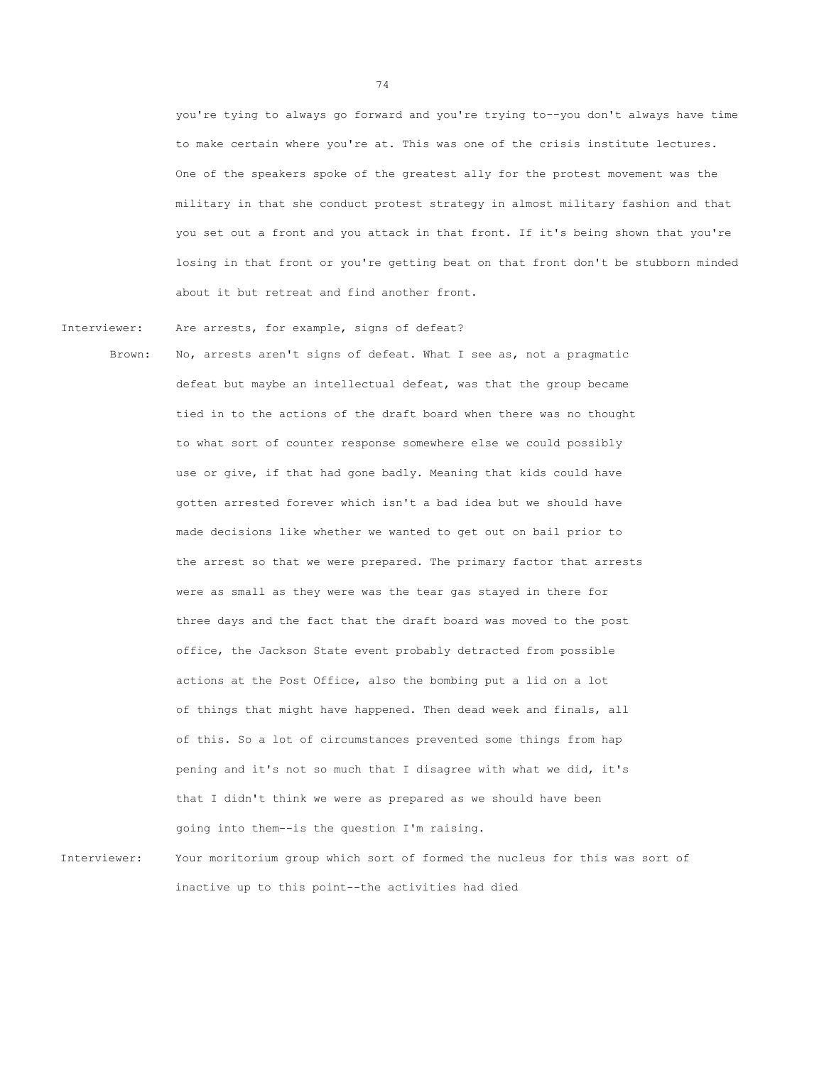you're tying to always go forward and you're trying to--you don't always have time to make certain where you're at. This was one of the crisis institute lectures. One of the speakers spoke of the greatest ally for the protest movement was the military in that she conduct protest strategy in almost military fashion and that you set out a front and you attack in that front. If it's being shown that you're losing in that front or you're getting beat on that front don't be stubborn minded about it but retreat and find another front.

Interviewer: Are arrests, for example, signs of defeat?

Brown: No, arrests aren't signs of defeat. What I see as, not a pragmatic defeat but maybe an intellectual defeat, was that the group became tied in to the actions of the draft board when there was no thought to what sort of counter response somewhere else we could possibly use or give, if that had gone badly. Meaning that kids could have gotten arrested forever which isn't a bad idea but we should have made decisions like whether we wanted to get out on bail prior to the arrest so that we were prepared. The primary factor that arrests were as small as they were was the tear gas stayed in there for three days and the fact that the draft board was moved to the post office, the Jackson State event probably detracted from possible actions at the Post Office, also the bombing put a lid on a lot of things that might have happened. Then dead week and finals, all of this. So a lot of circumstances prevented some things from hap pening and it's not so much that I disagree with what we did, it's that I didn't think we were as prepared as we should have been going into them--is the question I'm raising.

Interviewer: Your moritorium group which sort of formed the nucleus for this was sort of inactive up to this point--the activities had died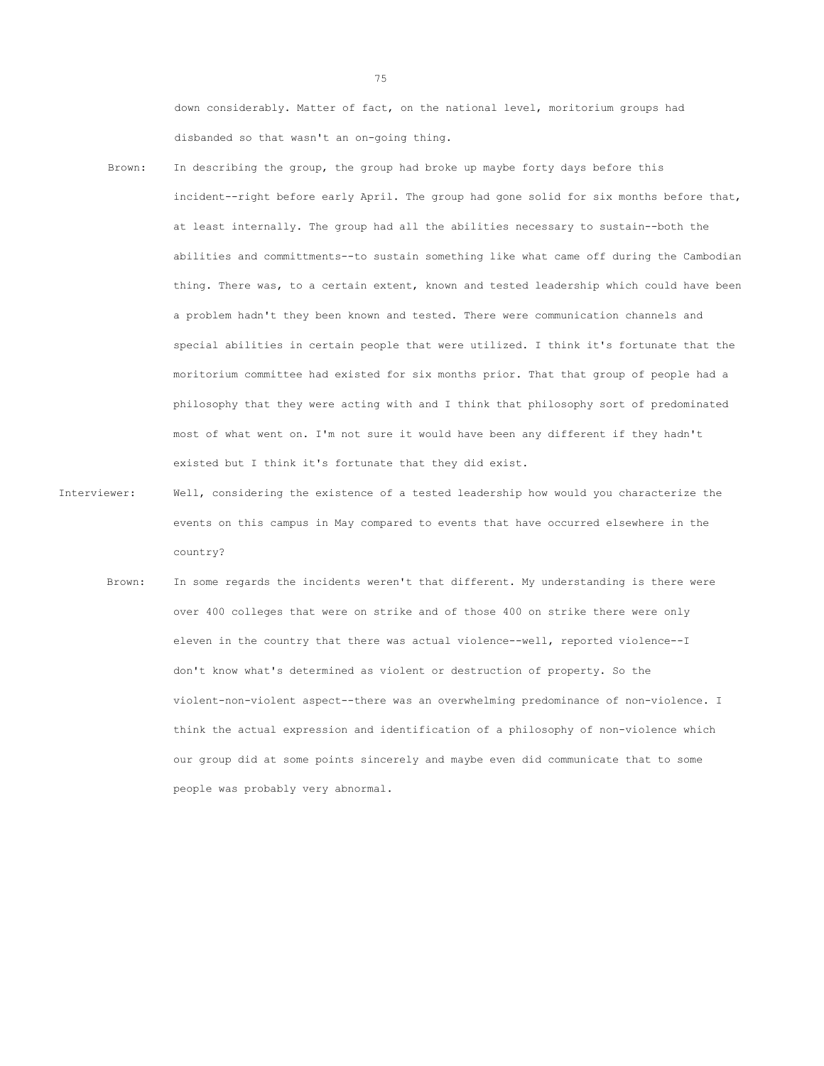down considerably. Matter of fact, on the national level, moritorium groups had disbanded so that wasn't an on-going thing.

- Brown: In describing the group, the group had broke up maybe forty days before this incident--right before early April. The group had gone solid for six months before that, at least internally. The group had all the abilities necessary to sustain--both the abilities and committments--to sustain something like what came off during the Cambodian thing. There was, to a certain extent, known and tested leadership which could have been a problem hadn't they been known and tested. There were communication channels and special abilities in certain people that were utilized. I think it's fortunate that the moritorium committee had existed for six months prior. That that group of people had a philosophy that they were acting with and I think that philosophy sort of predominated most of what went on. I'm not sure it would have been any different if they hadn't existed but I think it's fortunate that they did exist.
- Interviewer: Well, considering the existence of a tested leadership how would you characterize the events on this campus in May compared to events that have occurred elsewhere in the country?
	- Brown: In some regards the incidents weren't that different. My understanding is there were over 400 colleges that were on strike and of those 400 on strike there were only eleven in the country that there was actual violence--well, reported violence--I don't know what's determined as violent or destruction of property. So the violent-non-violent aspect--there was an overwhelming predominance of non-violence. I think the actual expression and identification of a philosophy of non-violence which our group did at some points sincerely and maybe even did communicate that to some people was probably very abnormal.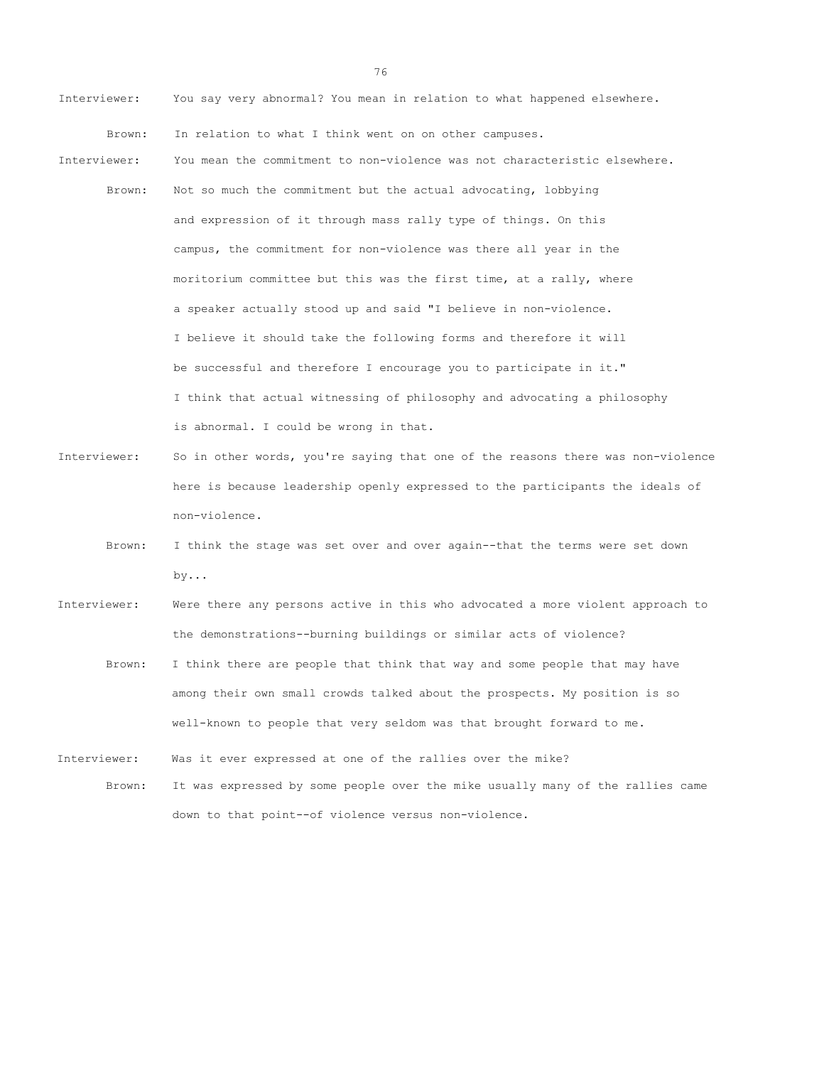- Interviewer: You say very abnormal? You mean in relation to what happened elsewhere. Brown: In relation to what I think went on on other campuses. Interviewer: You mean the commitment to non-violence was not characteristic elsewhere. Brown: Not so much the commitment but the actual advocating, lobbying and expression of it through mass rally type of things. On this campus, the commitment for non-violence was there all year in the moritorium committee but this was the first time, at a rally, where a speaker actually stood up and said "I believe in non-violence. I believe it should take the following forms and therefore it will be successful and therefore I encourage you to participate in it." I think that actual witnessing of philosophy and advocating a philosophy is abnormal. I could be wrong in that.
- Interviewer: So in other words, you're saying that one of the reasons there was non-violence here is because leadership openly expressed to the participants the ideals of non-violence.
	- Brown: I think the stage was set over and over again--that the terms were set down by...
- Interviewer: Were there any persons active in this who advocated a more violent approach to the demonstrations--burning buildings or similar acts of violence?
	- Brown: I think there are people that think that way and some people that may have among their own small crowds talked about the prospects. My position is so well-known to people that very seldom was that brought forward to me.
- Interviewer: Was it ever expressed at one of the rallies over the mike? Brown: It was expressed by some people over the mike usually many of the rallies came down to that point--of violence versus non-violence.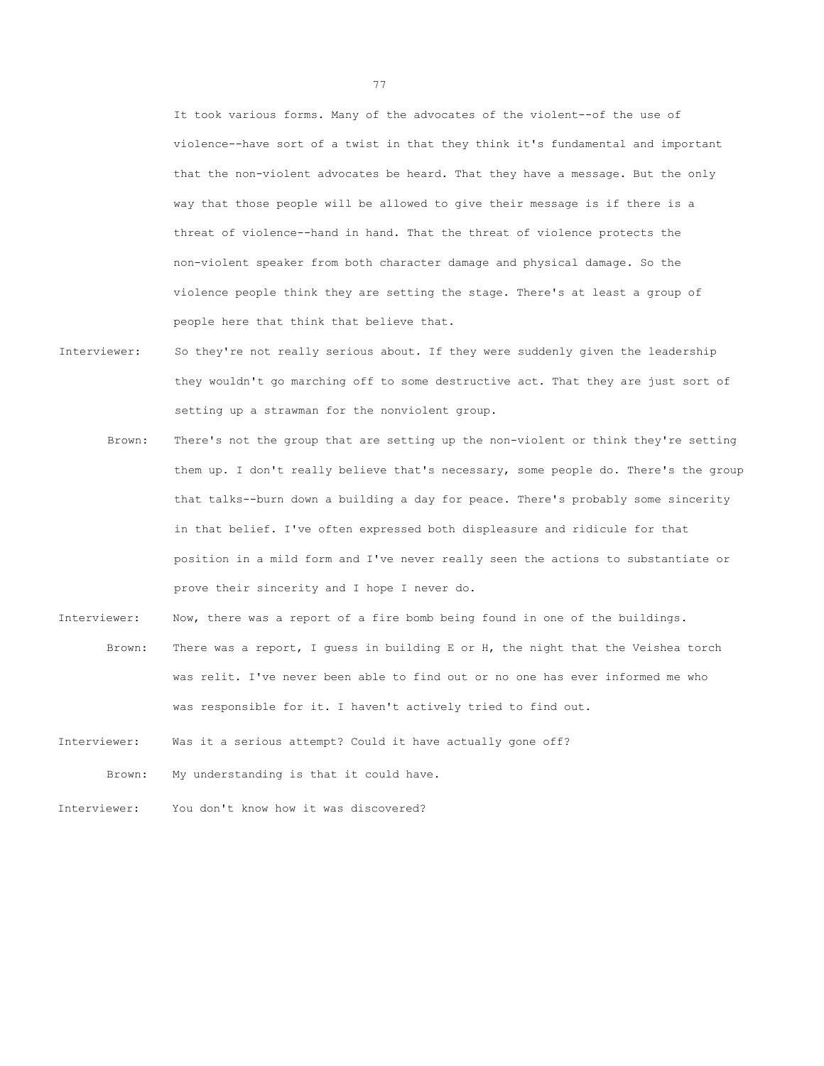It took various forms. Many of the advocates of the violent--of the use of violence--have sort of a twist in that they think it's fundamental and important that the non-violent advocates be heard. That they have a message. But the only way that those people will be allowed to give their message is if there is a threat of violence--hand in hand. That the threat of violence protects the non-violent speaker from both character damage and physical damage. So the violence people think they are setting the stage. There's at least a group of people here that think that believe that.

- Interviewer: So they're not really serious about. If they were suddenly given the leadership they wouldn't go marching off to some destructive act. That they are just sort of setting up a strawman for the nonviolent group.
	- Brown: There's not the group that are setting up the non-violent or think they're setting them up. I don't really believe that's necessary, some people do. There's the group that talks--burn down a building a day for peace. There's probably some sincerity in that belief. I've often expressed both displeasure and ridicule for that position in a mild form and I've never really seen the actions to substantiate or prove their sincerity and I hope I never do.
- Interviewer: Now, there was a report of a fire bomb being found in one of the buildings. Brown: There was a report, I guess in building E or H, the night that the Veishea torch was relit. I've never been able to find out or no one has ever informed me who was responsible for it. I haven't actively tried to find out.
- Interviewer: Was it a serious attempt? Could it have actually gone off?
	- Brown: My understanding is that it could have.
- Interviewer: You don't know how it was discovered?